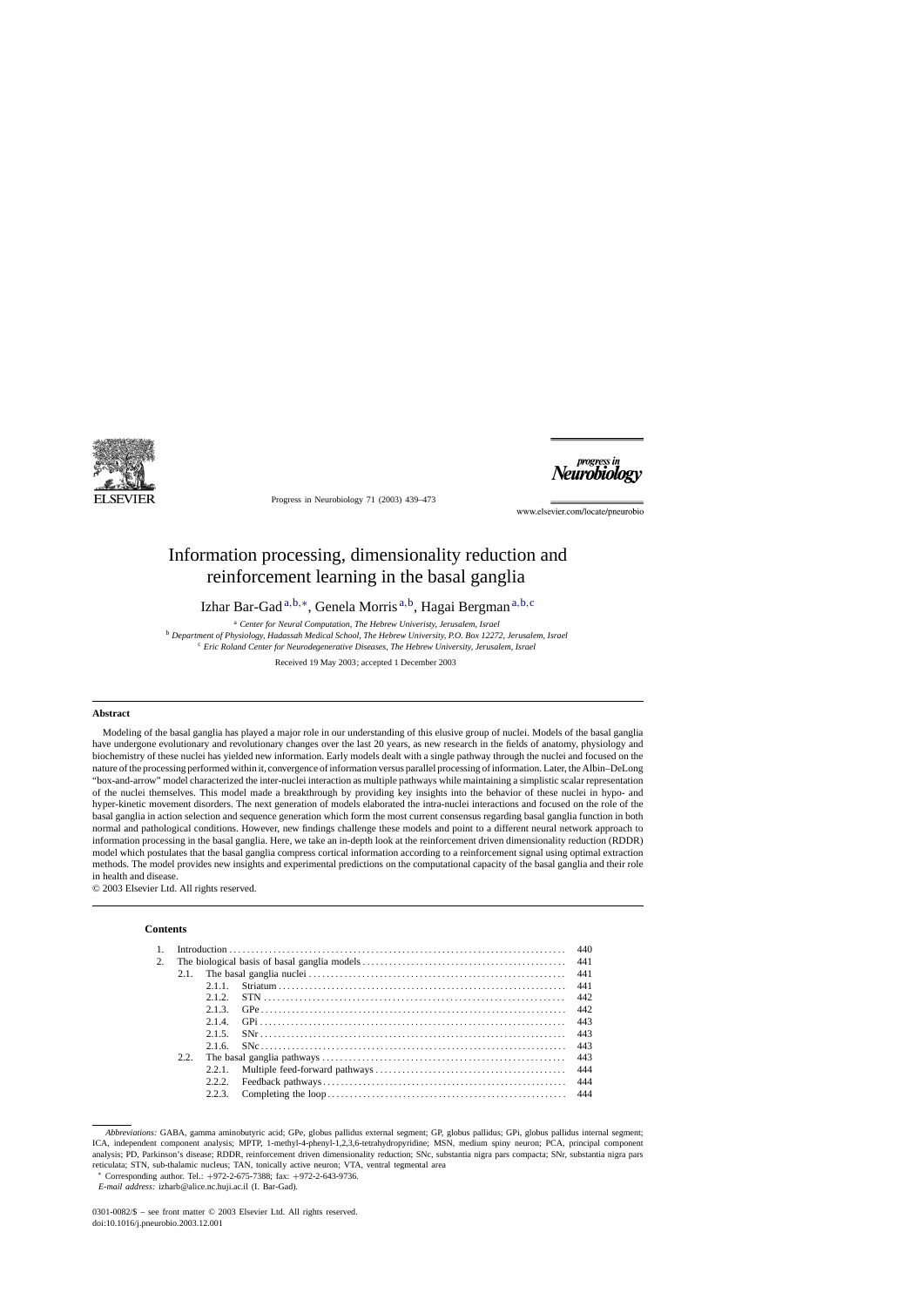

Progress in Neurobiology 71 (2003) 439–473



www.elsevier.com/locate/pneurobio

# Information processing, dimensionality reduction and reinforcement learning in the basal ganglia

Izhar Bar-Gad <sup>a</sup>,b,∗, Genela Morris <sup>a</sup>,b, Hagai Bergman <sup>a</sup>,b,<sup>c</sup>

<sup>a</sup> *Center for Neural Computation, The Hebrew Univeristy, Jerusalem, Israel*

<sup>b</sup> *Department of Physiology, Hadassah Medical School, The Hebrew University, P.O. Box 12272, Jerusalem, Israel* <sup>c</sup> *Eric Roland Center for Neurodegenerative Diseases, The Hebrew University, Jerusalem, Israel*

Received 19 May 2003; accepted 1 December 2003

### **Abstract**

Modeling of the basal ganglia has played a major role in our understanding of this elusive group of nuclei. Models of the basal ganglia have undergone evolutionary and revolutionary changes over the last 20 years, as new research in the fields of anatomy, physiology and biochemistry of these nuclei has yielded new information. Early models dealt with a single pathway through the nuclei and focused on the nature of the processing performed within it, convergence of information versus parallel processing of information. Later, the Albin–DeLong "box-and-arrow" model characterized the inter-nuclei interaction as multiple pathways while maintaining a simplistic scalar representation of the nuclei themselves. This model made a breakthrough by providing key insights into the behavior of these nuclei in hypo- and hyper-kinetic movement disorders. The next generation of models elaborated the intra-nuclei interactions and focused on the role of the basal ganglia in action selection and sequence generation which form the most current consensus regarding basal ganglia function in both normal and pathological conditions. However, new findings challenge these models and point to a different neural network approach to information processing in the basal ganglia. Here, we take an in-depth look at the reinforcement driven dimensionality reduction (RDDR) model which postulates that the basal ganglia compress cortical information according to a reinforcement signal using optimal extraction methods. The model provides new insights and experimental predictions on the computational capacity of the basal ganglia and their role in health and disease.

© 2003 Elsevier Ltd. All rights reserved.

### **Contents**

| 2. |      |        |  |     |  |
|----|------|--------|--|-----|--|
|    |      |        |  |     |  |
|    |      | 2.1.1  |  |     |  |
|    |      | 2.1.2. |  |     |  |
|    |      | 2.1.3. |  | 442 |  |
|    |      | 2.14   |  | 443 |  |
|    |      | 2.1.5. |  |     |  |
|    |      | 2.1.6. |  |     |  |
|    | 2.2. |        |  |     |  |
|    |      | 2.2.1  |  |     |  |
|    |      | 2.2.2  |  |     |  |
|    |      | 2.2.3. |  |     |  |
|    |      |        |  |     |  |

*Abbreviations:* GABA, gamma aminobutyric acid; GPe, globus pallidus external segment; GP, globus pallidus; GPi, globus pallidus internal segment; ICA, independent component analysis; MPTP, 1-methyl-4-phenyl-1,2,3,6-tetrahydropyridine; MSN, medium spiny neuron; PCA, principal component analysis; PD, Parkinson's disease; RDDR, reinforcement driven dimensionality reduction; SNc, substantia nigra pars compacta; SNr, substantia nigra pars reticulata; STN, sub-thalamic nucleus; TAN, tonically active neuron; VTA, ventral tegmental area

<sup>∗</sup> Corresponding author. Tel.: +972-2-675-7388; fax: +972-2-643-9736.

*E-mail address:* izharb@alice.nc.huji.ac.il (I. Bar-Gad).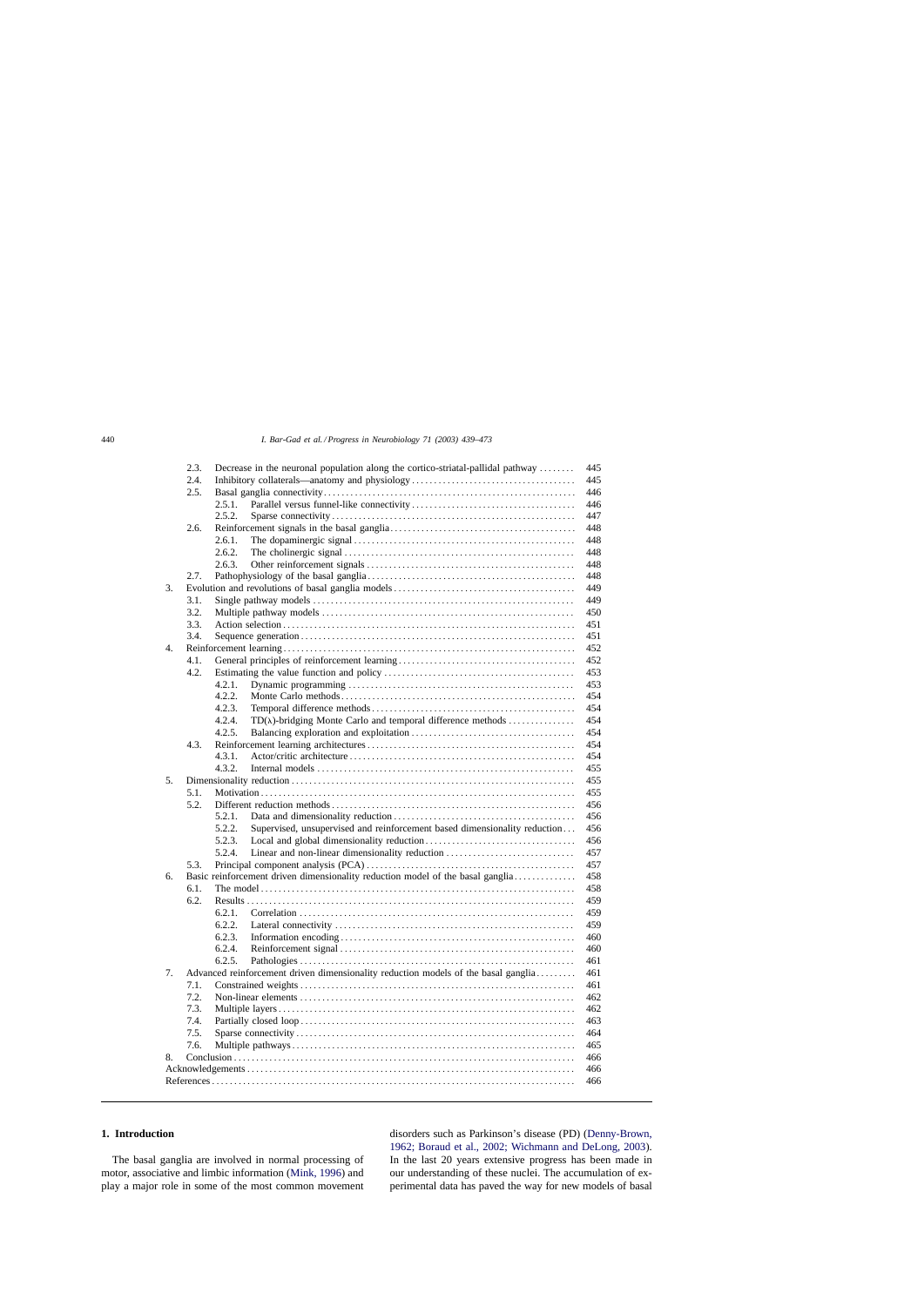|     | 2.3.<br>Decrease in the neuronal population along the cortico-striatal-pallidal pathway |        |                                                                                | 445        |  |  |  |
|-----|-----------------------------------------------------------------------------------------|--------|--------------------------------------------------------------------------------|------------|--|--|--|
|     | 2.4.                                                                                    |        |                                                                                | 445        |  |  |  |
|     | 2.5.                                                                                    |        |                                                                                | 446        |  |  |  |
|     |                                                                                         | 2.5.1. |                                                                                | 446        |  |  |  |
|     |                                                                                         | 2.5.2. |                                                                                | 447        |  |  |  |
|     | 2.6.                                                                                    |        |                                                                                | 448        |  |  |  |
|     |                                                                                         | 2.6.1. |                                                                                | 448        |  |  |  |
|     |                                                                                         | 2.6.2. |                                                                                | 448        |  |  |  |
|     |                                                                                         | 2.6.3. |                                                                                | 448        |  |  |  |
|     | 2.7.                                                                                    |        |                                                                                | 448        |  |  |  |
|     |                                                                                         |        | 449                                                                            |            |  |  |  |
| 3.  |                                                                                         |        |                                                                                |            |  |  |  |
|     | 3.1.                                                                                    |        |                                                                                | 449        |  |  |  |
|     | 3.2.                                                                                    |        |                                                                                | 450        |  |  |  |
|     | 3.3.                                                                                    |        |                                                                                | 451<br>451 |  |  |  |
|     | 3.4.                                                                                    |        |                                                                                |            |  |  |  |
| 4.  |                                                                                         |        |                                                                                |            |  |  |  |
|     | 4.1.                                                                                    |        |                                                                                | 452        |  |  |  |
|     | 4.2.                                                                                    |        |                                                                                | 453        |  |  |  |
|     |                                                                                         | 4.2.1. |                                                                                | 453        |  |  |  |
|     |                                                                                         | 4.2.2. |                                                                                | 454        |  |  |  |
|     |                                                                                         | 4.2.3. |                                                                                | 454        |  |  |  |
|     |                                                                                         | 4.2.4. | $TD(\lambda)$ -bridging Monte Carlo and temporal difference methods            | 454        |  |  |  |
|     |                                                                                         | 4.2.5. |                                                                                | 454        |  |  |  |
|     | 4.3.                                                                                    |        |                                                                                | 454        |  |  |  |
|     |                                                                                         | 4.3.1. |                                                                                | 454        |  |  |  |
|     |                                                                                         |        |                                                                                |            |  |  |  |
|     |                                                                                         | 4.3.2. |                                                                                | 455<br>455 |  |  |  |
| 5.  |                                                                                         |        |                                                                                |            |  |  |  |
|     | 5.1.                                                                                    |        |                                                                                | 455        |  |  |  |
|     | 5.2.                                                                                    |        |                                                                                | 456        |  |  |  |
|     |                                                                                         | 5.2.1. |                                                                                | 456        |  |  |  |
|     |                                                                                         | 5.2.2. | Supervised, unsupervised and reinforcement based dimensionality reduction      | 456        |  |  |  |
|     |                                                                                         | 5.2.3. |                                                                                | 456        |  |  |  |
|     |                                                                                         | 5.2.4. | Linear and non-linear dimensionality reduction                                 | 457        |  |  |  |
|     | 5.3.                                                                                    |        |                                                                                | 457        |  |  |  |
| 6.  |                                                                                         |        | Basic reinforcement driven dimensionality reduction model of the basal ganglia | 458        |  |  |  |
|     | 6.1.                                                                                    |        |                                                                                | 458        |  |  |  |
|     | 6.2.                                                                                    |        |                                                                                | 459        |  |  |  |
|     |                                                                                         | 6.2.1. |                                                                                | 459        |  |  |  |
|     |                                                                                         | 6.2.2. |                                                                                | 459        |  |  |  |
|     |                                                                                         | 6.2.3. |                                                                                | 460        |  |  |  |
|     |                                                                                         | 6.2.4. |                                                                                | 460        |  |  |  |
|     |                                                                                         |        |                                                                                |            |  |  |  |
|     |                                                                                         | 6.2.5. |                                                                                | 461<br>461 |  |  |  |
| 7.  | Advanced reinforcement driven dimensionality reduction models of the basal ganglia      |        |                                                                                |            |  |  |  |
|     | 7.1.                                                                                    |        |                                                                                | 461        |  |  |  |
|     | 7.2.                                                                                    |        |                                                                                | 462        |  |  |  |
|     | 7.3.                                                                                    |        |                                                                                | 462        |  |  |  |
|     | 7.4.                                                                                    |        |                                                                                | 463        |  |  |  |
|     | 7.5.                                                                                    |        |                                                                                | 464        |  |  |  |
|     | 7.6.                                                                                    |        |                                                                                | 465        |  |  |  |
| 8.  |                                                                                         |        |                                                                                | 466        |  |  |  |
| 466 |                                                                                         |        |                                                                                |            |  |  |  |
|     | 466                                                                                     |        |                                                                                |            |  |  |  |
|     |                                                                                         |        |                                                                                |            |  |  |  |

# **1. Introduction**

The basal ganglia are involved in normal processing of motor, associative and limbic information ([Mink, 1996\)](#page-32-0) and play a major role in some of the most common movement disorders such as Parkinson's disease (PD) [\(Denny-Brown,](#page-29-0) [1962; Boraud et al., 2002; Wichmann and DeLong, 2003\)](#page-29-0). In the last 20 years extensive progress has been made in our understanding of these nuclei. The accumulation of experimental data has paved the way for new models of basal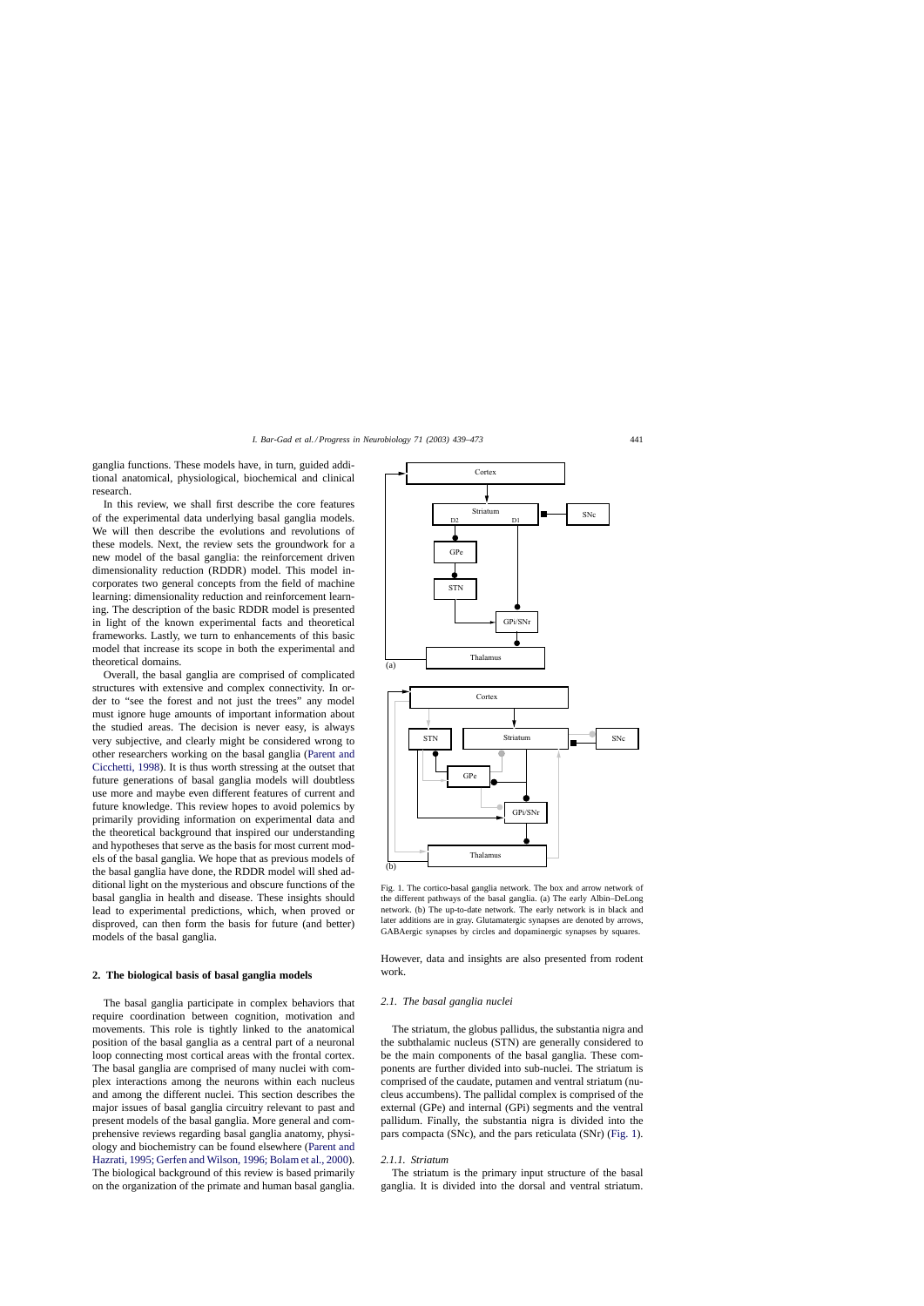<span id="page-2-0"></span>ganglia functions. These models have, in turn, guided additional anatomical, physiological, biochemical and clinical research.

In this review, we shall first describe the core features of the experimental data underlying basal ganglia models. We will then describe the evolutions and revolutions of these models. Next, the review sets the groundwork for a new model of the basal ganglia: the reinforcement driven dimensionality reduction (RDDR) model. This model incorporates two general concepts from the field of machine learning: dimensionality reduction and reinforcement learning. The description of the basic RDDR model is presented in light of the known experimental facts and theoretical frameworks. Lastly, we turn to enhancements of this basic model that increase its scope in both the experimental and theoretical domains.

Overall, the basal ganglia are comprised of complicated structures with extensive and complex connectivity. In order to "see the forest and not just the trees" any model must ignore huge amounts of important information about the studied areas. The decision is never easy, is always very subjective, and clearly might be considered wrong to other researchers working on the basal ganglia ([Parent and](#page-32-0) [Cicchetti, 1998\).](#page-32-0) It is thus worth stressing at the outset that future generations of basal ganglia models will doubtless use more and maybe even different features of current and future knowledge. This review hopes to avoid polemics by primarily providing information on experimental data and the theoretical background that inspired our understanding and hypotheses that serve as the basis for most current models of the basal ganglia. We hope that as previous models of the basal ganglia have done, the RDDR model will shed additional light on the mysterious and obscure functions of the basal ganglia in health and disease. These insights should lead to experimental predictions, which, when proved or disproved, can then form the basis for future (and better) models of the basal ganglia.

#### **2. The biological basis of basal ganglia models**

The basal ganglia participate in complex behaviors that require coordination between cognition, motivation and movements. This role is tightly linked to the anatomical position of the basal ganglia as a central part of a neuronal loop connecting most cortical areas with the frontal cortex. The basal ganglia are comprised of many nuclei with complex interactions among the neurons within each nucleus and among the different nuclei. This section describes the major issues of basal ganglia circuitry relevant to past and present models of the basal ganglia. More general and comprehensive reviews regarding basal ganglia anatomy, physiology and biochemistry can be found elsewhere [\(Parent and](#page-32-0) [Hazrati, 1995; Gerfen and Wilson, 1996; Bolam et al., 2000\).](#page-32-0) The biological background of this review is based primarily on the organization of the primate and human basal ganglia.



Fig. 1. The cortico-basal ganglia network. The box and arrow network of the different pathways of the basal ganglia. (a) The early Albin–DeLong network. (b) The up-to-date network. The early network is in black and later additions are in gray. Glutamatergic synapses are denoted by arrows, GABAergic synapses by circles and dopaminergic synapses by squares.

However, data and insights are also presented from rodent work.

### *2.1. The basal ganglia nuclei*

The striatum, the globus pallidus, the substantia nigra and the subthalamic nucleus (STN) are generally considered to be the main components of the basal ganglia. These components are further divided into sub-nuclei. The striatum is comprised of the caudate, putamen and ventral striatum (nucleus accumbens). The pallidal complex is comprised of the external (GPe) and internal (GPi) segments and the ventral pallidum. Finally, the substantia nigra is divided into the pars compacta (SNc), and the pars reticulata (SNr) (Fig. 1).

# *2.1.1. Striatum*

The striatum is the primary input structure of the basal ganglia. It is divided into the dorsal and ventral striatum.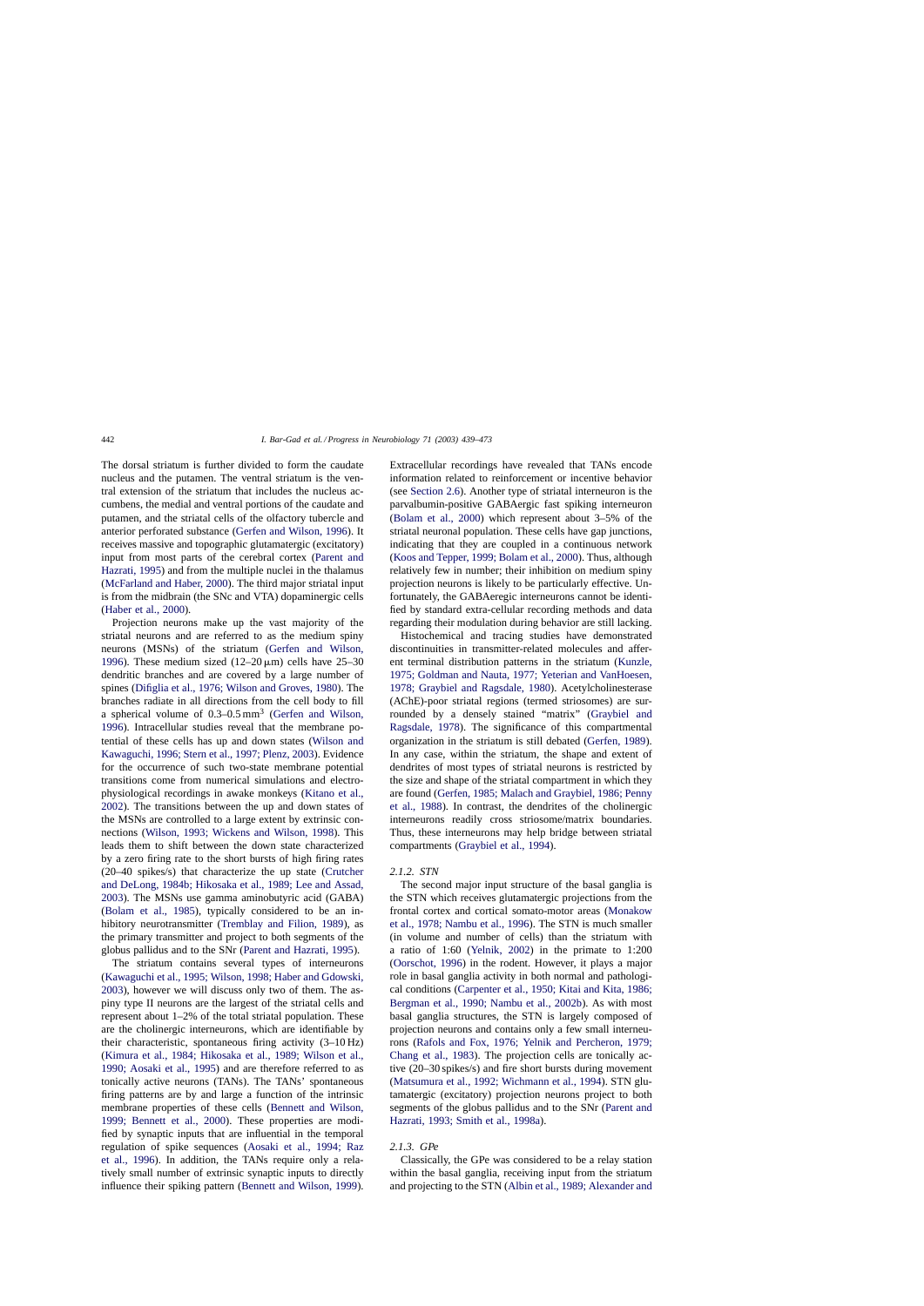The dorsal striatum is further divided to form the caudate nucleus and the putamen. The ventral striatum is the ventral extension of the striatum that includes the nucleus accumbens, the medial and ventral portions of the caudate and putamen, and the striatal cells of the olfactory tubercle and anterior perforated substance [\(Gerfen and Wilson, 1996\).](#page-30-0) It receives massive and topographic glutamatergic (excitatory) input from most parts of the cerebral cortex [\(Parent and](#page-32-0) [Hazrati, 1995\)](#page-32-0) and from the multiple nuclei in the thalamus ([McFarland and Haber, 2000\).](#page-32-0) The third major striatal input is from the midbrain (the SNc and VTA) dopaminergic cells ([Haber et al., 2000\).](#page-30-0)

Projection neurons make up the vast majority of the striatal neurons and are referred to as the medium spiny neurons (MSNs) of the striatum [\(Gerfen and Wilson](#page-30-0), [1996\).](#page-30-0) These medium sized  $(12-20 \,\mu\text{m})$  cells have 25-30 dendritic branches and are covered by a large number of spines [\(Difiglia et al., 1976; Wilson and Groves, 1980\).](#page-29-0) The branches radiate in all directions from the cell body to fill a spherical volume of  $0.3-0.5$  mm<sup>3</sup> [\(Gerfen and Wilson,](#page-30-0) [1996\).](#page-30-0) Intracellular studies reveal that the membrane potential of these cells has up and down states ([Wilson and](#page-34-0) [Kawaguchi, 1996; Stern et al., 1997; Plenz, 2003\). E](#page-34-0)vidence for the occurrence of such two-state membrane potential transitions come from numerical simulations and electrophysiological recordings in awake monkeys ([Kitano et al.,](#page-31-0) [2002\).](#page-31-0) The transitions between the up and down states of the MSNs are controlled to a large extent by extrinsic connections ([Wilson, 1993; Wickens and Wilson, 1998\)](#page-34-0). This leads them to shift between the down state characterized by a zero firing rate to the short bursts of high firing rates (20–40 spikes/s) that characterize the up state ([Crutcher](#page-29-0) [and DeLong, 1984b; Hikosaka et al., 1989; Lee and Assad,](#page-29-0) [2003\).](#page-29-0) The MSNs use gamma aminobutyric acid (GABA) ([Bolam et al., 1985](#page-28-0)), typically considered to be an inhibitory neurotransmitter ([Tremblay and Filion, 1989\)](#page-34-0), as the primary transmitter and project to both segments of the globus pallidus and to the SNr ([Parent and Hazrati, 1995\).](#page-32-0)

The striatum contains several types of interneurons ([Kawaguchi et al., 1995; Wilson, 1998; Haber and Gdowski,](#page-31-0) [2003\),](#page-31-0) however we will discuss only two of them. The aspiny type II neurons are the largest of the striatal cells and represent about 1–2% of the total striatal population. These are the cholinergic interneurons, which are identifiable by their characteristic, spontaneous firing activity (3–10 Hz) ([Kimura et al., 1984; Hikosaka et al., 1989; Wilson et al.,](#page-31-0) [1990; Aosaki et al., 1995\)](#page-31-0) and are therefore referred to as tonically active neurons (TANs). The TANs' spontaneous firing patterns are by and large a function of the intrinsic membrane properties of these cells ([Bennett and Wilson,](#page-28-0) [1999; Bennett et al., 2000](#page-28-0)). These properties are modified by synaptic inputs that are influential in the temporal regulation of spike sequences ([Aosaki et al., 1994; Raz](#page-28-0) [et al., 1996\)](#page-28-0). In addition, the TANs require only a relatively small number of extrinsic synaptic inputs to directly influence their spiking pattern [\(Bennett and Wilson, 1999\).](#page-28-0) Extracellular recordings have revealed that TANs encode information related to reinforcement or incentive behavior (see [Section 2.6\).](#page-9-0) Another type of striatal interneuron is the parvalbumin-positive GABAergic fast spiking interneuron ([Bolam et al., 2000\)](#page-28-0) which represent about 3–5% of the striatal neuronal population. These cells have gap junctions, indicating that they are coupled in a continuous network ([Koos and Tepper, 1999; Bolam et al., 2000\). T](#page-31-0)hus, although relatively few in number; their inhibition on medium spiny projection neurons is likely to be particularly effective. Unfortunately, the GABAeregic interneurons cannot be identified by standard extra-cellular recording methods and data regarding their modulation during behavior are still lacking.

Histochemical and tracing studies have demonstrated discontinuities in transmitter-related molecules and afferent terminal distribution patterns in the striatum [\(Kunzle,](#page-31-0) [1975; Goldman and Nauta, 1977; Yeterian and VanHoesen,](#page-31-0) [1978; Graybiel and Ragsdale, 1980\)](#page-31-0). Acetylcholinesterase (AChE)-poor striatal regions (termed striosomes) are surrounded by a densely stained "matrix" ([Graybiel and](#page-30-0) [Ragsdale, 1978\)](#page-30-0). The significance of this compartmental organization in the striatum is still debated ([Gerfen, 1989\).](#page-30-0) In any case, within the striatum, the shape and extent of dendrites of most types of striatal neurons is restricted by the size and shape of the striatal compartment in which they are found ([Gerfen, 1985; Malach and Graybiel, 1986; Penny](#page-30-0) [et al., 1988\)](#page-30-0). In contrast, the dendrites of the cholinergic interneurons readily cross striosome/matrix boundaries. Thus, these interneurons may help bridge between striatal compartments [\(Graybiel et al., 1994\).](#page-30-0)

#### *2.1.2. STN*

The second major input structure of the basal ganglia is the STN which receives glutamatergic projections from the frontal cortex and cortical somato-motor areas ([Monakow](#page-32-0) [et al., 1978; Nambu et al., 1996\).](#page-32-0) The STN is much smaller (in volume and number of cells) than the striatum with a ratio of 1:60 [\(Yelnik, 2002\)](#page-34-0) in the primate to 1:200 ([Oorschot, 1996\)](#page-32-0) in the rodent. However, it plays a major role in basal ganglia activity in both normal and pathological conditions [\(Carpenter et al., 1950; Kitai and Kita, 1986;](#page-29-0) [Bergman et al., 1990; Nambu et al., 2002b\)](#page-29-0). As with most basal ganglia structures, the STN is largely composed of projection neurons and contains only a few small interneurons ([Rafols and Fox, 1976; Yelnik and Percheron, 1979;](#page-33-0) [Chang et al., 1983\)](#page-33-0). The projection cells are tonically active (20–30 spikes/s) and fire short bursts during movement ([Matsumura et al., 1992; Wichmann et al., 1994\).](#page-32-0) STN glutamatergic (excitatory) projection neurons project to both segments of the globus pallidus and to the SNr ([Parent and](#page-32-0) [Hazrati, 1993; Smith et al., 1998a\).](#page-32-0)

### *2.1.3. GPe*

Classically, the GPe was considered to be a relay station within the basal ganglia, receiving input from the striatum and projecting to the STN [\(Albin et al., 1989; Alexander and](#page-28-0)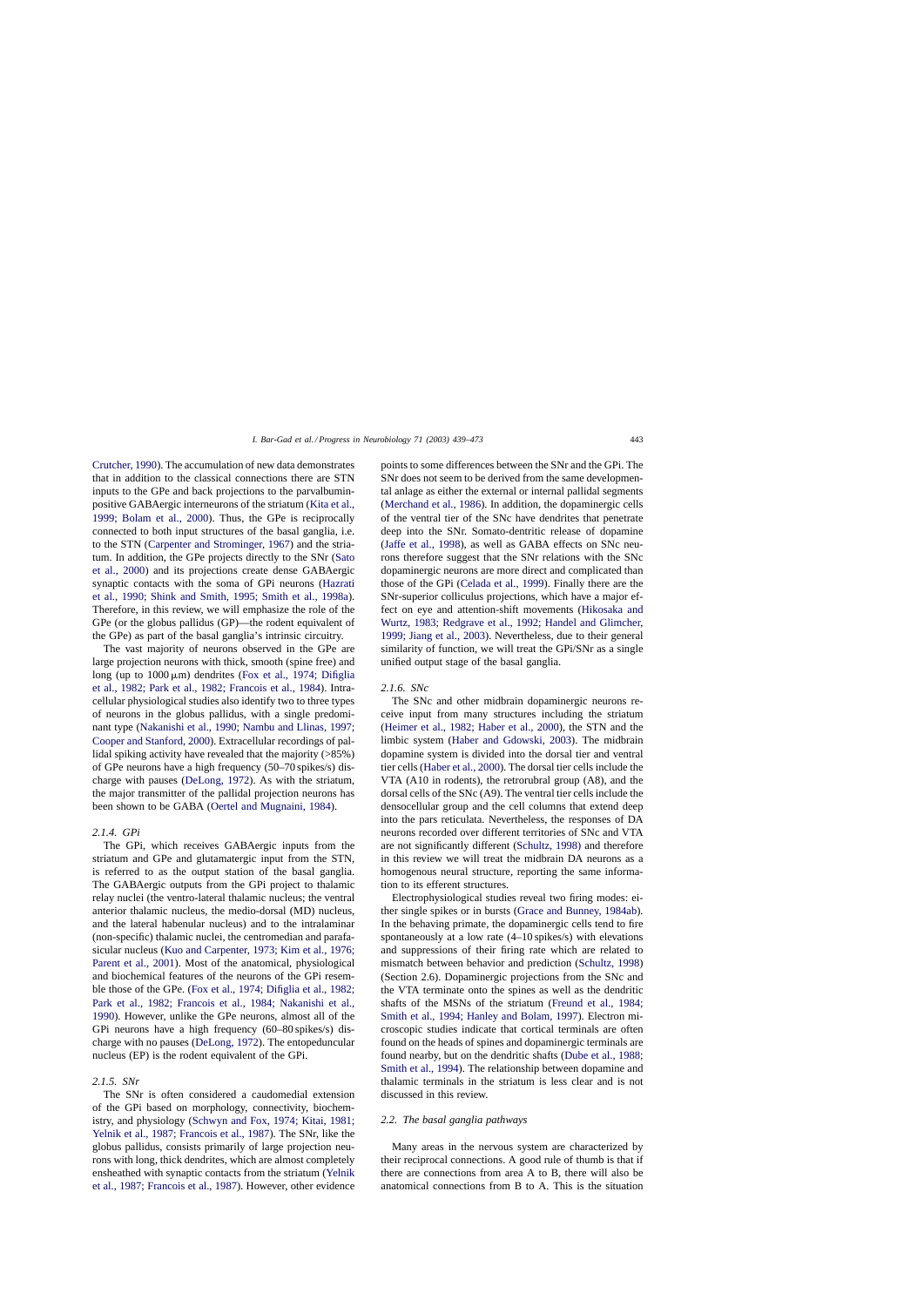[Crutcher, 1990\).](#page-28-0) The accumulation of new data demonstrates that in addition to the classical connections there are STN inputs to the GPe and back projections to the parvalbuminpositive GABAergic interneurons of the striatum ([Kita et al.,](#page-31-0) [1999; Bolam et al., 2000](#page-31-0)). Thus, the GPe is reciprocally connected to both input structures of the basal ganglia, i.e. to the STN [\(Carpenter and Strominger, 1967\)](#page-29-0) and the striatum. In addition, the GPe projects directly to the SNr ([Sato](#page-33-0) [et al., 2000\)](#page-33-0) and its projections create dense GABAergic synaptic contacts with the soma of GPi neurons [\(Hazrati](#page-30-0) [et al., 1990; Shink and Smith, 1995; Smith et al., 1998a](#page-30-0)). Therefore, in this review, we will emphasize the role of the GPe (or the globus pallidus (GP)—the rodent equivalent of the GPe) as part of the basal ganglia's intrinsic circuitry.

The vast majority of neurons observed in the GPe are large projection neurons with thick, smooth (spine free) and long (up to  $1000 \mu m$ ) dendrites ([Fox et al., 1974; Difiglia](#page-29-0) [et al., 1982; Park et al., 1982; Francois et al., 1984\)](#page-29-0). Intracellular physiological studies also identify two to three types of neurons in the globus pallidus, with a single predominant type ([Nakanishi et al., 1990; Nambu and Llinas, 1997;](#page-32-0) [Cooper and Stanford, 2000\).](#page-32-0) Extracellular recordings of pallidal spiking activity have revealed that the majority (>85%) of GPe neurons have a high frequency (50–70 spikes/s) discharge with pauses ([DeLong, 1972\).](#page-29-0) As with the striatum, the major transmitter of the pallidal projection neurons has been shown to be GABA [\(Oertel and Mugnaini, 1984\).](#page-32-0)

# *2.1.4. GPi*

The GPi, which receives GABAergic inputs from the striatum and GPe and glutamatergic input from the STN, is referred to as the output station of the basal ganglia. The GABAergic outputs from the GPi project to thalamic relay nuclei (the ventro-lateral thalamic nucleus; the ventral anterior thalamic nucleus, the medio-dorsal (MD) nucleus, and the lateral habenular nucleus) and to the intralaminar (non-specific) thalamic nuclei, the centromedian and parafasicular nucleus ([Kuo and Carpenter, 1973; Kim et al., 1976;](#page-31-0) [Parent et al., 2001\).](#page-31-0) Most of the anatomical, physiological and biochemical features of the neurons of the GPi resemble those of the GPe. ([Fox et al., 1974; Difiglia et al., 1982;](#page-29-0) [Park et al., 1982; Francois et al., 1984; Nakanishi et al.,](#page-29-0) [1990\).](#page-29-0) However, unlike the GPe neurons, almost all of the GPi neurons have a high frequency (60–80 spikes/s) discharge with no pauses [\(DeLong, 1972\).](#page-29-0) The entopeduncular nucleus (EP) is the rodent equivalent of the GPi.

# *2.1.5. SNr*

The SNr is often considered a caudomedial extension of the GPi based on morphology, connectivity, biochemistry, and physiology [\(Schwyn and Fox, 1974; Kitai, 1981;](#page-33-0) [Yelnik et al., 1987; Francois et al., 1987\).](#page-33-0) The SNr, like the globus pallidus, consists primarily of large projection neurons with long, thick dendrites, which are almost completely ensheathed with synaptic contacts from the striatum [\(Yelnik](#page-34-0) [et al., 1987; Francois et al., 1987\).](#page-34-0) However, other evidence

points to some differences between the SNr and the GPi. The SNr does not seem to be derived from the same developmental anlage as either the external or internal pallidal segments ([Merchand et al., 1986\).](#page-32-0) In addition, the dopaminergic cells of the ventral tier of the SNc have dendrites that penetrate deep into the SNr. Somato-dentritic release of dopamine ([Jaffe et al., 1998\),](#page-31-0) as well as GABA effects on SNc neurons therefore suggest that the SNr relations with the SNc dopaminergic neurons are more direct and complicated than those of the GPi ([Celada et al., 1999\).](#page-29-0) Finally there are the SNr-superior colliculus projections, which have a major effect on eye and attention-shift movements [\(Hikosaka and](#page-30-0) [Wurtz, 1983; Redgrave et al., 1992; Handel and Glimcher,](#page-30-0) [1999; Jiang et al., 2003\).](#page-30-0) Nevertheless, due to their general similarity of function, we will treat the GPi/SNr as a single unified output stage of the basal ganglia.

### *2.1.6. SNc*

The SNc and other midbrain dopaminergic neurons receive input from many structures including the striatum ([Heimer et al., 1982; Haber et al., 2000\)](#page-30-0), the STN and the limbic system ([Haber and Gdowski, 2003\)](#page-30-0). The midbrain dopamine system is divided into the dorsal tier and ventral tier cells [\(Haber et al., 2000\). T](#page-30-0)he dorsal tier cells include the VTA (A10 in rodents), the retrorubral group (A8), and the dorsal cells of the SNc (A9). The ventral tier cells include the densocellular group and the cell columns that extend deep into the pars reticulata. Nevertheless, the responses of DA neurons recorded over different territories of SNc and VTA are not significantly different [\(Schultz, 1998\)](#page-33-0) and therefore in this review we will treat the midbrain DA neurons as a homogenous neural structure, reporting the same information to its efferent structures.

Electrophysiological studies reveal two firing modes: either single spikes or in bursts ([Grace and Bunney, 1984ab\).](#page-30-0) In the behaving primate, the dopaminergic cells tend to fire spontaneously at a low rate (4–10 spikes/s) with elevations and suppressions of their firing rate which are related to mismatch between behavior and prediction ([Schultz, 1998\)](#page-33-0) (Section 2.6). Dopaminergic projections from the SNc and the VTA terminate onto the spines as well as the dendritic shafts of the MSNs of the striatum [\(Freund et al., 1984;](#page-30-0) [Smith et al., 1994; Hanley and Bolam, 1997\).](#page-30-0) Electron microscopic studies indicate that cortical terminals are often found on the heads of spines and dopaminergic terminals are found nearby, but on the dendritic shafts ([Dube et al., 1988;](#page-29-0) [Smith et al., 1994\).](#page-29-0) The relationship between dopamine and thalamic terminals in the striatum is less clear and is not discussed in this review.

### *2.2. The basal ganglia pathways*

Many areas in the nervous system are characterized by their reciprocal connections. A good rule of thumb is that if there are connections from area A to B, there will also be anatomical connections from B to A. This is the situation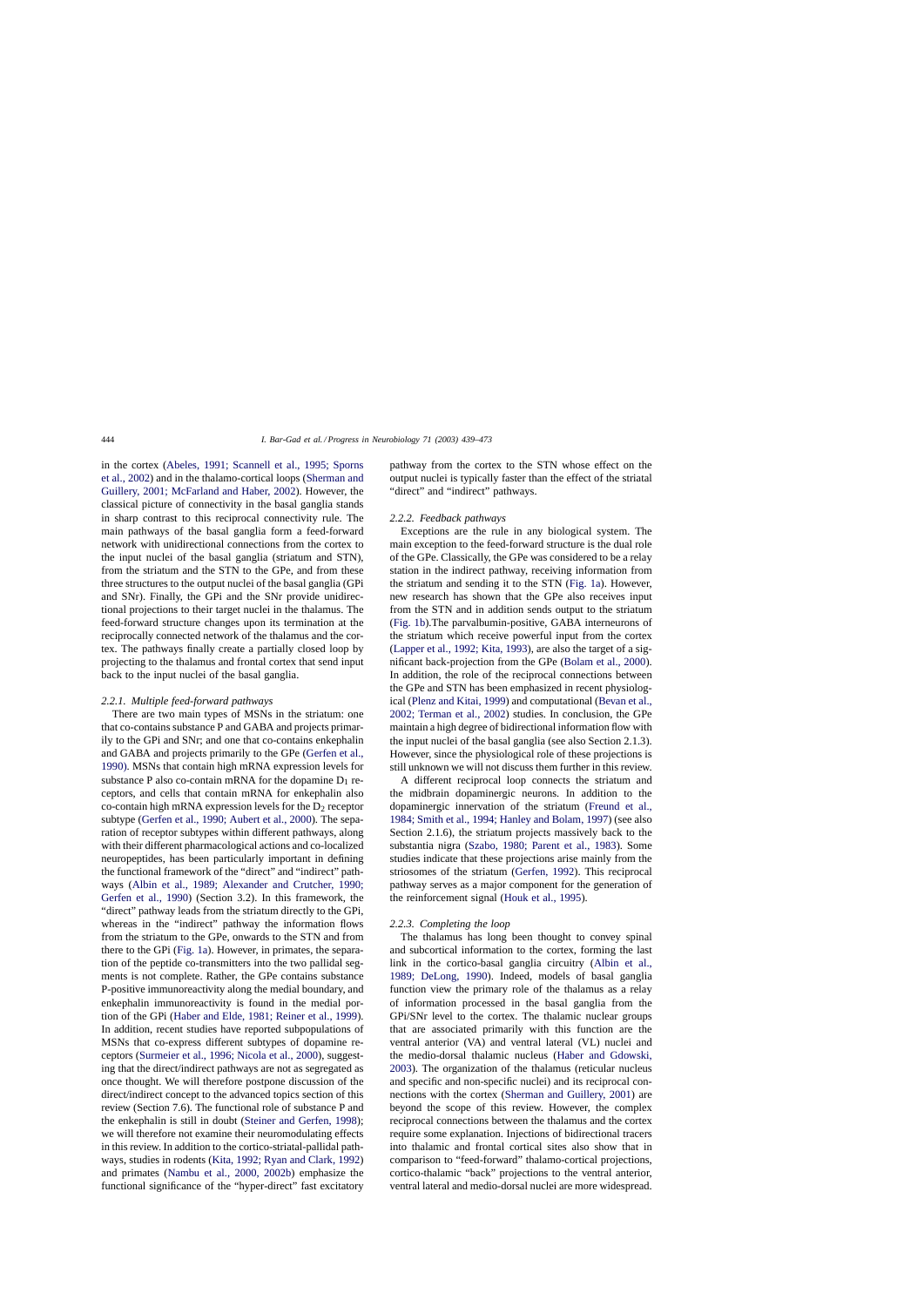in the cortex ([Abeles, 1991; Scannell et al., 1995; Sporns](#page-27-0) [et al., 2002\) a](#page-27-0)nd in the thalamo-cortical loops [\(Sherman and](#page-33-0) [Guillery, 2001; McFarland and Haber, 2002\).](#page-33-0) However, the classical picture of connectivity in the basal ganglia stands in sharp contrast to this reciprocal connectivity rule. The main pathways of the basal ganglia form a feed-forward network with unidirectional connections from the cortex to the input nuclei of the basal ganglia (striatum and STN), from the striatum and the STN to the GPe, and from these three structures to the output nuclei of the basal ganglia (GPi and SNr). Finally, the GPi and the SNr provide unidirectional projections to their target nuclei in the thalamus. The feed-forward structure changes upon its termination at the reciprocally connected network of the thalamus and the cortex. The pathways finally create a partially closed loop by projecting to the thalamus and frontal cortex that send input back to the input nuclei of the basal ganglia.

### *2.2.1. Multiple feed-forward pathways*

There are two main types of MSNs in the striatum: one that co-contains substance P and GABA and projects primarily to the GPi and SNr; and one that co-contains enkephalin and GABA and projects primarily to the GPe [\(Gerfen et al.,](#page-30-0) [1990\). M](#page-30-0)SNs that contain high mRNA expression levels for substance P also co-contain mRNA for the dopamine  $D_1$  receptors, and cells that contain mRNA for enkephalin also co-contain high mRNA expression levels for the  $D_2$  receptor subtype [\(Gerfen et al., 1990; Aubert et al., 2000\).](#page-30-0) The separation of receptor subtypes within different pathways, along with their different pharmacological actions and co-localized neuropeptides, has been particularly important in defining the functional framework of the "direct" and "indirect" pathways ([Albin et al., 1989; Alexander and Crutcher, 1990](#page-28-0); [Gerfen et al., 1990\)](#page-28-0) (Section 3.2). In this framework, the "direct" pathway leads from the striatum directly to the GPi, whereas in the "indirect" pathway the information flows from the striatum to the GPe, onwards to the STN and from there to the GPi ([Fig. 1a\).](#page-2-0) However, in primates, the separation of the peptide co-transmitters into the two pallidal segments is not complete. Rather, the GPe contains substance P-positive immunoreactivity along the medial boundary, and enkephalin immunoreactivity is found in the medial portion of the GPi [\(Haber and Elde, 1981; Reiner et al., 1999\).](#page-30-0) In addition, recent studies have reported subpopulations of MSNs that co-express different subtypes of dopamine receptors [\(Surmeier et al., 1996; Nicola et al., 2000\),](#page-34-0) suggesting that the direct/indirect pathways are not as segregated as once thought. We will therefore postpone discussion of the direct/indirect concept to the advanced topics section of this review (Section 7.6). The functional role of substance P and the enkephalin is still in doubt [\(Steiner and Gerfen, 1998\);](#page-33-0) we will therefore not examine their neuromodulating effects in this review. In addition to the cortico-striatal-pallidal pathways, studies in rodents [\(Kita, 1992; Ryan and Clark, 1992\)](#page-31-0) and primates ([Nambu et al., 2000, 2002b\)](#page-32-0) emphasize the functional significance of the "hyper-direct" fast excitatory pathway from the cortex to the STN whose effect on the output nuclei is typically faster than the effect of the striatal "direct" and "indirect" pathways.

### *2.2.2. Feedback pathways*

Exceptions are the rule in any biological system. The main exception to the feed-forward structure is the dual role of the GPe. Classically, the GPe was considered to be a relay station in the indirect pathway, receiving information from the striatum and sending it to the STN [\(Fig. 1a\).](#page-2-0) However, new research has shown that the GPe also receives input from the STN and in addition sends output to the striatum ([Fig. 1b\).](#page-2-0)The parvalbumin-positive, GABA interneurons of the striatum which receive powerful input from the cortex ([Lapper et al., 1992; Kita, 1993\),](#page-31-0) are also the target of a significant back-projection from the GPe [\(Bolam et al., 2000\).](#page-28-0) In addition, the role of the reciprocal connections between the GPe and STN has been emphasized in recent physiological [\(Plenz and Kitai, 1999\) a](#page-33-0)nd computational ([Bevan et al.,](#page-28-0) [2002; Terman et al., 2002\)](#page-28-0) studies. In conclusion, the GPe maintain a high degree of bidirectional information flow with the input nuclei of the basal ganglia (see also Section 2.1.3). However, since the physiological role of these projections is still unknown we will not discuss them further in this review.

A different reciprocal loop connects the striatum and the midbrain dopaminergic neurons. In addition to the dopaminergic innervation of the striatum ([Freund et al.,](#page-30-0) [1984; Smith et al., 1994; Hanley and Bolam, 1997\) \(s](#page-30-0)ee also Section 2.1.6), the striatum projects massively back to the substantia nigra [\(Szabo, 1980; Parent et al., 1983](#page-34-0)). Some studies indicate that these projections arise mainly from the striosomes of the striatum ([Gerfen, 1992\).](#page-30-0) This reciprocal pathway serves as a major component for the generation of the reinforcement signal ([Houk et al., 1995\).](#page-30-0)

### *2.2.3. Completing the loop*

The thalamus has long been thought to convey spinal and subcortical information to the cortex, forming the last link in the cortico-basal ganglia circuitry ([Albin et al.,](#page-28-0) [1989; DeLong, 1990](#page-28-0)). Indeed, models of basal ganglia function view the primary role of the thalamus as a relay of information processed in the basal ganglia from the GPi/SNr level to the cortex. The thalamic nuclear groups that are associated primarily with this function are the ventral anterior (VA) and ventral lateral (VL) nuclei and the medio-dorsal thalamic nucleus ([Haber and Gdowski,](#page-30-0) [2003\).](#page-30-0) The organization of the thalamus (reticular nucleus and specific and non-specific nuclei) and its reciprocal connections with the cortex [\(Sherman and Guillery, 2001\)](#page-33-0) are beyond the scope of this review. However, the complex reciprocal connections between the thalamus and the cortex require some explanation. Injections of bidirectional tracers into thalamic and frontal cortical sites also show that in comparison to "feed-forward" thalamo-cortical projections, cortico-thalamic "back" projections to the ventral anterior, ventral lateral and medio-dorsal nuclei are more widespread.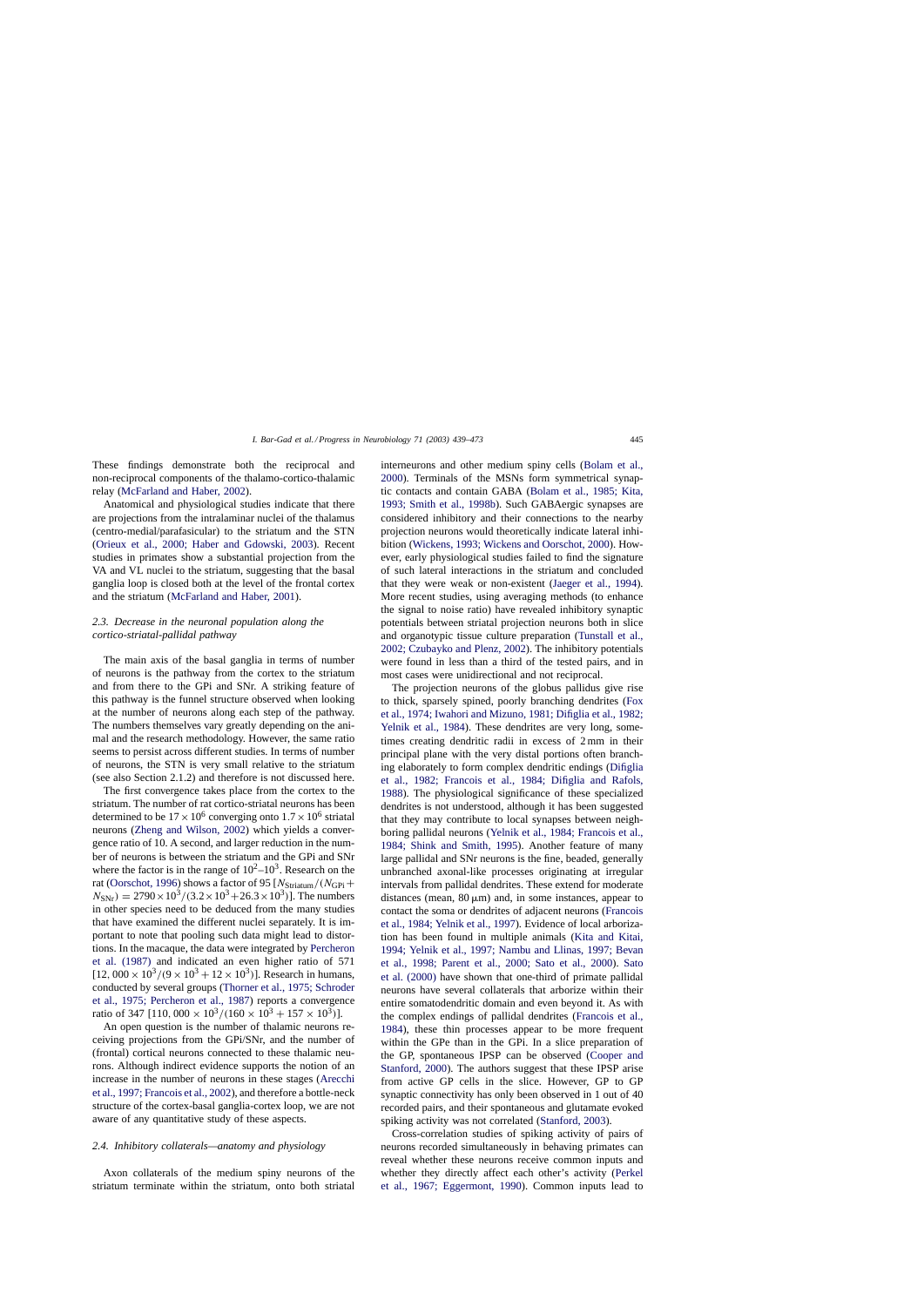These findings demonstrate both the reciprocal and non-reciprocal components of the thalamo-cortico-thalamic relay ([McFarland and Haber, 2002\).](#page-32-0)

Anatomical and physiological studies indicate that there are projections from the intralaminar nuclei of the thalamus (centro-medial/parafasicular) to the striatum and the STN ([Orieux et al., 2000; Haber and Gdowski, 200](#page-32-0)3). Recent studies in primates show a substantial projection from the VA and VL nuclei to the striatum, suggesting that the basal ganglia loop is closed both at the level of the frontal cortex and the striatum ([McFarland and Haber, 2001\).](#page-32-0)

# *2.3. Decrease in the neuronal population along the cortico-striatal-pallidal pathway*

The main axis of the basal ganglia in terms of number of neurons is the pathway from the cortex to the striatum and from there to the GPi and SNr. A striking feature of this pathway is the funnel structure observed when looking at the number of neurons along each step of the pathway. The numbers themselves vary greatly depending on the animal and the research methodology. However, the same ratio seems to persist across different studies. In terms of number of neurons, the STN is very small relative to the striatum (see also Section 2.1.2) and therefore is not discussed here.

The first convergence takes place from the cortex to the striatum. The number of rat cortico-striatal neurons has been determined to be  $17 \times 10^6$  converging onto  $1.7 \times 10^6$  striatal neurons ([Zheng and Wilson, 2002\)](#page-34-0) which yields a convergence ratio of 10. A second, and larger reduction in the number of neurons is between the striatum and the GPi and SNr where the factor is in the range of  $10^2$ – $10^3$ . Research on the rat [\(Oorschot, 1996\)](#page-32-0) shows a factor of 95  $[N<sub>Striatum</sub>/(N<sub>GPi</sub>+$  $N_{\text{SNr}}$ ) = 2790 × 10<sup>3</sup>/(3.2 × 10<sup>3</sup>+26.3 × 10<sup>3</sup>)]. The numbers in other species need to be deduced from the many studies that have examined the different nuclei separately. It is important to note that pooling such data might lead to distortions. In the macaque, the data were integrated by [Percheron](#page-32-0) [et al. \(1987\)](#page-32-0) and indicated an even higher ratio of 571  $[12, 000 \times 10^3/(9 \times 10^3 + 12 \times 10^3)]$ . Research in humans, conducted by several groups [\(Thorner et al., 1975; Schroder](#page-34-0) [et al., 1975; Percheron et al., 1987\)](#page-34-0) reports a convergence ratio of 347 [110, 000  $\times$  10<sup>3</sup>/(160  $\times$  10<sup>3</sup> + 157  $\times$  10<sup>3</sup>)].

An open question is the number of thalamic neurons receiving projections from the GPi/SNr, and the number of (frontal) cortical neurons connected to these thalamic neurons. Although indirect evidence supports the notion of an increase in the number of neurons in these stages ([Arecchi](#page-28-0) [et al., 1997; Francois et al., 2002\), an](#page-28-0)d therefore a bottle-neck structure of the cortex-basal ganglia-cortex loop, we are not aware of any quantitative study of these aspects.

### *2.4. Inhibitory collaterals—anatomy and physiology*

Axon collaterals of the medium spiny neurons of the striatum terminate within the striatum, onto both striatal interneurons and other medium spiny cells [\(Bolam et al.,](#page-28-0) [2000\).](#page-28-0) Terminals of the MSNs form symmetrical synaptic contacts and contain GABA [\(Bolam et al., 1985; Kita,](#page-28-0) [1993; Smith et al., 1998b\)](#page-28-0). Such GABAergic synapses are considered inhibitory and their connections to the nearby projection neurons would theoretically indicate lateral inhibition [\(Wickens, 1993; Wickens and Oorschot, 2000\).](#page-34-0) However, early physiological studies failed to find the signature of such lateral interactions in the striatum and concluded that they were weak or non-existent [\(Jaeger et al., 1994\)](#page-31-0). More recent studies, using averaging methods (to enhance the signal to noise ratio) have revealed inhibitory synaptic potentials between striatal projection neurons both in slice and organotypic tissue culture preparation [\(Tunstall et al.,](#page-34-0) [2002; Czubayko and Plenz, 2002\).](#page-34-0) The inhibitory potentials were found in less than a third of the tested pairs, and in most cases were unidirectional and not reciprocal.

The projection neurons of the globus pallidus give rise to thick, sparsely spined, poorly branching dendrites [\(Fox](#page-29-0) [et al., 1974; Iwahori and Mizuno, 1981; Difiglia et al., 1982;](#page-29-0) [Yelnik et al., 1984\)](#page-29-0). These dendrites are very long, sometimes creating dendritic radii in excess of 2 mm in their principal plane with the very distal portions often branching elaborately to form complex dendritic endings [\(Difiglia](#page-29-0) [et al., 1982; Francois et al., 1984; Difiglia and Rafols,](#page-29-0) [1988\).](#page-29-0) The physiological significance of these specialized dendrites is not understood, although it has been suggested that they may contribute to local synapses between neighboring pallidal neurons ([Yelnik et al., 1984; Francois et al.,](#page-34-0) [1984; Shink and Smith, 1995](#page-34-0)). Another feature of many large pallidal and SNr neurons is the fine, beaded, generally unbranched axonal-like processes originating at irregular intervals from pallidal dendrites. These extend for moderate distances (mean,  $80 \mu m$ ) and, in some instances, appear to contact the soma or dendrites of adjacent neurons [\(Francois](#page-29-0) [et al., 1984; Yelnik et al., 1997\).](#page-29-0) Evidence of local arborization has been found in multiple animals ([Kita and Kitai,](#page-31-0) [1994; Yelnik et al., 1997; Nambu and Llinas, 1997; Bevan](#page-31-0) [et al., 1998; Parent et al., 2000; Sato et al., 200](#page-31-0)0). [Sato](#page-33-0) [et al. \(2000\)](#page-33-0) have shown that one-third of primate pallidal neurons have several collaterals that arborize within their entire somatodendritic domain and even beyond it. As with the complex endings of pallidal dendrites [\(Francois et al.,](#page-29-0) [1984\),](#page-29-0) these thin processes appear to be more frequent within the GPe than in the GPi. In a slice preparation of the GP, spontaneous IPSP can be observed [\(Cooper and](#page-29-0) [Stanford, 2000\).](#page-29-0) The authors suggest that these IPSP arise from active GP cells in the slice. However, GP to GP synaptic connectivity has only been observed in 1 out of 40 recorded pairs, and their spontaneous and glutamate evoked spiking activity was not correlated ([Stanford, 2003\).](#page-33-0)

Cross-correlation studies of spiking activity of pairs of neurons recorded simultaneously in behaving primates can reveal whether these neurons receive common inputs and whether they directly affect each other's activity [\(Perkel](#page-33-0) [et al., 1967; Eggermont, 1990](#page-33-0)). Common inputs lead to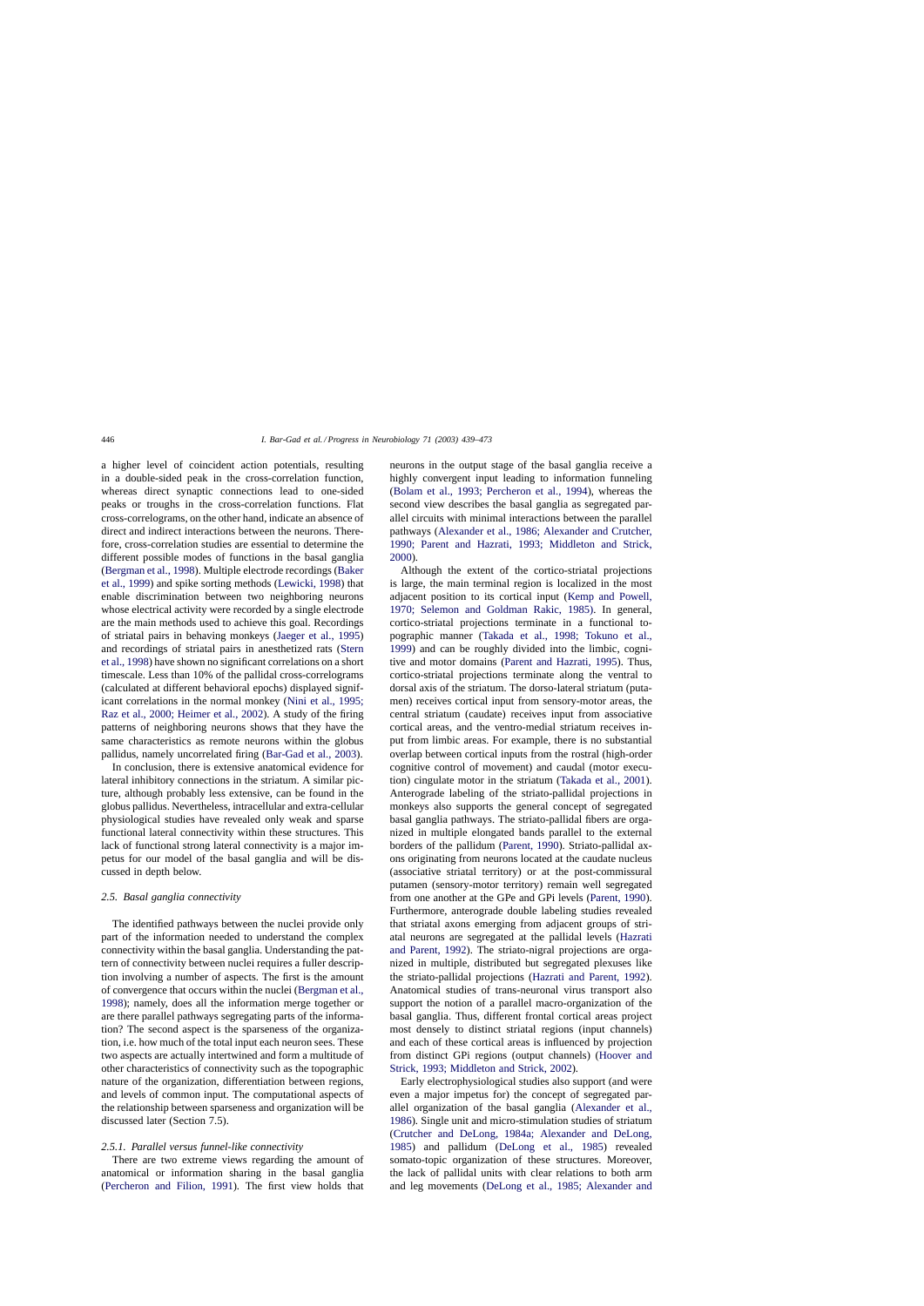a higher level of coincident action potentials, resulting in a double-sided peak in the cross-correlation function, whereas direct synaptic connections lead to one-sided peaks or troughs in the cross-correlation functions. Flat cross-correlograms, on the other hand, indicate an absence of direct and indirect interactions between the neurons. Therefore, cross-correlation studies are essential to determine the different possible modes of functions in the basal ganglia ([Bergman et al., 1998\).](#page-28-0) Multiple electrode recordings ([Baker](#page-28-0) [et al., 1999\) a](#page-28-0)nd spike sorting methods [\(Lewicki, 1998\)](#page-31-0) that enable discrimination between two neighboring neurons whose electrical activity were recorded by a single electrode are the main methods used to achieve this goal. Recordings of striatal pairs in behaving monkeys ([Jaeger et al., 1995\)](#page-31-0) and recordings of striatal pairs in anesthetized rats ([Stern](#page-33-0) [et al., 1998\) h](#page-33-0)ave shown no significant correlations on a short timescale. Less than 10% of the pallidal cross-correlograms (calculated at different behavioral epochs) displayed significant correlations in the normal monkey ([Nini et al., 1995;](#page-32-0) [Raz et al., 2000; Heimer et al., 2002\).](#page-32-0) A study of the firing patterns of neighboring neurons shows that they have the same characteristics as remote neurons within the globus pallidus, namely uncorrelated firing [\(Bar-Gad et al., 2003\).](#page-28-0)

In conclusion, there is extensive anatomical evidence for lateral inhibitory connections in the striatum. A similar picture, although probably less extensive, can be found in the globus pallidus. Nevertheless, intracellular and extra-cellular physiological studies have revealed only weak and sparse functional lateral connectivity within these structures. This lack of functional strong lateral connectivity is a major impetus for our model of the basal ganglia and will be discussed in depth below.

### *2.5. Basal ganglia connectivity*

The identified pathways between the nuclei provide only part of the information needed to understand the complex connectivity within the basal ganglia. Understanding the pattern of connectivity between nuclei requires a fuller description involving a number of aspects. The first is the amount of convergence that occurs within the nuclei ([Bergman et al.,](#page-28-0) [1998\);](#page-28-0) namely, does all the information merge together or are there parallel pathways segregating parts of the information? The second aspect is the sparseness of the organization, i.e. how much of the total input each neuron sees. These two aspects are actually intertwined and form a multitude of other characteristics of connectivity such as the topographic nature of the organization, differentiation between regions, and levels of common input. The computational aspects of the relationship between sparseness and organization will be discussed later (Section 7.5).

#### *2.5.1. Parallel versus funnel-like connectivity*

There are two extreme views regarding the amount of anatomical or information sharing in the basal ganglia ([Percheron and Filion, 1991](#page-32-0)). The first view holds that neurons in the output stage of the basal ganglia receive a highly convergent input leading to information funneling ([Bolam et al., 1993; Percheron et al., 1994](#page-28-0)), whereas the second view describes the basal ganglia as segregated parallel circuits with minimal interactions between the parallel pathways [\(Alexander et al., 1986; Alexander and Crutcher,](#page-28-0) [1990; Parent and Hazrati, 1993; Middleton and Strick,](#page-28-0) [2000\).](#page-28-0)

Although the extent of the cortico-striatal projections is large, the main terminal region is localized in the most adjacent position to its cortical input ([Kemp and Powell,](#page-31-0) [1970; Selemon and Goldman Rakic, 1985](#page-31-0)). In general, cortico-striatal projections terminate in a functional topographic manner ([Takada et al., 1998; Tokuno et a](#page-34-0)l., [1999\)](#page-34-0) and can be roughly divided into the limbic, cognitive and motor domains [\(Parent and Hazrati, 1995\)](#page-32-0). Thus, cortico-striatal projections terminate along the ventral to dorsal axis of the striatum. The dorso-lateral striatum (putamen) receives cortical input from sensory-motor areas, the central striatum (caudate) receives input from associative cortical areas, and the ventro-medial striatum receives input from limbic areas. For example, there is no substantial overlap between cortical inputs from the rostral (high-order cognitive control of movement) and caudal (motor execution) cingulate motor in the striatum ([Takada et al., 2001\).](#page-34-0) Anterograde labeling of the striato-pallidal projections in monkeys also supports the general concept of segregated basal ganglia pathways. The striato-pallidal fibers are organized in multiple elongated bands parallel to the external borders of the pallidum [\(Parent, 1990\).](#page-32-0) Striato-pallidal axons originating from neurons located at the caudate nucleus (associative striatal territory) or at the post-commissural putamen (sensory-motor territory) remain well segregated from one another at the GPe and GPi levels [\(Parent, 1990\).](#page-32-0) Furthermore, anterograde double labeling studies revealed that striatal axons emerging from adjacent groups of striatal neurons are segregated at the pallidal levels [\(Hazrati](#page-30-0) [and Parent, 1992\).](#page-30-0) The striato-nigral projections are organized in multiple, distributed but segregated plexuses like the striato-pallidal projections [\(Hazrati and Parent, 1992\)](#page-30-0). Anatomical studies of trans-neuronal virus transport also support the notion of a parallel macro-organization of the basal ganglia. Thus, different frontal cortical areas project most densely to distinct striatal regions (input channels) and each of these cortical areas is influenced by projection from distinct GPi regions (output channels) [\(Hoover and](#page-30-0) [Strick, 1993; Middleton and Strick, 2002\).](#page-30-0)

Early electrophysiological studies also support (and were even a major impetus for) the concept of segregated parallel organization of the basal ganglia [\(Alexander et al.,](#page-28-0) [1986\).](#page-28-0) Single unit and micro-stimulation studies of striatum ([Crutcher and DeLong, 1984a; Alexander and DeLon](#page-29-0)g, [1985\)](#page-29-0) and pallidum [\(DeLong et al., 198](#page-29-0)5) revealed somato-topic organization of these structures. Moreover, the lack of pallidal units with clear relations to both arm and leg movements [\(DeLong et al., 1985; Alexander and](#page-29-0)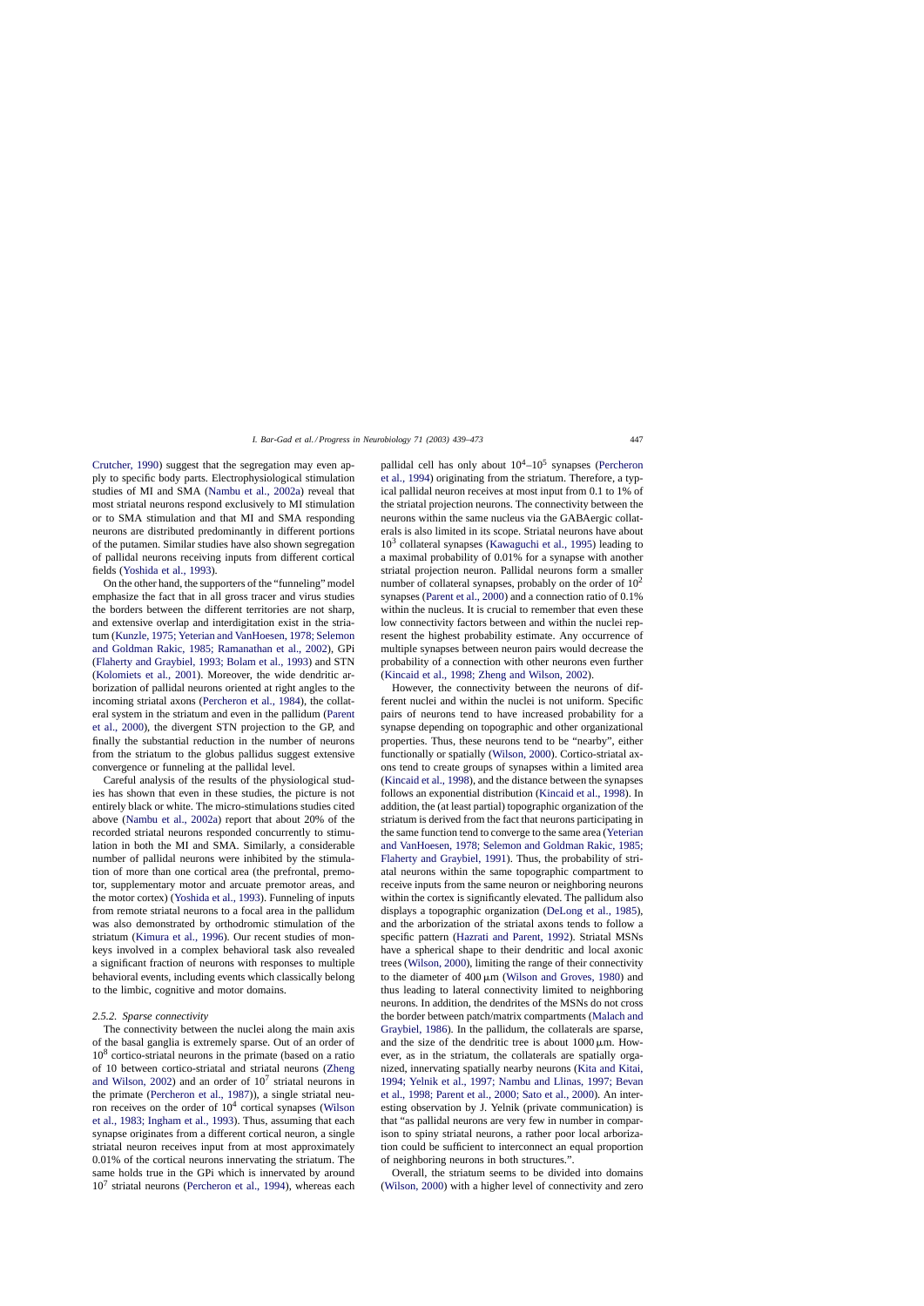[Crutcher, 1990\)](#page-29-0) suggest that the segregation may even apply to specific body parts. Electrophysiological stimulation studies of MI and SMA [\(Nambu et al., 2002a\)](#page-32-0) reveal that most striatal neurons respond exclusively to MI stimulation or to SMA stimulation and that MI and SMA responding neurons are distributed predominantly in different portions of the putamen. Similar studies have also shown segregation of pallidal neurons receiving inputs from different cortical fields [\(Yoshida et al., 1993\).](#page-34-0)

On the other hand, the supporters of the "funneling" model emphasize the fact that in all gross tracer and virus studies the borders between the different territories are not sharp, and extensive overlap and interdigitation exist in the striatum [\(Kunzle, 1975; Yeterian and VanHoesen, 1978; Selemon](#page-31-0) [and Goldman Rakic, 1985; Ramanathan et al., 2002\)](#page-31-0), GPi ([Flaherty and Graybiel, 1993; Bolam et al., 1993\)](#page-29-0) and STN ([Kolomiets et al., 2001\)](#page-31-0). Moreover, the wide dendritic arborization of pallidal neurons oriented at right angles to the incoming striatal axons ([Percheron et al., 1984\),](#page-32-0) the collateral system in the striatum and even in the pallidum [\(Parent](#page-32-0) [et al., 2000\),](#page-32-0) the divergent STN projection to the GP, and finally the substantial reduction in the number of neurons from the striatum to the globus pallidus suggest extensive convergence or funneling at the pallidal level.

Careful analysis of the results of the physiological studies has shown that even in these studies, the picture is not entirely black or white. The micro-stimulations studies cited above ([Nambu et al., 2002a\)](#page-32-0) report that about 20% of the recorded striatal neurons responded concurrently to stimulation in both the MI and SMA. Similarly, a considerable number of pallidal neurons were inhibited by the stimulation of more than one cortical area (the prefrontal, premotor, supplementary motor and arcuate premotor areas, and the motor cortex) ([Yoshida et al., 1993\).](#page-34-0) Funneling of inputs from remote striatal neurons to a focal area in the pallidum was also demonstrated by orthodromic stimulation of the striatum ([Kimura et al., 1996\)](#page-31-0). Our recent studies of monkeys involved in a complex behavioral task also revealed a significant fraction of neurons with responses to multiple behavioral events, including events which classically belong to the limbic, cognitive and motor domains.

### *2.5.2. Sparse connectivity*

The connectivity between the nuclei along the main axis of the basal ganglia is extremely sparse. Out of an order of  $10<sup>8</sup>$  cortico-striatal neurons in the primate (based on a ratio of 10 between cortico-striatal and striatal neurons ([Zheng](#page-34-0) [and Wilson, 2002\)](#page-34-0) and an order of  $10<sup>7</sup>$  striatal neurons in the primate [\(Percheron et al., 1987\)\)](#page-32-0), a single striatal neuron receives on the order of  $10<sup>4</sup>$  cortical synapses [\(Wilson](#page-34-0) [et al., 1983; Ingham et al., 1993\).](#page-34-0) Thus, assuming that each synapse originates from a different cortical neuron, a single striatal neuron receives input from at most approximately 0.01% of the cortical neurons innervating the striatum. The same holds true in the GPi which is innervated by around  $10<sup>7</sup>$  striatal neurons [\(Percheron et al., 1994\),](#page-33-0) whereas each pallidal cell has only about  $10^4$ – $10^5$  synapses [\(Percheron](#page-33-0) [et al., 1994\) o](#page-33-0)riginating from the striatum. Therefore, a typical pallidal neuron receives at most input from 0.1 to 1% of the striatal projection neurons. The connectivity between the neurons within the same nucleus via the GABAergic collaterals is also limited in its scope. Striatal neurons have about  $10<sup>3</sup>$  collateral synapses [\(Kawaguchi et al., 1995\)](#page-31-0) leading to a maximal probability of 0.01% for a synapse with another striatal projection neuron. Pallidal neurons form a smaller number of collateral synapses, probably on the order of  $10<sup>2</sup>$ synapses [\(Parent et al., 2000\) a](#page-32-0)nd a connection ratio of 0.1% within the nucleus. It is crucial to remember that even these low connectivity factors between and within the nuclei represent the highest probability estimate. Any occurrence of multiple synapses between neuron pairs would decrease the probability of a connection with other neurons even further ([Kincaid et al., 1998; Zheng and Wilson, 2002\).](#page-31-0)

However, the connectivity between the neurons of different nuclei and within the nuclei is not uniform. Specific pairs of neurons tend to have increased probability for a synapse depending on topographic and other organizational properties. Thus, these neurons tend to be "nearby", either functionally or spatially ([Wilson, 2000\).](#page-34-0) Cortico-striatal axons tend to create groups of synapses within a limited area ([Kincaid et al., 1998\),](#page-31-0) and the distance between the synapses follows an exponential distribution ([Kincaid et al., 1998\).](#page-31-0) In addition, the (at least partial) topographic organization of the striatum is derived from the fact that neurons participating in the same function tend to converge to the same area [\(Yeterian](#page-34-0) [and VanHoesen, 1978; Selemon and Goldman Rakic, 1985;](#page-34-0) [Flaherty and Graybiel, 1991\).](#page-34-0) Thus, the probability of striatal neurons within the same topographic compartment to receive inputs from the same neuron or neighboring neurons within the cortex is significantly elevated. The pallidum also displays a topographic organization ([DeLong et al., 1985\),](#page-29-0) and the arborization of the striatal axons tends to follow a specific pattern [\(Hazrati and Parent, 1992\)](#page-30-0). Striatal MSNs have a spherical shape to their dendritic and local axonic trees ([Wilson, 2000\),](#page-34-0) limiting the range of their connectivity to the diameter of  $400 \mu m$  ([Wilson and Groves, 1980\)](#page-34-0) and thus leading to lateral connectivity limited to neighboring neurons. In addition, the dendrites of the MSNs do not cross the border between patch/matrix compartments ([Malach and](#page-31-0) [Graybiel, 1986\).](#page-31-0) In the pallidum, the collaterals are sparse, and the size of the dendritic tree is about  $1000 \,\mu \text{m}$ . However, as in the striatum, the collaterals are spatially organized, innervating spatially nearby neurons ([Kita and Kitai,](#page-31-0) [1994; Yelnik et al., 1997; Nambu and Llinas, 1997; Bevan](#page-31-0) [et al., 1998; Parent et al., 2000; Sato et al., 2000\).](#page-31-0) An interesting observation by J. Yelnik (private communication) is that "as pallidal neurons are very few in number in comparison to spiny striatal neurons, a rather poor local arborization could be sufficient to interconnect an equal proportion of neighboring neurons in both structures.".

Overall, the striatum seems to be divided into domains ([Wilson, 2000\)](#page-34-0) with a higher level of connectivity and zero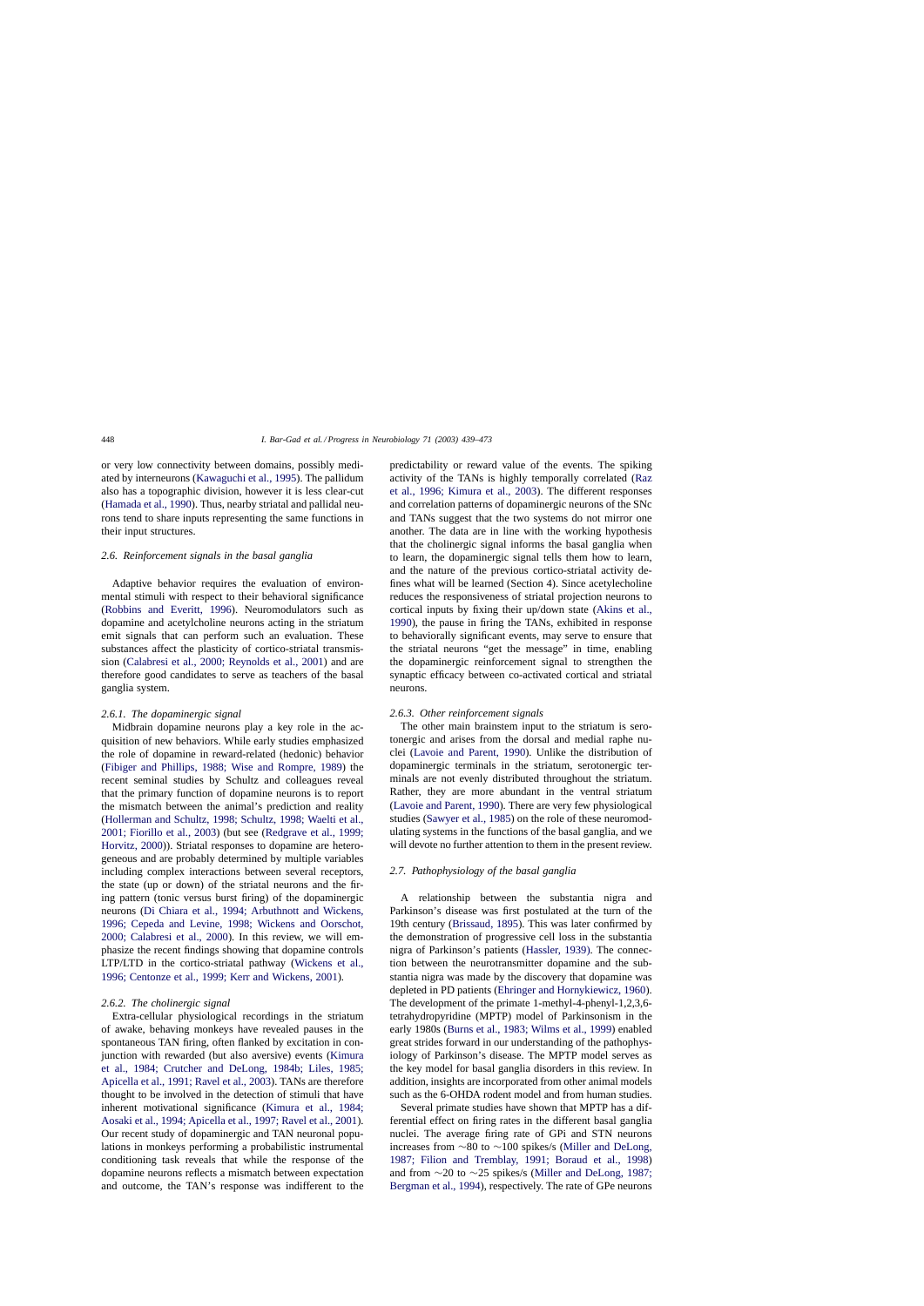<span id="page-9-0"></span>or very low connectivity between domains, possibly mediated by interneurons ([Kawaguchi et al., 1995\).](#page-31-0) The pallidum also has a topographic division, however it is less clear-cut ([Hamada et al., 1990\).](#page-30-0) Thus, nearby striatal and pallidal neurons tend to share inputs representing the same functions in their input structures.

### *2.6. Reinforcement signals in the basal ganglia*

Adaptive behavior requires the evaluation of environmental stimuli with respect to their behavioral significance ([Robbins and Everitt, 1996](#page-33-0)). Neuromodulators such as dopamine and acetylcholine neurons acting in the striatum emit signals that can perform such an evaluation. These substances affect the plasticity of cortico-striatal transmission ([Calabresi et al., 2000; Reynolds et al., 2001\)](#page-29-0) and are therefore good candidates to serve as teachers of the basal ganglia system.

### *2.6.1. The dopaminergic signal*

Midbrain dopamine neurons play a key role in the acquisition of new behaviors. While early studies emphasized the role of dopamine in reward-related (hedonic) behavior ([Fibiger and Phillips, 1988; Wise and Rompre, 1989](#page-29-0)) the recent seminal studies by Schultz and colleagues reveal that the primary function of dopamine neurons is to report the mismatch between the animal's prediction and reality ([Hollerman and Schultz, 1998; Schultz, 1998; Waelti et al.,](#page-30-0) [2001; Fiorillo et al., 2003\)](#page-30-0) (but see [\(Redgrave et al., 1999;](#page-33-0) [Horvitz, 2000\)\)](#page-33-0). Striatal responses to dopamine are heterogeneous and are probably determined by multiple variables including complex interactions between several receptors, the state (up or down) of the striatal neurons and the firing pattern (tonic versus burst firing) of the dopaminergic neurons [\(Di Chiara et al., 1994; Arbuthnott and Wickens,](#page-29-0) [1996; Cepeda and Levine, 1998; Wickens and Oorschot,](#page-29-0) [2000; Calabresi et al., 2000\)](#page-29-0). In this review, we will emphasize the recent findings showing that dopamine controls LTP/LTD in the cortico-striatal pathway ([Wickens et al.,](#page-34-0) [1996; Centonze et al., 1999; Kerr and Wickens, 2001\).](#page-34-0)

## *2.6.2. The cholinergic signal*

Extra-cellular physiological recordings in the striatum of awake, behaving monkeys have revealed pauses in the spontaneous TAN firing, often flanked by excitation in conjunction with rewarded (but also aversive) events [\(Kimura](#page-31-0) [et al., 1984; Crutcher and DeLong, 1984b; Liles, 1985;](#page-31-0) [Apicella et al., 1991; Ravel et al., 2003\). T](#page-31-0)ANs are therefore thought to be involved in the detection of stimuli that have inherent motivational significance [\(Kimura et al., 1984;](#page-31-0) [Aosaki et al., 1994; Apicella et al., 1997; Ravel et al., 2001\).](#page-31-0) Our recent study of dopaminergic and TAN neuronal populations in monkeys performing a probabilistic instrumental conditioning task reveals that while the response of the dopamine neurons reflects a mismatch between expectation and outcome, the TAN's response was indifferent to the predictability or reward value of the events. The spiking activity of the TANs is highly temporally correlated [\(Raz](#page-33-0) [et al., 1996; Kimura et al., 2003\)](#page-33-0). The different responses and correlation patterns of dopaminergic neurons of the SNc and TANs suggest that the two systems do not mirror one another. The data are in line with the working hypothesis that the cholinergic signal informs the basal ganglia when to learn, the dopaminergic signal tells them how to learn, and the nature of the previous cortico-striatal activity defines what will be learned (Section 4). Since acetylecholine reduces the responsiveness of striatal projection neurons to cortical inputs by fixing their up/down state ([Akins et al.,](#page-28-0) [1990\),](#page-28-0) the pause in firing the TANs, exhibited in response to behaviorally significant events, may serve to ensure that the striatal neurons "get the message" in time, enabling the dopaminergic reinforcement signal to strengthen the synaptic efficacy between co-activated cortical and striatal neurons.

### *2.6.3. Other reinforcement signals*

The other main brainstem input to the striatum is serotonergic and arises from the dorsal and medial raphe nuclei [\(Lavoie and Parent, 1990\)](#page-31-0). Unlike the distribution of dopaminergic terminals in the striatum, serotonergic terminals are not evenly distributed throughout the striatum. Rather, they are more abundant in the ventral striatum ([Lavoie and Parent, 1990\).](#page-31-0) There are very few physiological studies [\(Sawyer et al., 1985\) o](#page-33-0)n the role of these neuromodulating systems in the functions of the basal ganglia, and we will devote no further attention to them in the present review.

### *2.7. Pathophysiology of the basal ganglia*

A relationship between the substantia nigra and Parkinson's disease was first postulated at the turn of the 19th century [\(Brissaud, 1895\).](#page-29-0) This was later confirmed by the demonstration of progressive cell loss in the substantia nigra of Parkinson's patients [\(Hassler, 1939\).](#page-30-0) The connection between the neurotransmitter dopamine and the substantia nigra was made by the discovery that dopamine was depleted in PD patients ([Ehringer and Hornykiewicz, 1960\).](#page-29-0) The development of the primate 1-methyl-4-phenyl-1,2,3,6 tetrahydropyridine (MPTP) model of Parkinsonism in the early 1980s ([Burns et al., 1983; Wilms et al., 1999\) e](#page-29-0)nabled great strides forward in our understanding of the pathophysiology of Parkinson's disease. The MPTP model serves as the key model for basal ganglia disorders in this review. In addition, insights are incorporated from other animal models such as the 6-OHDA rodent model and from human studies.

Several primate studies have shown that MPTP has a differential effect on firing rates in the different basal ganglia nuclei. The average firing rate of GPi and STN neurons increases from ∼80 to ∼100 spikes/s ([Miller and DeLong,](#page-32-0) [1987; Filion and Tremblay, 1991; Boraud et al., 19](#page-32-0)98) and from ∼20 to ∼25 spikes/s [\(Miller and DeLong, 1987;](#page-32-0) [Bergman et al., 1994\),](#page-32-0) respectively. The rate of GPe neurons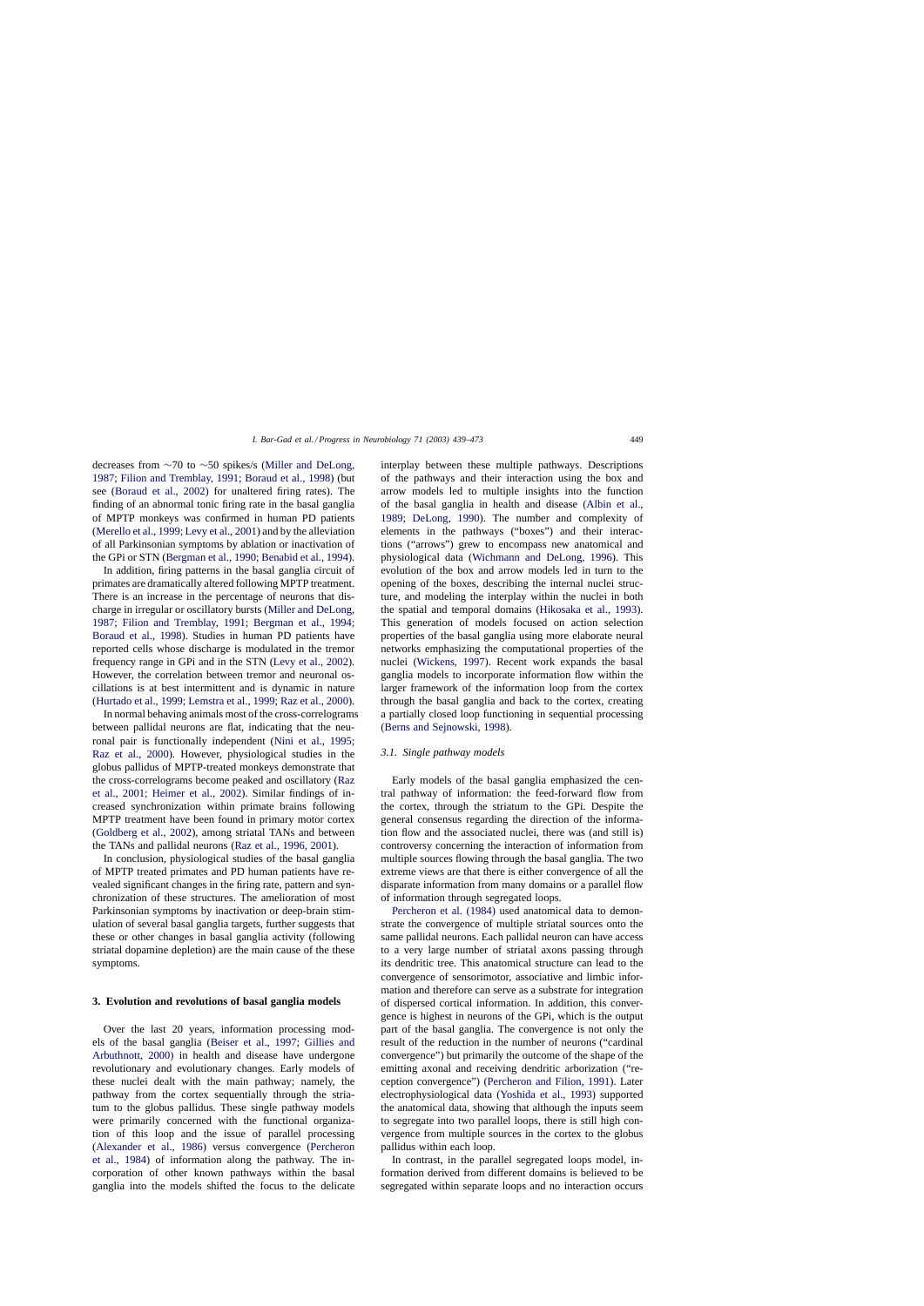decreases from ∼70 to ∼50 spikes/s ([Miller and DeLong,](#page-32-0) [1987; Filion and Tremblay, 1991; Boraud et al., 1998\)](#page-32-0) (but see ([Boraud et al., 2002\)](#page-28-0) for unaltered firing rates). The finding of an abnormal tonic firing rate in the basal ganglia of MPTP monkeys was confirmed in human PD patients ([Merello et al., 1999; Levy et al., 2001\) an](#page-32-0)d by the alleviation of all Parkinsonian symptoms by ablation or inactivation of the GPi or STN [\(Bergman et al., 1990; Benabid et al., 1994\).](#page-28-0)

In addition, firing patterns in the basal ganglia circuit of primates are dramatically altered following MPTP treatment. There is an increase in the percentage of neurons that discharge in irregular or oscillatory bursts [\(Miller and DeLong,](#page-32-0) [1987; Filion and Tremblay, 1991; Bergman et al., 1994;](#page-32-0) [Boraud et al., 1998\)](#page-32-0). Studies in human PD patients have reported cells whose discharge is modulated in the tremor frequency range in GPi and in the STN [\(Levy et al., 2002\).](#page-31-0) However, the correlation between tremor and neuronal oscillations is at best intermittent and is dynamic in nature ([Hurtado et al., 1999; Lemstra et al., 1999; Raz et al., 2000\).](#page-30-0)

In normal behaving animals most of the cross-correlograms between pallidal neurons are flat, indicating that the neuronal pair is functionally independent ([Nini et al., 1995;](#page-32-0) [Raz et al., 2000](#page-32-0)). However, physiological studies in the globus pallidus of MPTP-treated monkeys demonstrate that the cross-correlograms become peaked and oscillatory ([Raz](#page-33-0) [et al., 2001; Heimer et al., 2002](#page-33-0)). Similar findings of increased synchronization within primate brains following MPTP treatment have been found in primary motor cortex ([Goldberg et al., 2002\)](#page-30-0), among striatal TANs and between the TANs and pallidal neurons [\(Raz et al., 1996, 2001\).](#page-33-0)

In conclusion, physiological studies of the basal ganglia of MPTP treated primates and PD human patients have revealed significant changes in the firing rate, pattern and synchronization of these structures. The amelioration of most Parkinsonian symptoms by inactivation or deep-brain stimulation of several basal ganglia targets, further suggests that these or other changes in basal ganglia activity (following striatal dopamine depletion) are the main cause of the these symptoms.

### **3. Evolution and revolutions of basal ganglia models**

Over the last 20 years, information processing models of the basal ganglia ([Beiser et al., 1997; Gillies and](#page-28-0) [Arbuthnott, 2000\)](#page-28-0) in health and disease have undergone revolutionary and evolutionary changes. Early models of these nuclei dealt with the main pathway; namely, the pathway from the cortex sequentially through the striatum to the globus pallidus. These single pathway models were primarily concerned with the functional organization of this loop and the issue of parallel processing ([Alexander et al., 1986](#page-28-0)) versus convergence [\(Percheron](#page-32-0) [et al., 1984\)](#page-32-0) of information along the pathway. The incorporation of other known pathways within the basal ganglia into the models shifted the focus to the delicate

interplay between these multiple pathways. Descriptions of the pathways and their interaction using the box and arrow models led to multiple insights into the function of the basal ganglia in health and disease ([Albin et al.,](#page-28-0) [1989; DeLong, 1990](#page-28-0)). The number and complexity of elements in the pathways ("boxes") and their interactions ("arrows") grew to encompass new anatomical and physiological data ([Wichmann and DeLong, 1996](#page-34-0)). This evolution of the box and arrow models led in turn to the opening of the boxes, describing the internal nuclei structure, and modeling the interplay within the nuclei in both the spatial and temporal domains [\(Hikosaka et al., 1993\)](#page-30-0). This generation of models focused on action selection properties of the basal ganglia using more elaborate neural networks emphasizing the computational properties of the nuclei [\(Wickens, 1997\)](#page-34-0). Recent work expands the basal ganglia models to incorporate information flow within the larger framework of the information loop from the cortex through the basal ganglia and back to the cortex, creating a partially closed loop functioning in sequential processing ([Berns and Sejnowski, 1998\).](#page-28-0)

# *3.1. Single pathway models*

Early models of the basal ganglia emphasized the central pathway of information: the feed-forward flow from the cortex, through the striatum to the GPi. Despite the general consensus regarding the direction of the information flow and the associated nuclei, there was (and still is) controversy concerning the interaction of information from multiple sources flowing through the basal ganglia. The two extreme views are that there is either convergence of all the disparate information from many domains or a parallel flow of information through segregated loops.

[Percheron et al. \(1984\)](#page-32-0) used anatomical data to demonstrate the convergence of multiple striatal sources onto the same pallidal neurons. Each pallidal neuron can have access to a very large number of striatal axons passing through its dendritic tree. This anatomical structure can lead to the convergence of sensorimotor, associative and limbic information and therefore can serve as a substrate for integration of dispersed cortical information. In addition, this convergence is highest in neurons of the GPi, which is the output part of the basal ganglia. The convergence is not only the result of the reduction in the number of neurons ("cardinal convergence") but primarily the outcome of the shape of the emitting axonal and receiving dendritic arborization ("reception convergence") [\(Percheron and Filion, 1991\)](#page-32-0). Later electrophysiological data [\(Yoshida et al., 1993\)](#page-34-0) supported the anatomical data, showing that although the inputs seem to segregate into two parallel loops, there is still high convergence from multiple sources in the cortex to the globus pallidus within each loop.

In contrast, in the parallel segregated loops model, information derived from different domains is believed to be segregated within separate loops and no interaction occurs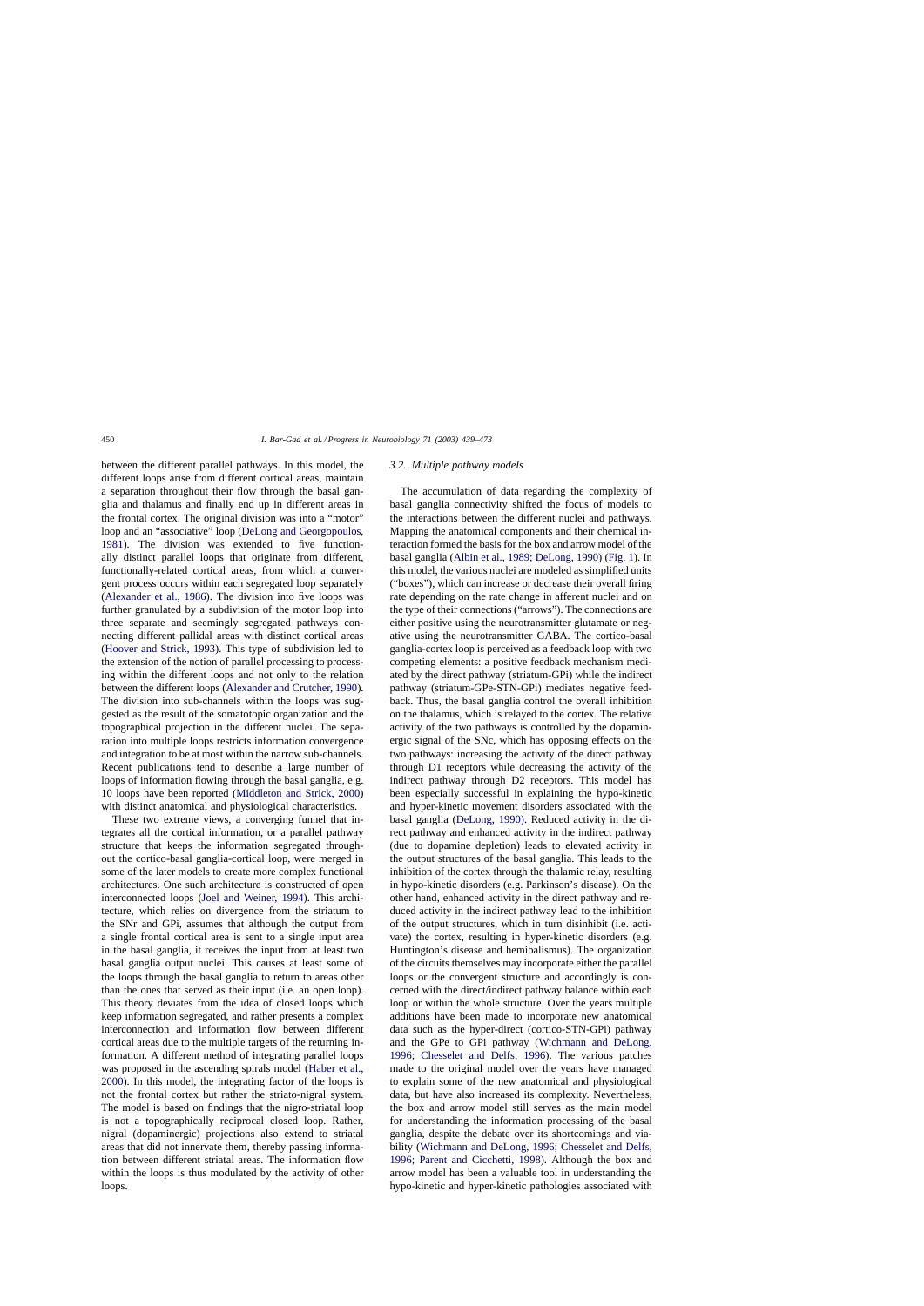between the different parallel pathways. In this model, the different loops arise from different cortical areas, maintain a separation throughout their flow through the basal ganglia and thalamus and finally end up in different areas in the frontal cortex. The original division was into a "motor" loop and an "associative" loop [\(DeLong and Georgopoulos,](#page-29-0) [1981\).](#page-29-0) The division was extended to five functionally distinct parallel loops that originate from different, functionally-related cortical areas, from which a convergent process occurs within each segregated loop separately ([Alexander et al., 1986\)](#page-28-0). The division into five loops was further granulated by a subdivision of the motor loop into three separate and seemingly segregated pathways connecting different pallidal areas with distinct cortical areas ([Hoover and Strick, 1993\).](#page-30-0) This type of subdivision led to the extension of the notion of parallel processing to processing within the different loops and not only to the relation between the different loops [\(Alexander and Crutcher, 1990\).](#page-28-0) The division into sub-channels within the loops was suggested as the result of the somatotopic organization and the topographical projection in the different nuclei. The separation into multiple loops restricts information convergence and integration to be at most within the narrow sub-channels. Recent publications tend to describe a large number of loops of information flowing through the basal ganglia, e.g. 10 loops have been reported [\(Middleton and Strick, 2000\)](#page-32-0) with distinct anatomical and physiological characteristics.

These two extreme views, a converging funnel that integrates all the cortical information, or a parallel pathway structure that keeps the information segregated throughout the cortico-basal ganglia-cortical loop, were merged in some of the later models to create more complex functional architectures. One such architecture is constructed of open interconnected loops ([Joel and Weiner, 1994\)](#page-31-0). This architecture, which relies on divergence from the striatum to the SNr and GPi, assumes that although the output from a single frontal cortical area is sent to a single input area in the basal ganglia, it receives the input from at least two basal ganglia output nuclei. This causes at least some of the loops through the basal ganglia to return to areas other than the ones that served as their input (i.e. an open loop). This theory deviates from the idea of closed loops which keep information segregated, and rather presents a complex interconnection and information flow between different cortical areas due to the multiple targets of the returning information. A different method of integrating parallel loops was proposed in the ascending spirals model [\(Haber et al.,](#page-30-0) [2000\).](#page-30-0) In this model, the integrating factor of the loops is not the frontal cortex but rather the striato-nigral system. The model is based on findings that the nigro-striatal loop is not a topographically reciprocal closed loop. Rather, nigral (dopaminergic) projections also extend to striatal areas that did not innervate them, thereby passing information between different striatal areas. The information flow within the loops is thus modulated by the activity of other loops.

#### *3.2. Multiple pathway models*

The accumulation of data regarding the complexity of basal ganglia connectivity shifted the focus of models to the interactions between the different nuclei and pathways. Mapping the anatomical components and their chemical interaction formed the basis for the box and arrow model of the basal ganglia [\(Albin et al., 1989; DeLong, 1990\) \(](#page-28-0)[Fig. 1\).](#page-2-0) In this model, the various nuclei are modeled as simplified units ("boxes"), which can increase or decrease their overall firing rate depending on the rate change in afferent nuclei and on the type of their connections ("arrows"). The connections are either positive using the neurotransmitter glutamate or negative using the neurotransmitter GABA. The cortico-basal ganglia-cortex loop is perceived as a feedback loop with two competing elements: a positive feedback mechanism mediated by the direct pathway (striatum-GPi) while the indirect pathway (striatum-GPe-STN-GPi) mediates negative feedback. Thus, the basal ganglia control the overall inhibition on the thalamus, which is relayed to the cortex. The relative activity of the two pathways is controlled by the dopaminergic signal of the SNc, which has opposing effects on the two pathways: increasing the activity of the direct pathway through D1 receptors while decreasing the activity of the indirect pathway through D2 receptors. This model has been especially successful in explaining the hypo-kinetic and hyper-kinetic movement disorders associated with the basal ganglia ([DeLong, 1990\).](#page-29-0) Reduced activity in the direct pathway and enhanced activity in the indirect pathway (due to dopamine depletion) leads to elevated activity in the output structures of the basal ganglia. This leads to the inhibition of the cortex through the thalamic relay, resulting in hypo-kinetic disorders (e.g. Parkinson's disease). On the other hand, enhanced activity in the direct pathway and reduced activity in the indirect pathway lead to the inhibition of the output structures, which in turn disinhibit (i.e. activate) the cortex, resulting in hyper-kinetic disorders (e.g. Huntington's disease and hemibalismus). The organization of the circuits themselves may incorporate either the parallel loops or the convergent structure and accordingly is concerned with the direct/indirect pathway balance within each loop or within the whole structure. Over the years multiple additions have been made to incorporate new anatomical data such as the hyper-direct (cortico-STN-GPi) pathway and the GPe to GPi pathway [\(Wichmann and DeLong,](#page-34-0) [1996; Chesselet and Delfs, 199](#page-34-0)6). The various patches made to the original model over the years have managed to explain some of the new anatomical and physiological data, but have also increased its complexity. Nevertheless, the box and arrow model still serves as the main model for understanding the information processing of the basal ganglia, despite the debate over its shortcomings and viability [\(Wichmann and DeLong, 1996; Chesselet and Delfs,](#page-34-0) [1996; Parent and Cicchetti, 1998\)](#page-34-0). Although the box and arrow model has been a valuable tool in understanding the hypo-kinetic and hyper-kinetic pathologies associated with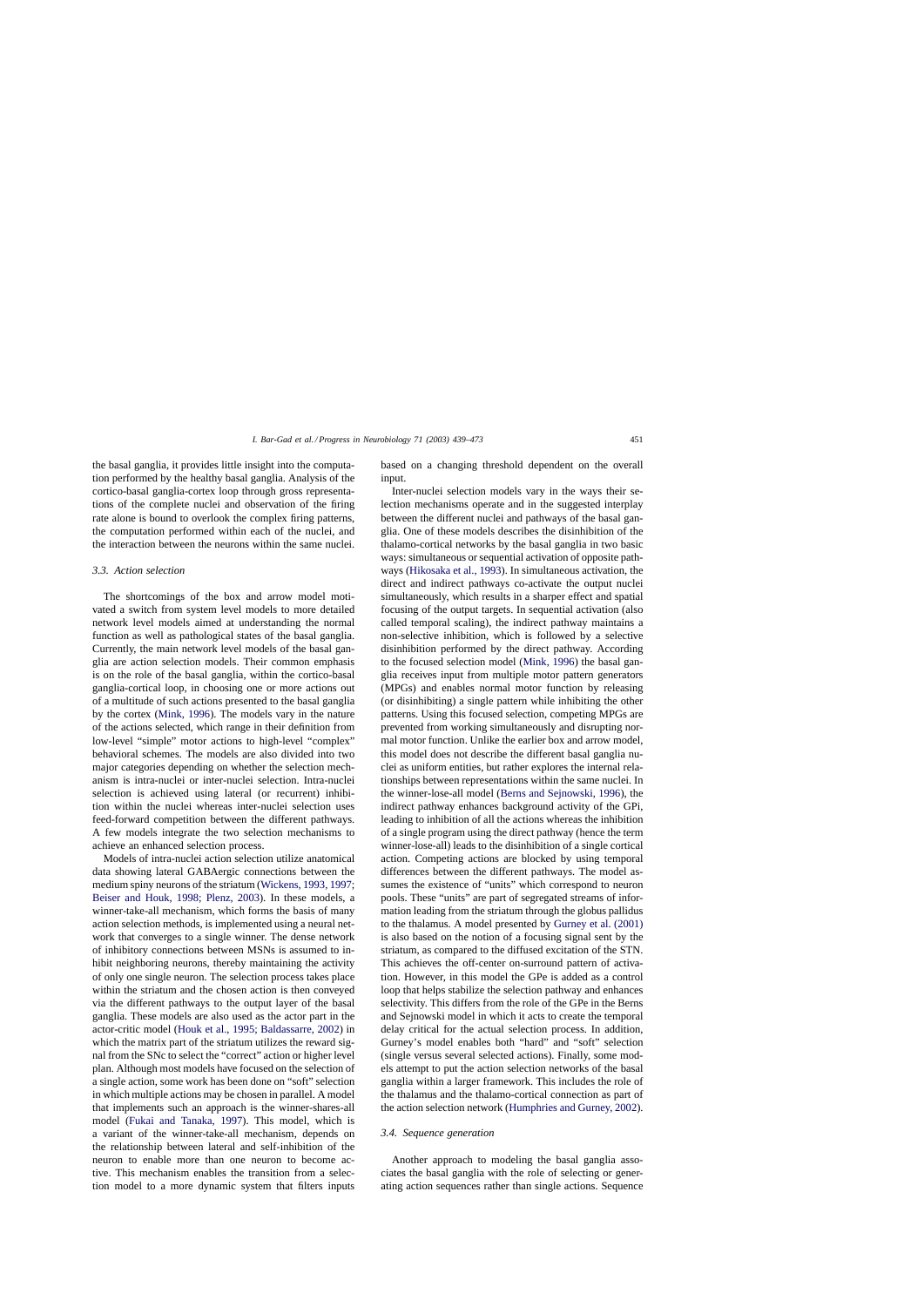the basal ganglia, it provides little insight into the computation performed by the healthy basal ganglia. Analysis of the cortico-basal ganglia-cortex loop through gross representations of the complete nuclei and observation of the firing rate alone is bound to overlook the complex firing patterns, the computation performed within each of the nuclei, and the interaction between the neurons within the same nuclei.

# *3.3. Action selection*

The shortcomings of the box and arrow model motivated a switch from system level models to more detailed network level models aimed at understanding the normal function as well as pathological states of the basal ganglia. Currently, the main network level models of the basal ganglia are action selection models. Their common emphasis is on the role of the basal ganglia, within the cortico-basal ganglia-cortical loop, in choosing one or more actions out of a multitude of such actions presented to the basal ganglia by the cortex [\(Mink, 1996\).](#page-32-0) The models vary in the nature of the actions selected, which range in their definition from low-level "simple" motor actions to high-level "complex" behavioral schemes. The models are also divided into two major categories depending on whether the selection mechanism is intra-nuclei or inter-nuclei selection. Intra-nuclei selection is achieved using lateral (or recurrent) inhibition within the nuclei whereas inter-nuclei selection uses feed-forward competition between the different pathways. A few models integrate the two selection mechanisms to achieve an enhanced selection process.

Models of intra-nuclei action selection utilize anatomical data showing lateral GABAergic connections between the medium spiny neurons of the striatum ([Wickens, 1993, 1997;](#page-34-0) [Beiser and Houk, 1998; Plenz, 2003](#page-28-0)). In these models, a winner-take-all mechanism, which forms the basis of many action selection methods, is implemented using a neural network that converges to a single winner. The dense network of inhibitory connections between MSNs is assumed to inhibit neighboring neurons, thereby maintaining the activity of only one single neuron. The selection process takes place within the striatum and the chosen action is then conveyed via the different pathways to the output layer of the basal ganglia. These models are also used as the actor part in the actor-critic model [\(Houk et al., 1995; Baldassarre, 2002\)](#page-30-0) in which the matrix part of the striatum utilizes the reward signal from the SNc to select the "correct" action or higher level plan. Although most models have focused on the selection of a single action, some work has been done on "soft" selection in which multiple actions may be chosen in parallel. A model that implements such an approach is the winner-shares-all model ([Fukai and Tanaka, 1997](#page-30-0)). This model, which is a variant of the winner-take-all mechanism, depends on the relationship between lateral and self-inhibition of the neuron to enable more than one neuron to become active. This mechanism enables the transition from a selection model to a more dynamic system that filters inputs

based on a changing threshold dependent on the overall input.

Inter-nuclei selection models vary in the ways their selection mechanisms operate and in the suggested interplay between the different nuclei and pathways of the basal ganglia. One of these models describes the disinhibition of the thalamo-cortical networks by the basal ganglia in two basic ways: simultaneous or sequential activation of opposite pathways [\(Hikosaka et al., 1993\).](#page-30-0) In simultaneous activation, the direct and indirect pathways co-activate the output nuclei simultaneously, which results in a sharper effect and spatial focusing of the output targets. In sequential activation (also called temporal scaling), the indirect pathway maintains a non-selective inhibition, which is followed by a selective disinhibition performed by the direct pathway. According to the focused selection model ([Mink, 1996\)](#page-32-0) the basal ganglia receives input from multiple motor pattern generators (MPGs) and enables normal motor function by releasing (or disinhibiting) a single pattern while inhibiting the other patterns. Using this focused selection, competing MPGs are prevented from working simultaneously and disrupting normal motor function. Unlike the earlier box and arrow model, this model does not describe the different basal ganglia nuclei as uniform entities, but rather explores the internal relationships between representations within the same nuclei. In the winner-lose-all model [\(Berns and Sejnowski, 1996\),](#page-28-0) the indirect pathway enhances background activity of the GPi, leading to inhibition of all the actions whereas the inhibition of a single program using the direct pathway (hence the term winner-lose-all) leads to the disinhibition of a single cortical action. Competing actions are blocked by using temporal differences between the different pathways. The model assumes the existence of "units" which correspond to neuron pools. These "units" are part of segregated streams of information leading from the striatum through the globus pallidus to the thalamus. A model presented by [Gurney et al. \(2001\)](#page-30-0) is also based on the notion of a focusing signal sent by the striatum, as compared to the diffused excitation of the STN. This achieves the off-center on-surround pattern of activation. However, in this model the GPe is added as a control loop that helps stabilize the selection pathway and enhances selectivity. This differs from the role of the GPe in the Berns and Sejnowski model in which it acts to create the temporal delay critical for the actual selection process. In addition, Gurney's model enables both "hard" and "soft" selection (single versus several selected actions). Finally, some models attempt to put the action selection networks of the basal ganglia within a larger framework. This includes the role of the thalamus and the thalamo-cortical connection as part of the action selection network ([Humphries and Gurney, 2002\).](#page-30-0)

### *3.4. Sequence generation*

Another approach to modeling the basal ganglia associates the basal ganglia with the role of selecting or generating action sequences rather than single actions. Sequence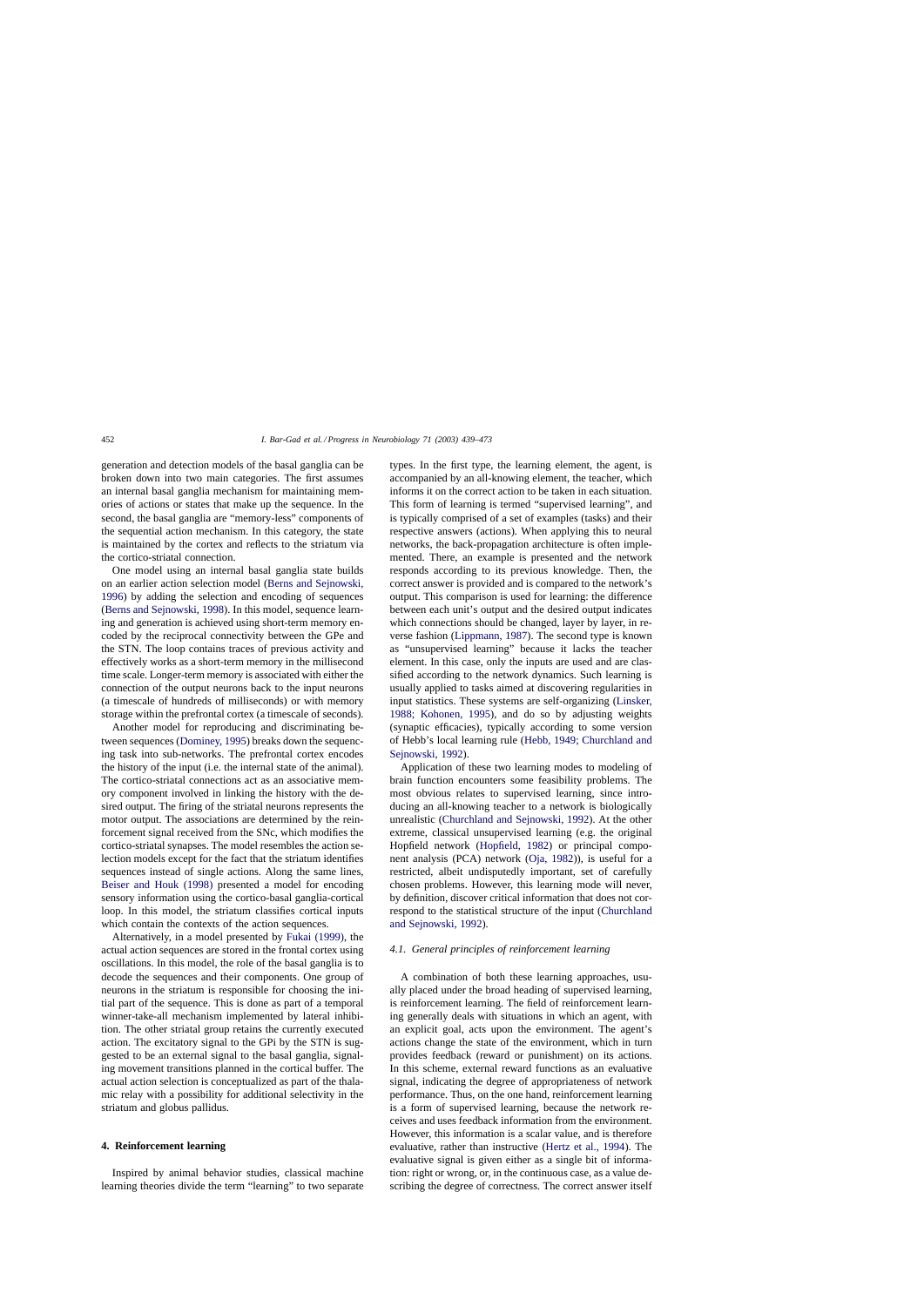generation and detection models of the basal ganglia can be broken down into two main categories. The first assumes an internal basal ganglia mechanism for maintaining memories of actions or states that make up the sequence. In the second, the basal ganglia are "memory-less" components of the sequential action mechanism. In this category, the state is maintained by the cortex and reflects to the striatum via the cortico-striatal connection.

One model using an internal basal ganglia state builds on an earlier action selection model ([Berns and Sejnowski,](#page-28-0) [1996\)](#page-28-0) by adding the selection and encoding of sequences ([Berns and Sejnowski, 1998\).](#page-28-0) In this model, sequence learning and generation is achieved using short-term memory encoded by the reciprocal connectivity between the GPe and the STN. The loop contains traces of previous activity and effectively works as a short-term memory in the millisecond time scale. Longer-term memory is associated with either the connection of the output neurons back to the input neurons (a timescale of hundreds of milliseconds) or with memory storage within the prefrontal cortex (a timescale of seconds).

Another model for reproducing and discriminating between sequences ([Dominey, 1995\) b](#page-29-0)reaks down the sequencing task into sub-networks. The prefrontal cortex encodes the history of the input (i.e. the internal state of the animal). The cortico-striatal connections act as an associative memory component involved in linking the history with the desired output. The firing of the striatal neurons represents the motor output. The associations are determined by the reinforcement signal received from the SNc, which modifies the cortico-striatal synapses. The model resembles the action selection models except for the fact that the striatum identifies sequences instead of single actions. Along the same lines, [Beiser and Houk \(1998\)](#page-28-0) presented a model for encoding sensory information using the cortico-basal ganglia-cortical loop. In this model, the striatum classifies cortical inputs which contain the contexts of the action sequences.

Alternatively, in a model presented by [Fukai \(1999\),](#page-30-0) the actual action sequences are stored in the frontal cortex using oscillations. In this model, the role of the basal ganglia is to decode the sequences and their components. One group of neurons in the striatum is responsible for choosing the initial part of the sequence. This is done as part of a temporal winner-take-all mechanism implemented by lateral inhibition. The other striatal group retains the currently executed action. The excitatory signal to the GPi by the STN is suggested to be an external signal to the basal ganglia, signaling movement transitions planned in the cortical buffer. The actual action selection is conceptualized as part of the thalamic relay with a possibility for additional selectivity in the striatum and globus pallidus.

#### **4. Reinforcement learning**

Inspired by animal behavior studies, classical machine learning theories divide the term "learning" to two separate types. In the first type, the learning element, the agent, is accompanied by an all-knowing element, the teacher, which informs it on the correct action to be taken in each situation. This form of learning is termed "supervised learning", and is typically comprised of a set of examples (tasks) and their respective answers (actions). When applying this to neural networks, the back-propagation architecture is often implemented. There, an example is presented and the network responds according to its previous knowledge. Then, the correct answer is provided and is compared to the network's output. This comparison is used for learning: the difference between each unit's output and the desired output indicates which connections should be changed, layer by layer, in reverse fashion ([Lippmann, 1987\).](#page-31-0) The second type is known as "unsupervised learning" because it lacks the teacher element. In this case, only the inputs are used and are classified according to the network dynamics. Such learning is usually applied to tasks aimed at discovering regularities in input statistics. These systems are self-organizing [\(Linsker,](#page-31-0) [1988; Kohonen, 1995\)](#page-31-0), and do so by adjusting weights (synaptic efficacies), typically according to some version of Hebb's local learning rule [\(Hebb, 1949; Churchland and](#page-30-0) [Sejnowski, 1992\).](#page-30-0)

Application of these two learning modes to modeling of brain function encounters some feasibility problems. The most obvious relates to supervised learning, since introducing an all-knowing teacher to a network is biologically unrealistic [\(Churchland and Sejnowski, 1992\).](#page-29-0) At the other extreme, classical unsupervised learning (e.g. the original Hopfield network [\(Hopfield, 1982\)](#page-30-0) or principal component analysis (PCA) network [\(Oja, 1982\)\)](#page-32-0), is useful for a restricted, albeit undisputedly important, set of carefully chosen problems. However, this learning mode will never, by definition, discover critical information that does not correspond to the statistical structure of the input [\(Churchland](#page-29-0) [and Sejnowski, 1992\).](#page-29-0)

### *4.1. General principles of reinforcement learning*

A combination of both these learning approaches, usually placed under the broad heading of supervised learning, is reinforcement learning. The field of reinforcement learning generally deals with situations in which an agent, with an explicit goal, acts upon the environment. The agent's actions change the state of the environment, which in turn provides feedback (reward or punishment) on its actions. In this scheme, external reward functions as an evaluative signal, indicating the degree of appropriateness of network performance. Thus, on the one hand, reinforcement learning is a form of supervised learning, because the network receives and uses feedback information from the environment. However, this information is a scalar value, and is therefore evaluative, rather than instructive ([Hertz et al., 1994\)](#page-30-0). The evaluative signal is given either as a single bit of information: right or wrong, or, in the continuous case, as a value describing the degree of correctness. The correct answer itself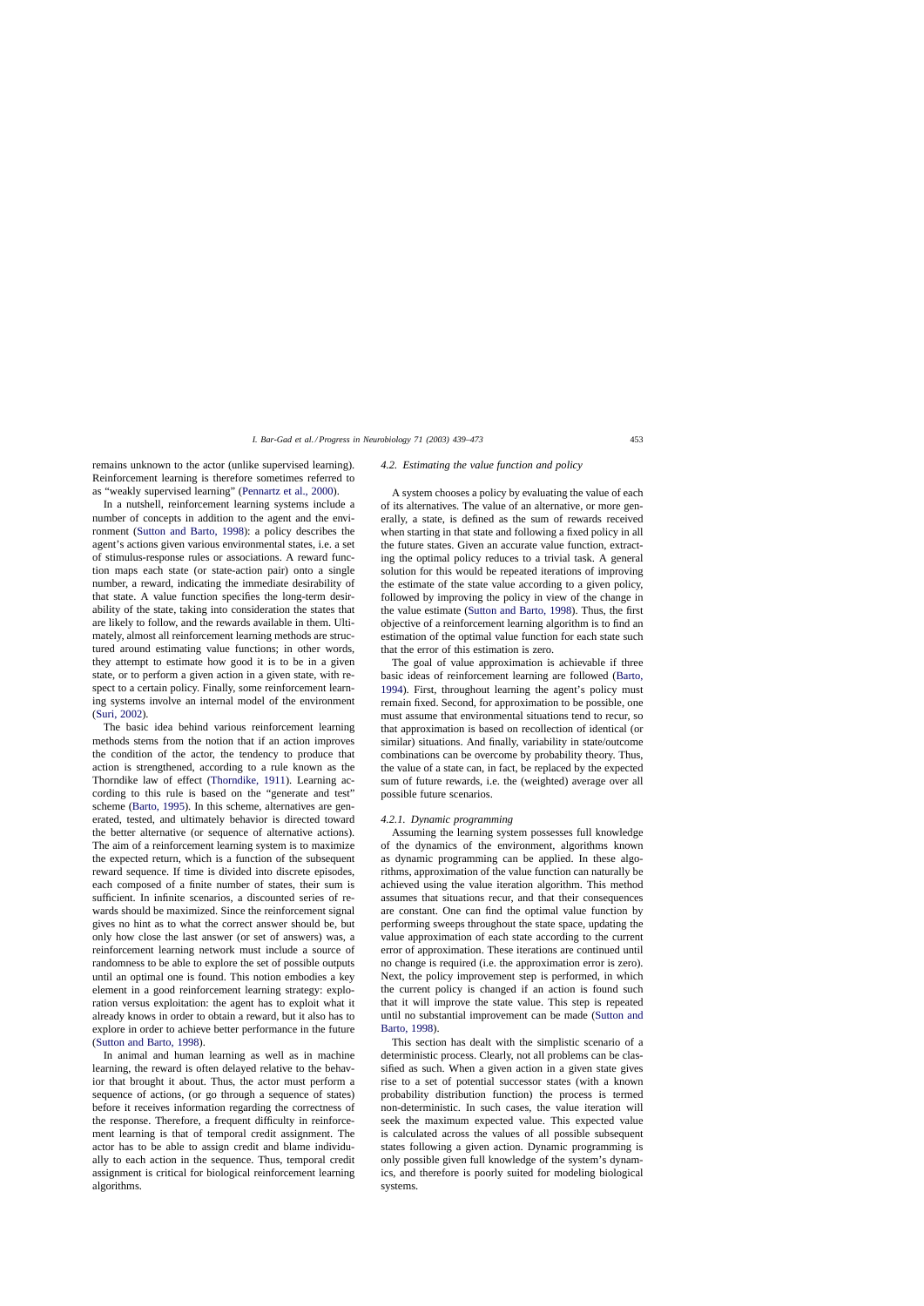remains unknown to the actor (unlike supervised learning). Reinforcement learning is therefore sometimes referred to as "weakly supervised learning" ([Pennartz et al., 2000\).](#page-32-0)

In a nutshell, reinforcement learning systems include a number of concepts in addition to the agent and the environment ([Sutton and Barto, 1998\)](#page-34-0): a policy describes the agent's actions given various environmental states, i.e. a set of stimulus-response rules or associations. A reward function maps each state (or state-action pair) onto a single number, a reward, indicating the immediate desirability of that state. A value function specifies the long-term desirability of the state, taking into consideration the states that are likely to follow, and the rewards available in them. Ultimately, almost all reinforcement learning methods are structured around estimating value functions; in other words, they attempt to estimate how good it is to be in a given state, or to perform a given action in a given state, with respect to a certain policy. Finally, some reinforcement learning systems involve an internal model of the environment ([Suri, 2002\).](#page-34-0)

The basic idea behind various reinforcement learning methods stems from the notion that if an action improves the condition of the actor, the tendency to produce that action is strengthened, according to a rule known as the Thorndike law of effect [\(Thorndike, 1911\).](#page-34-0) Learning according to this rule is based on the "generate and test" scheme ([Barto, 1995\).](#page-28-0) In this scheme, alternatives are generated, tested, and ultimately behavior is directed toward the better alternative (or sequence of alternative actions). The aim of a reinforcement learning system is to maximize the expected return, which is a function of the subsequent reward sequence. If time is divided into discrete episodes, each composed of a finite number of states, their sum is sufficient. In infinite scenarios, a discounted series of rewards should be maximized. Since the reinforcement signal gives no hint as to what the correct answer should be, but only how close the last answer (or set of answers) was, a reinforcement learning network must include a source of randomness to be able to explore the set of possible outputs until an optimal one is found. This notion embodies a key element in a good reinforcement learning strategy: exploration versus exploitation: the agent has to exploit what it already knows in order to obtain a reward, but it also has to explore in order to achieve better performance in the future ([Sutton and Barto, 1998\).](#page-34-0)

In animal and human learning as well as in machine learning, the reward is often delayed relative to the behavior that brought it about. Thus, the actor must perform a sequence of actions, (or go through a sequence of states) before it receives information regarding the correctness of the response. Therefore, a frequent difficulty in reinforcement learning is that of temporal credit assignment. The actor has to be able to assign credit and blame individually to each action in the sequence. Thus, temporal credit assignment is critical for biological reinforcement learning algorithms.

#### *4.2. Estimating the value function and policy*

A system chooses a policy by evaluating the value of each of its alternatives. The value of an alternative, or more generally, a state, is defined as the sum of rewards received when starting in that state and following a fixed policy in all the future states. Given an accurate value function, extracting the optimal policy reduces to a trivial task. A general solution for this would be repeated iterations of improving the estimate of the state value according to a given policy, followed by improving the policy in view of the change in the value estimate ([Sutton and Barto, 1998\).](#page-34-0) Thus, the first objective of a reinforcement learning algorithm is to find an estimation of the optimal value function for each state such that the error of this estimation is zero.

The goal of value approximation is achievable if three basic ideas of reinforcement learning are followed ([Barto,](#page-28-0) [1994\).](#page-28-0) First, throughout learning the agent's policy must remain fixed. Second, for approximation to be possible, one must assume that environmental situations tend to recur, so that approximation is based on recollection of identical (or similar) situations. And finally, variability in state/outcome combinations can be overcome by probability theory. Thus, the value of a state can, in fact, be replaced by the expected sum of future rewards, i.e. the (weighted) average over all possible future scenarios.

### *4.2.1. Dynamic programming*

Assuming the learning system possesses full knowledge of the dynamics of the environment, algorithms known as dynamic programming can be applied. In these algorithms, approximation of the value function can naturally be achieved using the value iteration algorithm. This method assumes that situations recur, and that their consequences are constant. One can find the optimal value function by performing sweeps throughout the state space, updating the value approximation of each state according to the current error of approximation. These iterations are continued until no change is required (i.e. the approximation error is zero). Next, the policy improvement step is performed, in which the current policy is changed if an action is found such that it will improve the state value. This step is repeated until no substantial improvement can be made ([Sutton and](#page-34-0) [Barto, 1998\).](#page-34-0)

This section has dealt with the simplistic scenario of a deterministic process. Clearly, not all problems can be classified as such. When a given action in a given state gives rise to a set of potential successor states (with a known probability distribution function) the process is termed non-deterministic. In such cases, the value iteration will seek the maximum expected value. This expected value is calculated across the values of all possible subsequent states following a given action. Dynamic programming is only possible given full knowledge of the system's dynamics, and therefore is poorly suited for modeling biological systems.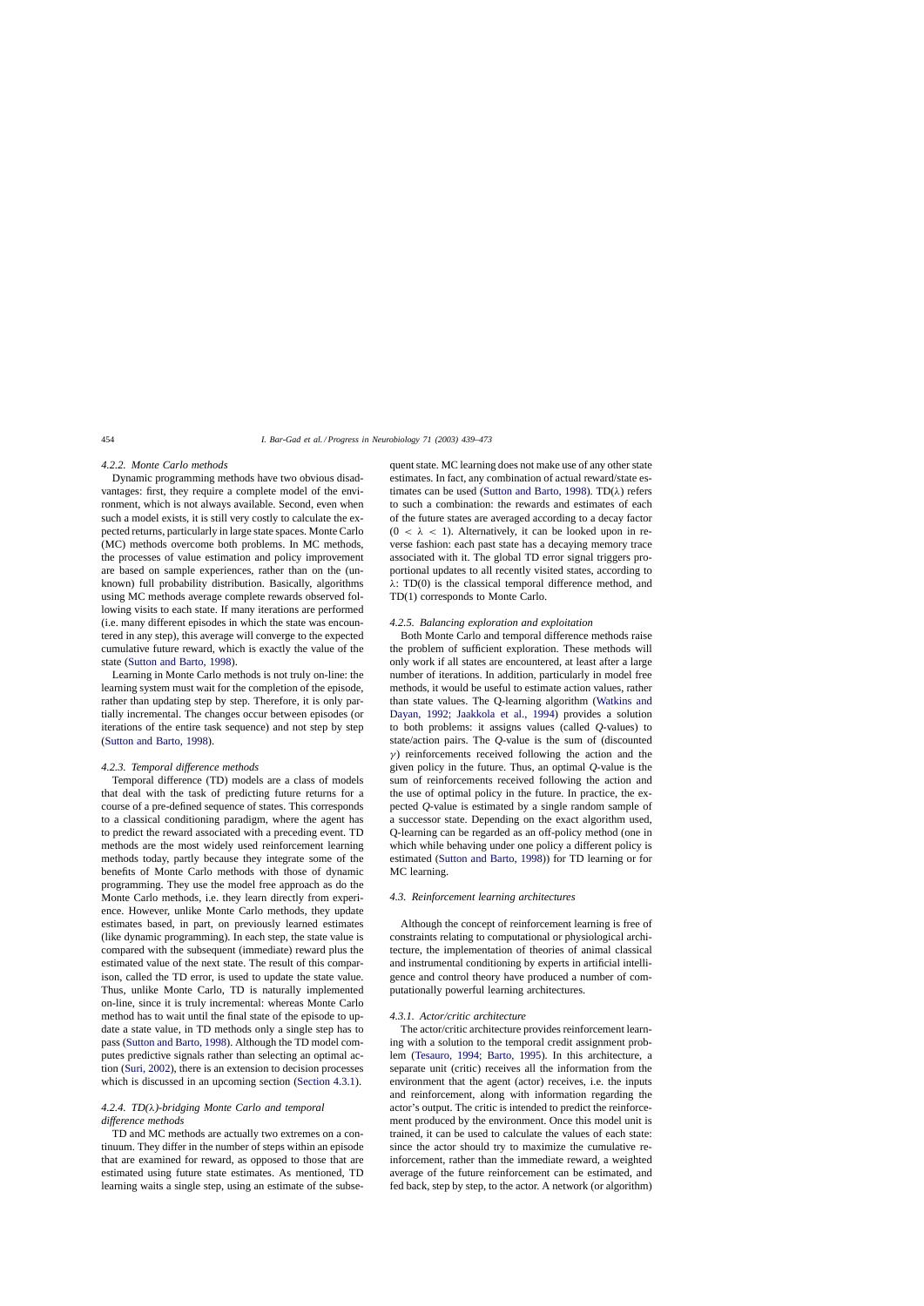### *4.2.2. Monte Carlo methods*

Dynamic programming methods have two obvious disadvantages: first, they require a complete model of the environment, which is not always available. Second, even when such a model exists, it is still very costly to calculate the expected returns, particularly in large state spaces. Monte Carlo (MC) methods overcome both problems. In MC methods, the processes of value estimation and policy improvement are based on sample experiences, rather than on the (unknown) full probability distribution. Basically, algorithms using MC methods average complete rewards observed following visits to each state. If many iterations are performed (i.e. many different episodes in which the state was encountered in any step), this average will converge to the expected cumulative future reward, which is exactly the value of the state [\(Sutton and Barto, 1998\).](#page-34-0)

Learning in Monte Carlo methods is not truly on-line: the learning system must wait for the completion of the episode, rather than updating step by step. Therefore, it is only partially incremental. The changes occur between episodes (or iterations of the entire task sequence) and not step by step ([Sutton and Barto, 1998\).](#page-34-0)

#### *4.2.3. Temporal difference methods*

Temporal difference (TD) models are a class of models that deal with the task of predicting future returns for a course of a pre-defined sequence of states. This corresponds to a classical conditioning paradigm, where the agent has to predict the reward associated with a preceding event. TD methods are the most widely used reinforcement learning methods today, partly because they integrate some of the benefits of Monte Carlo methods with those of dynamic programming. They use the model free approach as do the Monte Carlo methods, i.e. they learn directly from experience. However, unlike Monte Carlo methods, they update estimates based, in part, on previously learned estimates (like dynamic programming). In each step, the state value is compared with the subsequent (immediate) reward plus the estimated value of the next state. The result of this comparison, called the TD error, is used to update the state value. Thus, unlike Monte Carlo, TD is naturally implemented on-line, since it is truly incremental: whereas Monte Carlo method has to wait until the final state of the episode to update a state value, in TD methods only a single step has to pass [\(Sutton and Barto, 1998\).](#page-34-0) Although the TD model computes predictive signals rather than selecting an optimal action ([Suri, 2002\),](#page-34-0) there is an extension to decision processes which is discussed in an upcoming section (Section 4.3.1).

# *4.2.4. TD(*λ*)-bridging Monte Carlo and temporal difference methods*

TD and MC methods are actually two extremes on a continuum. They differ in the number of steps within an episode that are examined for reward, as opposed to those that are estimated using future state estimates. As mentioned, TD learning waits a single step, using an estimate of the subse-

quent state. MC learning does not make use of any other state estimates. In fact, any combination of actual reward/state es-timates can be used ([Sutton and Barto, 1998\).](#page-34-0) TD( $\lambda$ ) refers to such a combination: the rewards and estimates of each of the future states are averaged according to a decay factor  $(0 < \lambda < 1)$ . Alternatively, it can be looked upon in reverse fashion: each past state has a decaying memory trace associated with it. The global TD error signal triggers proportional updates to all recently visited states, according to  $\lambda$ : TD(0) is the classical temporal difference method, and TD(1) corresponds to Monte Carlo.

### *4.2.5. Balancing exploration and exploitation*

Both Monte Carlo and temporal difference methods raise the problem of sufficient exploration. These methods will only work if all states are encountered, at least after a large number of iterations. In addition, particularly in model free methods, it would be useful to estimate action values, rather than state values. The Q-learning algorithm ([Watkins and](#page-34-0) [Dayan, 1992; Jaakkola et al., 1994](#page-34-0)) provides a solution to both problems: it assigns values (called *Q*-values) to state/action pairs. The *Q*-value is the sum of (discounted  $\gamma$ ) reinforcements received following the action and the given policy in the future. Thus, an optimal *Q*-value is the sum of reinforcements received following the action and the use of optimal policy in the future. In practice, the expected *Q*-value is estimated by a single random sample of a successor state. Depending on the exact algorithm used, Q-learning can be regarded as an off-policy method (one in which while behaving under one policy a different policy is estimated [\(Sutton and Barto, 1998\)\)](#page-34-0) for TD learning or for MC learning.

# *4.3. Reinforcement learning architectures*

Although the concept of reinforcement learning is free of constraints relating to computational or physiological architecture, the implementation of theories of animal classical and instrumental conditioning by experts in artificial intelligence and control theory have produced a number of computationally powerful learning architectures.

## *4.3.1. Actor/critic architecture*

The actor/critic architecture provides reinforcement learning with a solution to the temporal credit assignment problem [\(Tesauro, 1994; Barto, 1995](#page-34-0)). In this architecture, a separate unit (critic) receives all the information from the environment that the agent (actor) receives, i.e. the inputs and reinforcement, along with information regarding the actor's output. The critic is intended to predict the reinforcement produced by the environment. Once this model unit is trained, it can be used to calculate the values of each state: since the actor should try to maximize the cumulative reinforcement, rather than the immediate reward, a weighted average of the future reinforcement can be estimated, and fed back, step by step, to the actor. A network (or algorithm)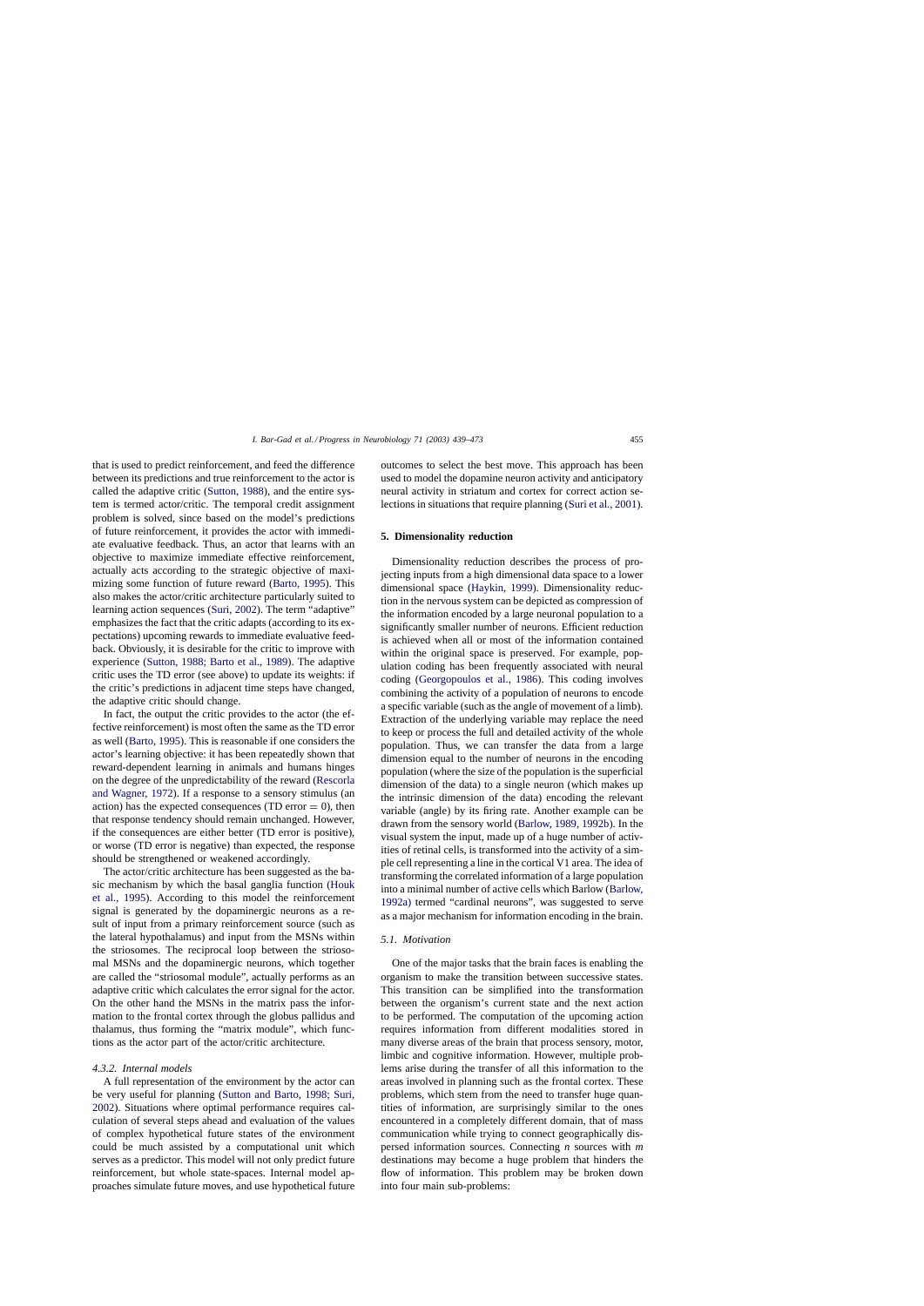that is used to predict reinforcement, and feed the difference between its predictions and true reinforcement to the actor is called the adaptive critic [\(Sutton, 1988\),](#page-34-0) and the entire system is termed actor/critic. The temporal credit assignment problem is solved, since based on the model's predictions of future reinforcement, it provides the actor with immediate evaluative feedback. Thus, an actor that learns with an objective to maximize immediate effective reinforcement, actually acts according to the strategic objective of maximizing some function of future reward ([Barto, 1995\).](#page-28-0) This also makes the actor/critic architecture particularly suited to learning action sequences ([Suri, 2002\).](#page-34-0) The term "adaptive" emphasizes the fact that the critic adapts (according to its expectations) upcoming rewards to immediate evaluative feedback. Obviously, it is desirable for the critic to improve with experience ([Sutton, 1988; Barto et al., 1989\).](#page-34-0) The adaptive critic uses the TD error (see above) to update its weights: if the critic's predictions in adjacent time steps have changed, the adaptive critic should change.

In fact, the output the critic provides to the actor (the effective reinforcement) is most often the same as the TD error as well ([Barto, 1995\).](#page-28-0) This is reasonable if one considers the actor's learning objective: it has been repeatedly shown that reward-dependent learning in animals and humans hinges on the degree of the unpredictability of the reward ([Rescorla](#page-33-0) [and Wagner, 1972\).](#page-33-0) If a response to a sensory stimulus (an action) has the expected consequences (TD error  $= 0$ ), then that response tendency should remain unchanged. However, if the consequences are either better (TD error is positive), or worse (TD error is negative) than expected, the response should be strengthened or weakened accordingly.

The actor/critic architecture has been suggested as the basic mechanism by which the basal ganglia function [\(Houk](#page-30-0) [et al., 1995\)](#page-30-0). According to this model the reinforcement signal is generated by the dopaminergic neurons as a result of input from a primary reinforcement source (such as the lateral hypothalamus) and input from the MSNs within the striosomes. The reciprocal loop between the striosomal MSNs and the dopaminergic neurons, which together are called the "striosomal module", actually performs as an adaptive critic which calculates the error signal for the actor. On the other hand the MSNs in the matrix pass the information to the frontal cortex through the globus pallidus and thalamus, thus forming the "matrix module", which functions as the actor part of the actor/critic architecture.

### *4.3.2. Internal models*

A full representation of the environment by the actor can be very useful for planning ([Sutton and Barto, 1998; Suri,](#page-34-0) [2002\).](#page-34-0) Situations where optimal performance requires calculation of several steps ahead and evaluation of the values of complex hypothetical future states of the environment could be much assisted by a computational unit which serves as a predictor. This model will not only predict future reinforcement, but whole state-spaces. Internal model approaches simulate future moves, and use hypothetical future outcomes to select the best move. This approach has been used to model the dopamine neuron activity and anticipatory neural activity in striatum and cortex for correct action selections in situations that require planning [\(Suri et al., 2001\).](#page-34-0)

### **5. Dimensionality reduction**

Dimensionality reduction describes the process of projecting inputs from a high dimensional data space to a lower dimensional space ([Haykin, 1999\).](#page-30-0) Dimensionality reduction in the nervous system can be depicted as compression of the information encoded by a large neuronal population to a significantly smaller number of neurons. Efficient reduction is achieved when all or most of the information contained within the original space is preserved. For example, population coding has been frequently associated with neural coding ([Georgopoulos et al., 1986\)](#page-30-0). This coding involves combining the activity of a population of neurons to encode a specific variable (such as the angle of movement of a limb). Extraction of the underlying variable may replace the need to keep or process the full and detailed activity of the whole population. Thus, we can transfer the data from a large dimension equal to the number of neurons in the encoding population (where the size of the population is the superficial dimension of the data) to a single neuron (which makes up the intrinsic dimension of the data) encoding the relevant variable (angle) by its firing rate. Another example can be drawn from the sensory world [\(Barlow, 1989, 1992b\).](#page-28-0) In the visual system the input, made up of a huge number of activities of retinal cells, is transformed into the activity of a simple cell representing a line in the cortical V1 area. The idea of transforming the correlated information of a large population into a minimal number of active cells which Barlow ([Barlow,](#page-28-0) [1992a\)](#page-28-0) termed "cardinal neurons", was suggested to serve as a major mechanism for information encoding in the brain.

### *5.1. Motivation*

One of the major tasks that the brain faces is enabling the organism to make the transition between successive states. This transition can be simplified into the transformation between the organism's current state and the next action to be performed. The computation of the upcoming action requires information from different modalities stored in many diverse areas of the brain that process sensory, motor, limbic and cognitive information. However, multiple problems arise during the transfer of all this information to the areas involved in planning such as the frontal cortex. These problems, which stem from the need to transfer huge quantities of information, are surprisingly similar to the ones encountered in a completely different domain, that of mass communication while trying to connect geographically dispersed information sources. Connecting *n* sources with *m* destinations may become a huge problem that hinders the flow of information. This problem may be broken down into four main sub-problems: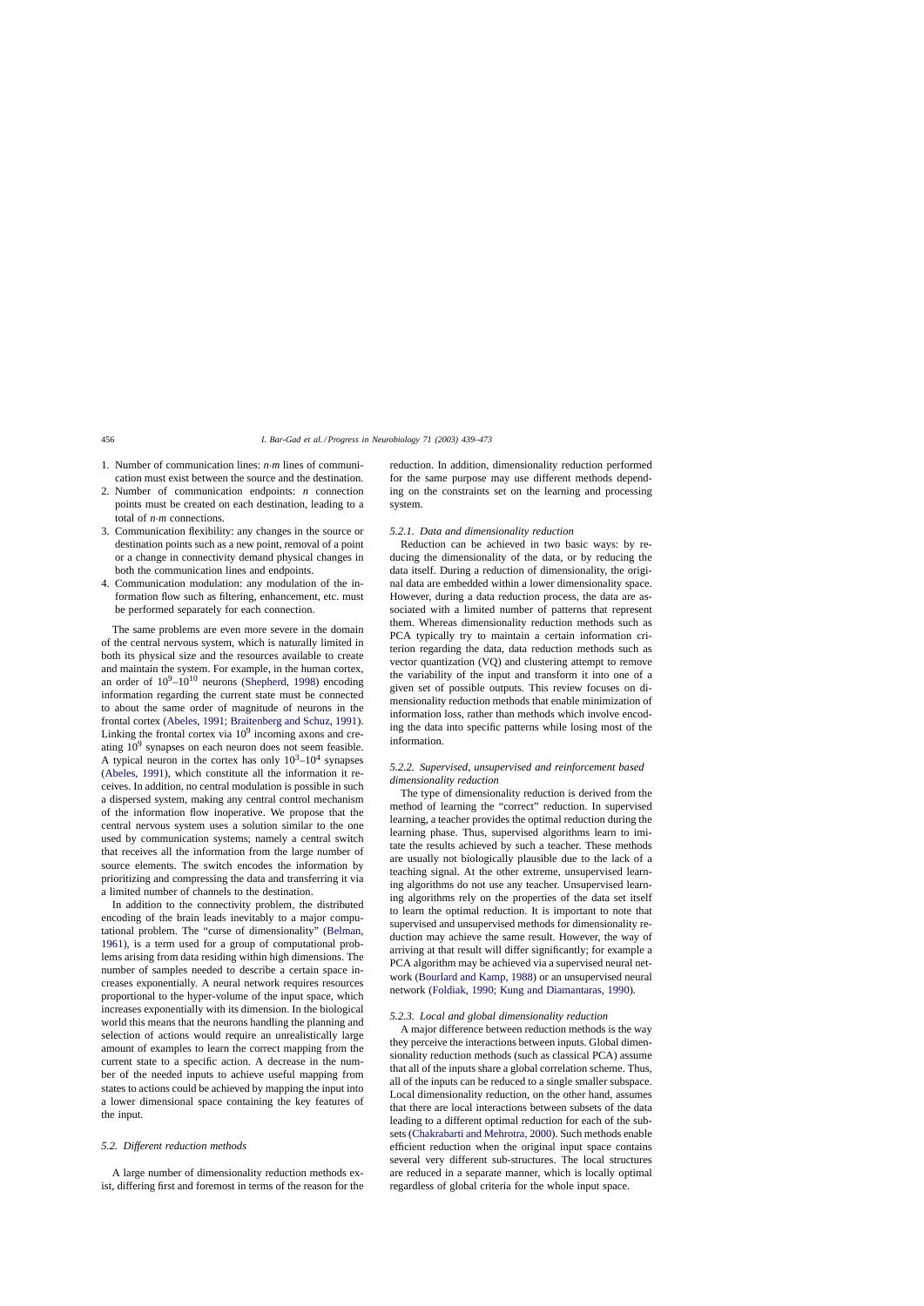- 1. Number of communication lines: *n*·*m* lines of communication must exist between the source and the destination.
- 2. Number of communication endpoints: *n* connection points must be created on each destination, leading to a total of *n*·*m* connections.
- 3. Communication flexibility: any changes in the source or destination points such as a new point, removal of a point or a change in connectivity demand physical changes in both the communication lines and endpoints.
- 4. Communication modulation: any modulation of the information flow such as filtering, enhancement, etc. must be performed separately for each connection.

The same problems are even more severe in the domain of the central nervous system, which is naturally limited in both its physical size and the resources available to create and maintain the system. For example, in the human cortex, an order of  $10^9$ – $10^{10}$  neurons ([Shepherd, 1998\)](#page-33-0) encoding information regarding the current state must be connected to about the same order of magnitude of neurons in the frontal cortex [\(Abeles, 1991; Braitenberg and Schuz, 1991\).](#page-27-0) Linking the frontal cortex via  $10<sup>9</sup>$  incoming axons and creating  $10<sup>9</sup>$  synapses on each neuron does not seem feasible. A typical neuron in the cortex has only  $10^3$ – $10^4$  synapses ([Abeles, 1991\),](#page-27-0) which constitute all the information it receives. In addition, no central modulation is possible in such a dispersed system, making any central control mechanism of the information flow inoperative. We propose that the central nervous system uses a solution similar to the one used by communication systems; namely a central switch that receives all the information from the large number of source elements. The switch encodes the information by prioritizing and compressing the data and transferring it via a limited number of channels to the destination.

In addition to the connectivity problem, the distributed encoding of the brain leads inevitably to a major computational problem. The "curse of dimensionality" [\(Belman,](#page-28-0) [1961\),](#page-28-0) is a term used for a group of computational problems arising from data residing within high dimensions. The number of samples needed to describe a certain space increases exponentially. A neural network requires resources proportional to the hyper-volume of the input space, which increases exponentially with its dimension. In the biological world this means that the neurons handling the planning and selection of actions would require an unrealistically large amount of examples to learn the correct mapping from the current state to a specific action. A decrease in the number of the needed inputs to achieve useful mapping from states to actions could be achieved by mapping the input into a lower dimensional space containing the key features of the input.

### *5.2. Different reduction methods*

A large number of dimensionality reduction methods exist, differing first and foremost in terms of the reason for the reduction. In addition, dimensionality reduction performed for the same purpose may use different methods depending on the constraints set on the learning and processing system.

#### *5.2.1. Data and dimensionality reduction*

Reduction can be achieved in two basic ways: by reducing the dimensionality of the data, or by reducing the data itself. During a reduction of dimensionality, the original data are embedded within a lower dimensionality space. However, during a data reduction process, the data are associated with a limited number of patterns that represent them. Whereas dimensionality reduction methods such as PCA typically try to maintain a certain information criterion regarding the data, data reduction methods such as vector quantization (VQ) and clustering attempt to remove the variability of the input and transform it into one of a given set of possible outputs. This review focuses on dimensionality reduction methods that enable minimization of information loss, rather than methods which involve encoding the data into specific patterns while losing most of the information.

# *5.2.2. Supervised, unsupervised and reinforcement based dimensionality reduction*

The type of dimensionality reduction is derived from the method of learning the "correct" reduction. In supervised learning, a teacher provides the optimal reduction during the learning phase. Thus, supervised algorithms learn to imitate the results achieved by such a teacher. These methods are usually not biologically plausible due to the lack of a teaching signal. At the other extreme, unsupervised learning algorithms do not use any teacher. Unsupervised learning algorithms rely on the properties of the data set itself to learn the optimal reduction. It is important to note that supervised and unsupervised methods for dimensionality reduction may achieve the same result. However, the way of arriving at that result will differ significantly; for example a PCA algorithm may be achieved via a supervised neural network ([Bourlard and Kamp, 1988\) o](#page-29-0)r an unsupervised neural network [\(Foldiak, 1990; Kung and Diamantaras, 1990\).](#page-29-0)

#### *5.2.3. Local and global dimensionality reduction*

A major difference between reduction methods is the way they perceive the interactions between inputs. Global dimensionality reduction methods (such as classical PCA) assume that all of the inputs share a global correlation scheme. Thus, all of the inputs can be reduced to a single smaller subspace. Local dimensionality reduction, on the other hand, assumes that there are local interactions between subsets of the data leading to a different optimal reduction for each of the subsets ([Chakrabarti and Mehrotra, 2000\). S](#page-29-0)uch methods enable efficient reduction when the original input space contains several very different sub-structures. The local structures are reduced in a separate manner, which is locally optimal regardless of global criteria for the whole input space.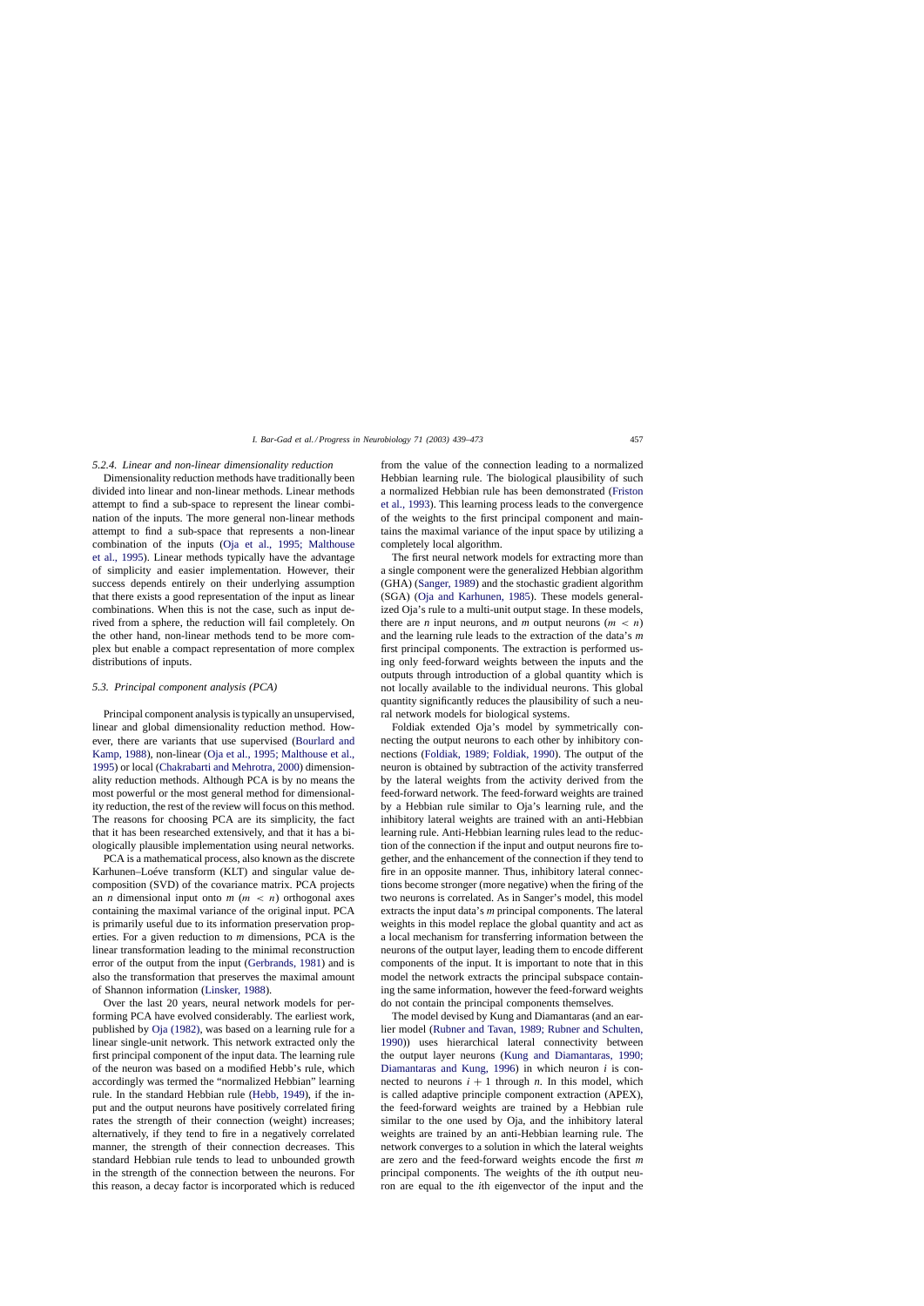### *5.2.4. Linear and non-linear dimensionality reduction*

Dimensionality reduction methods have traditionally been divided into linear and non-linear methods. Linear methods attempt to find a sub-space to represent the linear combination of the inputs. The more general non-linear methods attempt to find a sub-space that represents a non-linear combination of the inputs ([Oja et al., 1995; Malthous](#page-32-0)e [et al., 1995\).](#page-32-0) Linear methods typically have the advantage of simplicity and easier implementation. However, their success depends entirely on their underlying assumption that there exists a good representation of the input as linear combinations. When this is not the case, such as input derived from a sphere, the reduction will fail completely. On the other hand, non-linear methods tend to be more complex but enable a compact representation of more complex distributions of inputs.

# *5.3. Principal component analysis (PCA)*

Principal component analysis is typically an unsupervised, linear and global dimensionality reduction method. However, there are variants that use supervised ([Bourlard and](#page-29-0) [Kamp, 1988\),](#page-29-0) non-linear [\(Oja et al., 1995; Malthouse et al.,](#page-32-0) [1995\)](#page-32-0) or local [\(Chakrabarti and Mehrotra, 2000\) d](#page-29-0)imensionality reduction methods. Although PCA is by no means the most powerful or the most general method for dimensionality reduction, the rest of the review will focus on this method. The reasons for choosing PCA are its simplicity, the fact that it has been researched extensively, and that it has a biologically plausible implementation using neural networks.

PCA is a mathematical process, also known as the discrete Karhunen–Loéve transform (KLT) and singular value decomposition (SVD) of the covariance matrix. PCA projects an *n* dimensional input onto  $m$  ( $m < n$ ) orthogonal axes containing the maximal variance of the original input. PCA is primarily useful due to its information preservation properties. For a given reduction to *m* dimensions, PCA is the linear transformation leading to the minimal reconstruction error of the output from the input [\(Gerbrands, 1981\)](#page-30-0) and is also the transformation that preserves the maximal amount of Shannon information ([Linsker, 1988\).](#page-31-0)

Over the last 20 years, neural network models for performing PCA have evolved considerably. The earliest work, published by [Oja \(1982\),](#page-32-0) was based on a learning rule for a linear single-unit network. This network extracted only the first principal component of the input data. The learning rule of the neuron was based on a modified Hebb's rule, which accordingly was termed the "normalized Hebbian" learning rule. In the standard Hebbian rule [\(Hebb, 1949\),](#page-30-0) if the input and the output neurons have positively correlated firing rates the strength of their connection (weight) increases; alternatively, if they tend to fire in a negatively correlated manner, the strength of their connection decreases. This standard Hebbian rule tends to lead to unbounded growth in the strength of the connection between the neurons. For this reason, a decay factor is incorporated which is reduced

from the value of the connection leading to a normalized Hebbian learning rule. The biological plausibility of such a normalized Hebbian rule has been demonstrated [\(Friston](#page-30-0) [et al., 1993\).](#page-30-0) This learning process leads to the convergence of the weights to the first principal component and maintains the maximal variance of the input space by utilizing a completely local algorithm.

The first neural network models for extracting more than a single component were the generalized Hebbian algorithm (GHA) [\(Sanger, 1989\)](#page-33-0) and the stochastic gradient algorithm (SGA) [\(Oja and Karhunen, 1985\)](#page-32-0). These models generalized Oja's rule to a multi-unit output stage. In these models, there are *n* input neurons, and *m* output neurons  $(m < n)$ and the learning rule leads to the extraction of the data's *m* first principal components. The extraction is performed using only feed-forward weights between the inputs and the outputs through introduction of a global quantity which is not locally available to the individual neurons. This global quantity significantly reduces the plausibility of such a neural network models for biological systems.

Foldiak extended Oja's model by symmetrically connecting the output neurons to each other by inhibitory connections [\(Foldiak, 1989; Foldiak, 1990\).](#page-29-0) The output of the neuron is obtained by subtraction of the activity transferred by the lateral weights from the activity derived from the feed-forward network. The feed-forward weights are trained by a Hebbian rule similar to Oja's learning rule, and the inhibitory lateral weights are trained with an anti-Hebbian learning rule. Anti-Hebbian learning rules lead to the reduction of the connection if the input and output neurons fire together, and the enhancement of the connection if they tend to fire in an opposite manner. Thus, inhibitory lateral connections become stronger (more negative) when the firing of the two neurons is correlated. As in Sanger's model, this model extracts the input data's *m* principal components. The lateral weights in this model replace the global quantity and act as a local mechanism for transferring information between the neurons of the output layer, leading them to encode different components of the input. It is important to note that in this model the network extracts the principal subspace containing the same information, however the feed-forward weights do not contain the principal components themselves.

The model devised by Kung and Diamantaras (and an earlier model ([Rubner and Tavan, 1989; Rubner and Schulten,](#page-33-0) [1990\)\)](#page-33-0) uses hierarchical lateral connectivity between the output layer neurons ([Kung and Diamantaras, 1990;](#page-31-0) [Diamantaras and Kung, 1996\)](#page-31-0) in which neuron *i* is connected to neurons  $i + 1$  through *n*. In this model, which is called adaptive principle component extraction (APEX), the feed-forward weights are trained by a Hebbian rule similar to the one used by Oja, and the inhibitory lateral weights are trained by an anti-Hebbian learning rule. The network converges to a solution in which the lateral weights are zero and the feed-forward weights encode the first *m* principal components. The weights of the *i*th output neuron are equal to the *i*th eigenvector of the input and the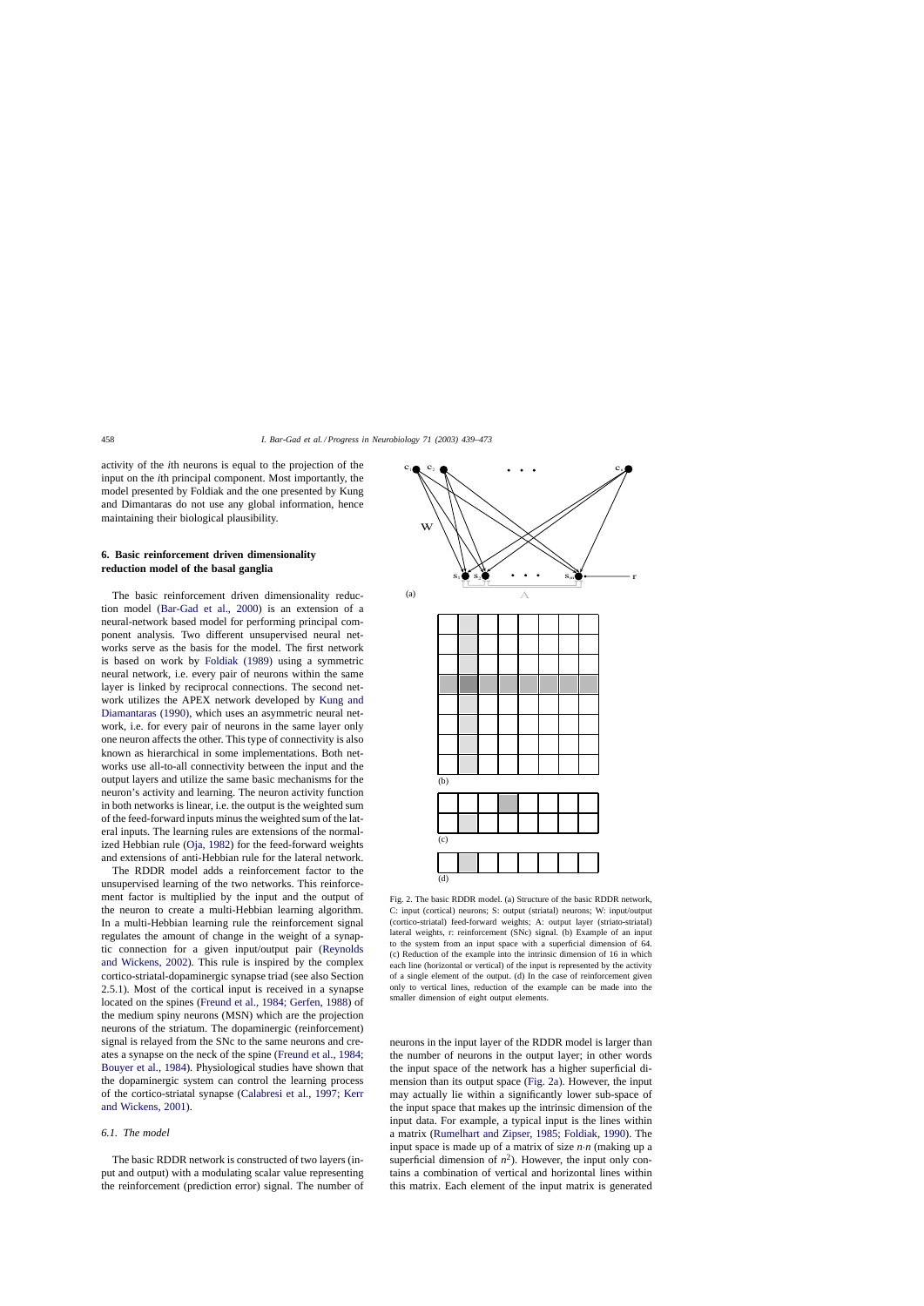<span id="page-19-0"></span>activity of the *i*th neurons is equal to the projection of the input on the *i*th principal component. Most importantly, the model presented by Foldiak and the one presented by Kung and Dimantaras do not use any global information, hence maintaining their biological plausibility.

# **6. Basic reinforcement driven dimensionality reduction model of the basal ganglia**

The basic reinforcement driven dimensionality reduction model ([Bar-Gad et al., 2000](#page-28-0)) is an extension of a neural-network based model for performing principal component analysis. Two different unsupervised neural networks serve as the basis for the model. The first network is based on work by [Foldiak \(1989\)](#page-29-0) using a symmetric neural network, i.e. every pair of neurons within the same layer is linked by reciprocal connections. The second network utilizes the APEX network developed by [Kung and](#page-31-0) [Diamantaras \(1990\),](#page-31-0) which uses an asymmetric neural network, i.e. for every pair of neurons in the same layer only one neuron affects the other. This type of connectivity is also known as hierarchical in some implementations. Both networks use all-to-all connectivity between the input and the output layers and utilize the same basic mechanisms for the neuron's activity and learning. The neuron activity function in both networks is linear, i.e. the output is the weighted sum of the feed-forward inputs minus the weighted sum of the lateral inputs. The learning rules are extensions of the normalized Hebbian rule [\(Oja, 1982\)](#page-32-0) for the feed-forward weights and extensions of anti-Hebbian rule for the lateral network.

The RDDR model adds a reinforcement factor to the unsupervised learning of the two networks. This reinforcement factor is multiplied by the input and the output of the neuron to create a multi-Hebbian learning algorithm. In a multi-Hebbian learning rule the reinforcement signal regulates the amount of change in the weight of a synaptic connection for a given input/output pair [\(Reynolds](#page-33-0) [and Wickens, 2002\).](#page-33-0) This rule is inspired by the complex cortico-striatal-dopaminergic synapse triad (see also Section 2.5.1). Most of the cortical input is received in a synapse located on the spines ([Freund et al., 1984; Gerfen, 1988\)](#page-30-0) of the medium spiny neurons (MSN) which are the projection neurons of the striatum. The dopaminergic (reinforcement) signal is relayed from the SNc to the same neurons and creates a synapse on the neck of the spine [\(Freund et al., 1984;](#page-30-0) [Bouyer et al., 1984\).](#page-30-0) Physiological studies have shown that the dopaminergic system can control the learning process of the cortico-striatal synapse ([Calabresi et al., 1997; Kerr](#page-29-0) [and Wickens, 2001\).](#page-29-0)

# *6.1. The model*

The basic RDDR network is constructed of two layers (input and output) with a modulating scalar value representing the reinforcement (prediction error) signal. The number of



Fig. 2. The basic RDDR model. (a) Structure of the basic RDDR network, C: input (cortical) neurons; S: output (striatal) neurons; W: input/output (cortico-striatal) feed-forward weights; A: output layer (striato-striatal) lateral weights, r: reinforcement (SNc) signal. (b) Example of an input to the system from an input space with a superficial dimension of 64. (c) Reduction of the example into the intrinsic dimension of 16 in which each line (horizontal or vertical) of the input is represented by the activity of a single element of the output. (d) In the case of reinforcement given only to vertical lines, reduction of the example can be made into the smaller dimension of eight output elements.

neurons in the input layer of the RDDR model is larger than the number of neurons in the output layer; in other words the input space of the network has a higher superficial dimension than its output space (Fig. 2a). However, the input may actually lie within a significantly lower sub-space of the input space that makes up the intrinsic dimension of the input data. For example, a typical input is the lines within a matrix [\(Rumelhart and Zipser, 1985; Foldiak, 1990\).](#page-33-0) The input space is made up of a matrix of size *n*·*n* (making up a superficial dimension of  $n^2$ ). However, the input only contains a combination of vertical and horizontal lines within this matrix. Each element of the input matrix is generated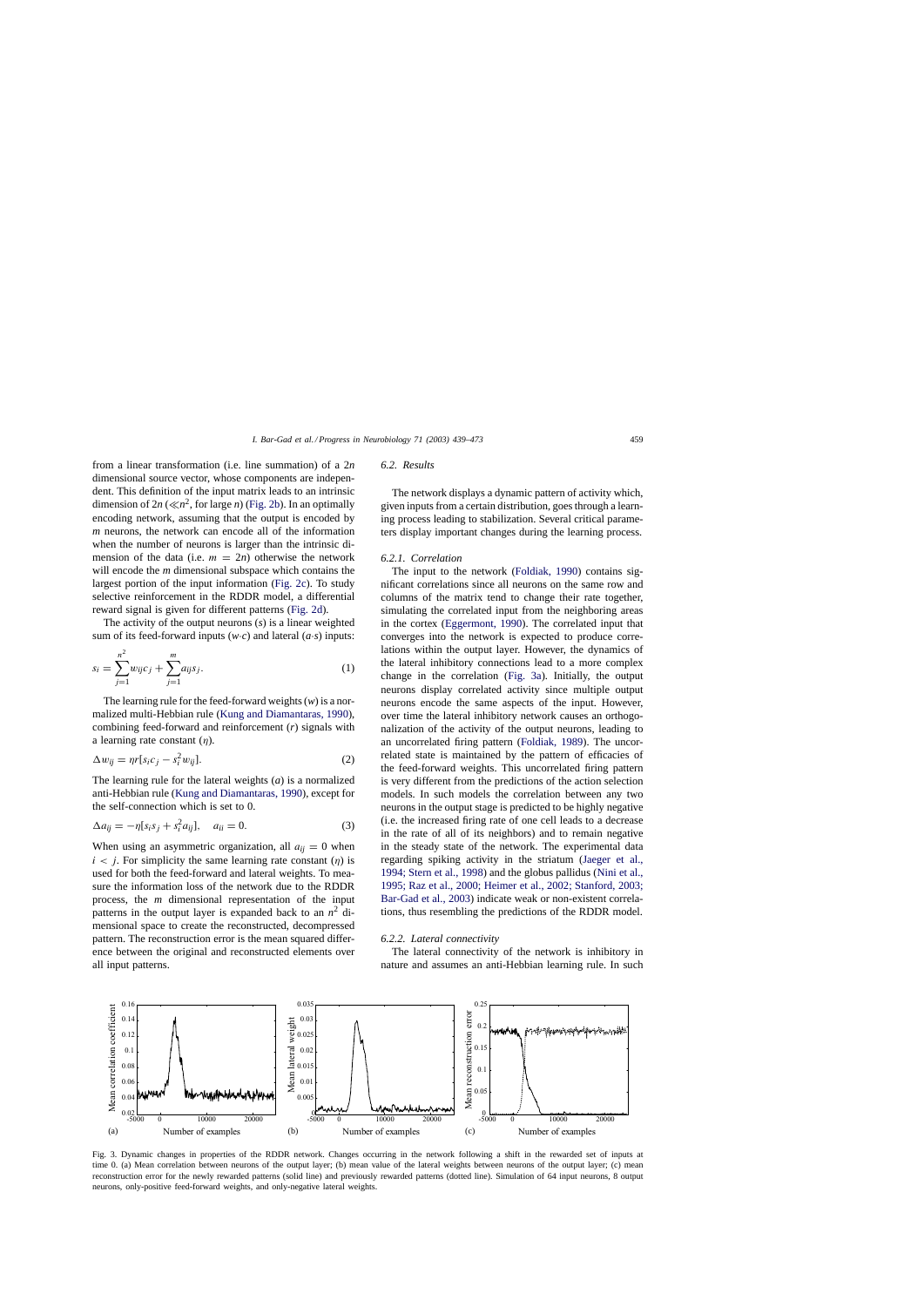<span id="page-20-0"></span>from a linear transformation (i.e. line summation) of a 2*n* dimensional source vector, whose components are independent. This definition of the input matrix leads to an intrinsic dimension of  $2n \left(\ll n^2\right)$ , for large *n*) [\(Fig. 2b\).](#page-19-0) In an optimally encoding network, assuming that the output is encoded by *m* neurons, the network can encode all of the information when the number of neurons is larger than the intrinsic dimension of the data (i.e.  $m = 2n$ ) otherwise the network will encode the *m* dimensional subspace which contains the largest portion of the input information ([Fig. 2c\).](#page-19-0) To study selective reinforcement in the RDDR model, a differential reward signal is given for different patterns [\(Fig. 2d\).](#page-19-0)

The activity of the output neurons (*s*) is a linear weighted sum of its feed-forward inputs  $(w \cdot c)$  and lateral  $(a \cdot s)$  inputs:

$$
s_i = \sum_{j=1}^{n^2} w_{ij} c_j + \sum_{j=1}^{m} a_{ij} s_j.
$$
 (1)

The learning rule for the feed-forward weights (*w*) is a normalized multi-Hebbian rule ([Kung and Diamantaras, 1990\),](#page-31-0) combining feed-forward and reinforcement (*r*) signals with a learning rate constant  $(\eta)$ .

$$
\Delta w_{ij} = \eta r[s_i c_j - s_i^2 w_{ij}]. \tag{2}
$$

The learning rule for the lateral weights (*a*) is a normalized anti-Hebbian rule ([Kung and Diamantaras, 1990\),](#page-31-0) except for the self-connection which is set to 0.

$$
\Delta a_{ij} = -\eta [s_i s_j + s_i^2 a_{ij}], \quad a_{ii} = 0. \tag{3}
$$

When using an asymmetric organization, all  $a_{ij} = 0$  when  $i < j$ . For simplicity the same learning rate constant (η) is used for both the feed-forward and lateral weights. To measure the information loss of the network due to the RDDR process, the *m* dimensional representation of the input patterns in the output layer is expanded back to an  $n^2$  dimensional space to create the reconstructed, decompressed pattern. The reconstruction error is the mean squared difference between the original and reconstructed elements over all input patterns.

### *6.2. Results*

The network displays a dynamic pattern of activity which, given inputs from a certain distribution, goes through a learning process leading to stabilization. Several critical parameters display important changes during the learning process.

# *6.2.1. Correlation*

The input to the network ([Foldiak, 1990\)](#page-29-0) contains significant correlations since all neurons on the same row and columns of the matrix tend to change their rate together, simulating the correlated input from the neighboring areas in the cortex ([Eggermont, 1990\).](#page-29-0) The correlated input that converges into the network is expected to produce correlations within the output layer. However, the dynamics of the lateral inhibitory connections lead to a more complex change in the correlation (Fig. 3a). Initially, the output neurons display correlated activity since multiple output neurons encode the same aspects of the input. However, over time the lateral inhibitory network causes an orthogonalization of the activity of the output neurons, leading to an uncorrelated firing pattern ([Foldiak, 1989\).](#page-29-0) The uncorrelated state is maintained by the pattern of efficacies of the feed-forward weights. This uncorrelated firing pattern is very different from the predictions of the action selection models. In such models the correlation between any two neurons in the output stage is predicted to be highly negative (i.e. the increased firing rate of one cell leads to a decrease in the rate of all of its neighbors) and to remain negative in the steady state of the network. The experimental data regarding spiking activity in the striatum [\(Jaeger et al.,](#page-31-0) [1994; Stern et al., 1998\) a](#page-31-0)nd the globus pallidus [\(Nini et al.,](#page-32-0) [1995; Raz et al., 2000; Heimer et al., 2002; Stanford, 2003;](#page-32-0) [Bar-Gad et al., 2003\) i](#page-32-0)ndicate weak or non-existent correlations, thus resembling the predictions of the RDDR model.

### *6.2.2. Lateral connectivity*

The lateral connectivity of the network is inhibitory in nature and assumes an anti-Hebbian learning rule. In such



Fig. 3. Dynamic changes in properties of the RDDR network. Changes occurring in the network following a shift in the rewarded set of inputs at time 0. (a) Mean correlation between neurons of the output layer; (b) mean value of the lateral weights between neurons of the output layer; (c) mean reconstruction error for the newly rewarded patterns (solid line) and previously rewarded patterns (dotted line). Simulation of 64 input neurons, 8 output neurons, only-positive feed-forward weights, and only-negative lateral weights.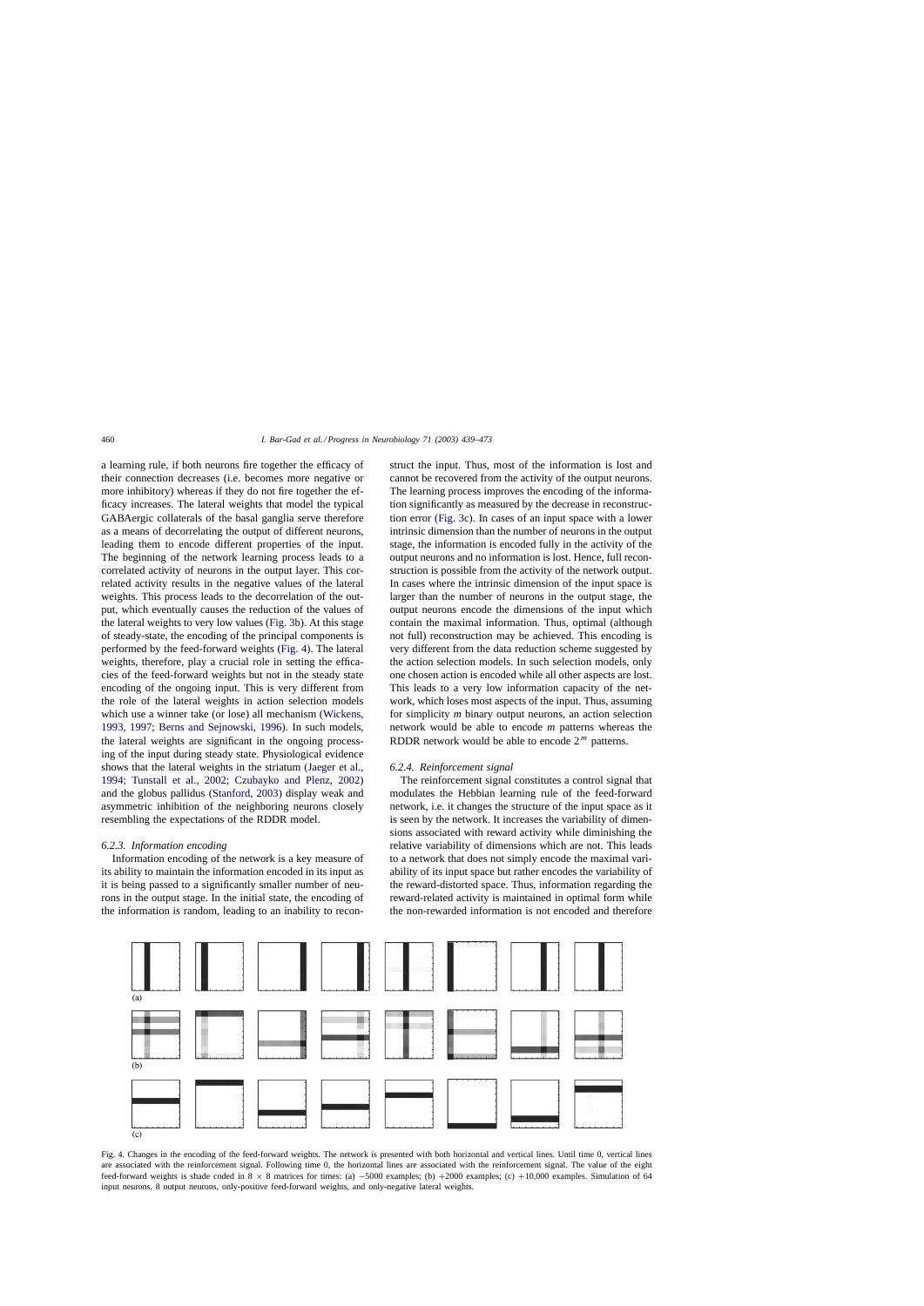a learning rule, if both neurons fire together the efficacy of their connection decreases (i.e. becomes more negative or more inhibitory) whereas if they do not fire together the efficacy increases. The lateral weights that model the typical GABAergic collaterals of the basal ganglia serve therefore as a means of decorrelating the output of different neurons, leading them to encode different properties of the input. The beginning of the network learning process leads to a correlated activity of neurons in the output layer. This correlated activity results in the negative values of the lateral weights. This process leads to the decorrelation of the output, which eventually causes the reduction of the values of the lateral weights to very low values ([Fig. 3b\).](#page-20-0) At this stage of steady-state, the encoding of the principal components is performed by the feed-forward weights (Fig. 4). The lateral weights, therefore, play a crucial role in setting the efficacies of the feed-forward weights but not in the steady state encoding of the ongoing input. This is very different from the role of the lateral weights in action selection models which use a winner take (or lose) all mechanism ([Wickens,](#page-34-0) [1993, 1997;](#page-34-0) [Berns and Sejnowski, 1996\)](#page-28-0). In such models, the lateral weights are significant in the ongoing processing of the input during steady state. Physiological evidence shows that the lateral weights in the striatum ([Jaeger et al.,](#page-31-0) [1994; Tunstall et al., 2002; Czubayko and Plenz, 20](#page-31-0)02) and the globus pallidus ([Stanford, 2003\)](#page-33-0) display weak and asymmetric inhibition of the neighboring neurons closely resembling the expectations of the RDDR model.

### *6.2.3. Information encoding*

Information encoding of the network is a key measure of its ability to maintain the information encoded in its input as it is being passed to a significantly smaller number of neurons in the output stage. In the initial state, the encoding of the information is random, leading to an inability to reconstruct the input. Thus, most of the information is lost and cannot be recovered from the activity of the output neurons. The learning process improves the encoding of the information significantly as measured by the decrease in reconstruction error ([Fig. 3c\).](#page-20-0) In cases of an input space with a lower intrinsic dimension than the number of neurons in the output stage, the information is encoded fully in the activity of the output neurons and no information is lost. Hence, full reconstruction is possible from the activity of the network output. In cases where the intrinsic dimension of the input space is larger than the number of neurons in the output stage, the output neurons encode the dimensions of the input which contain the maximal information. Thus, optimal (although not full) reconstruction may be achieved. This encoding is very different from the data reduction scheme suggested by the action selection models. In such selection models, only one chosen action is encoded while all other aspects are lost. This leads to a very low information capacity of the network, which loses most aspects of the input. Thus, assuming for simplicity *m* binary output neurons, an action selection network would be able to encode *m* patterns whereas the RDDR network would be able to encode  $2<sup>m</sup>$  patterns.

#### *6.2.4. Reinforcement signal*

The reinforcement signal constitutes a control signal that modulates the Hebbian learning rule of the feed-forward network, i.e. it changes the structure of the input space as it is seen by the network. It increases the variability of dimensions associated with reward activity while diminishing the relative variability of dimensions which are not. This leads to a network that does not simply encode the maximal variability of its input space but rather encodes the variability of the reward-distorted space. Thus, information regarding the reward-related activity is maintained in optimal form while the non-rewarded information is not encoded and therefore



Fig. 4. Changes in the encoding of the feed-forward weights. The network is presented with both horizontal and vertical lines. Until time 0, vertical lines are associated with the reinforcement signal. Following time 0, the horizontal lines are associated with the reinforcement signal. The value of the eight feed-forward weights is shade coded in 8 × 8 matrices for times: (a) −5000 examples; (b) +2000 examples; (c) +10,000 examples. Simulation of 64 input neurons, 8 output neurons, only-positive feed-forward weights, and only-negative lateral weights.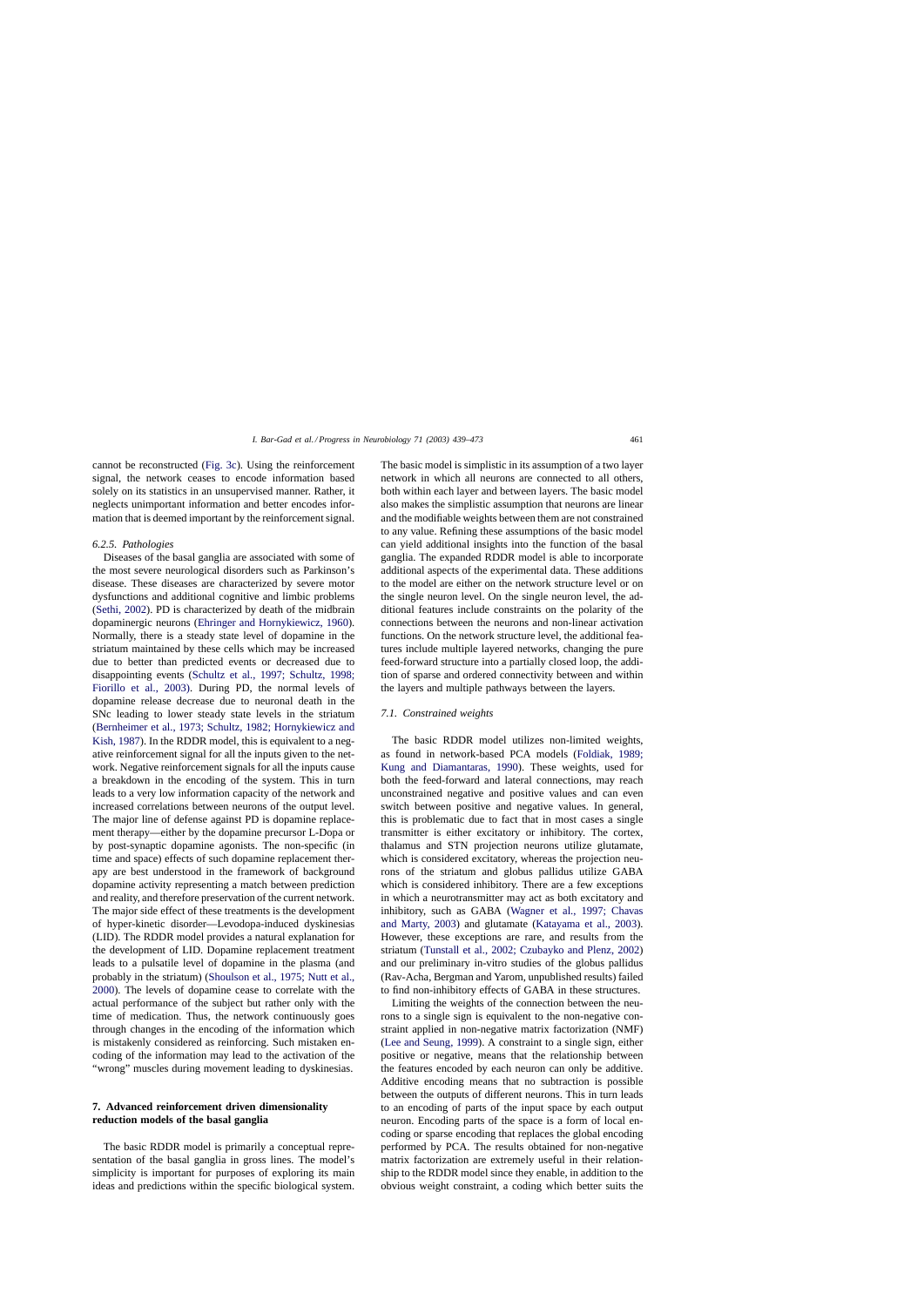cannot be reconstructed [\(Fig. 3c\).](#page-20-0) Using the reinforcement signal, the network ceases to encode information based solely on its statistics in an unsupervised manner. Rather, it neglects unimportant information and better encodes information that is deemed important by the reinforcement signal.

### *6.2.5. Pathologies*

Diseases of the basal ganglia are associated with some of the most severe neurological disorders such as Parkinson's disease. These diseases are characterized by severe motor dysfunctions and additional cognitive and limbic problems ([Sethi, 2002\).](#page-33-0) PD is characterized by death of the midbrain dopaminergic neurons [\(Ehringer and Hornykiewicz, 1960\).](#page-29-0) Normally, there is a steady state level of dopamine in the striatum maintained by these cells which may be increased due to better than predicted events or decreased due to disappointing events [\(Schultz et al., 1997; Schultz, 1998;](#page-33-0) [Fiorillo et al., 2003\)](#page-33-0). During PD, the normal levels of dopamine release decrease due to neuronal death in the SNc leading to lower steady state levels in the striatum ([Bernheimer et al., 1973; Schultz, 1982; Hornykiewicz and](#page-28-0) [Kish, 1987\).](#page-28-0) In the RDDR model, this is equivalent to a negative reinforcement signal for all the inputs given to the network. Negative reinforcement signals for all the inputs cause a breakdown in the encoding of the system. This in turn leads to a very low information capacity of the network and increased correlations between neurons of the output level. The major line of defense against PD is dopamine replacement therapy—either by the dopamine precursor L-Dopa or by post-synaptic dopamine agonists. The non-specific (in time and space) effects of such dopamine replacement therapy are best understood in the framework of background dopamine activity representing a match between prediction and reality, and therefore preservation of the current network. The major side effect of these treatments is the development of hyper-kinetic disorder—Levodopa-induced dyskinesias (LID). The RDDR model provides a natural explanation for the development of LID. Dopamine replacement treatment leads to a pulsatile level of dopamine in the plasma (and probably in the striatum) [\(Shoulson et al., 1975; Nutt et al.,](#page-33-0) [2000\).](#page-33-0) The levels of dopamine cease to correlate with the actual performance of the subject but rather only with the time of medication. Thus, the network continuously goes through changes in the encoding of the information which is mistakenly considered as reinforcing. Such mistaken encoding of the information may lead to the activation of the "wrong" muscles during movement leading to dyskinesias.

# **7. Advanced reinforcement driven dimensionality reduction models of the basal ganglia**

The basic RDDR model is primarily a conceptual representation of the basal ganglia in gross lines. The model's simplicity is important for purposes of exploring its main ideas and predictions within the specific biological system. The basic model is simplistic in its assumption of a two layer network in which all neurons are connected to all others, both within each layer and between layers. The basic model also makes the simplistic assumption that neurons are linear and the modifiable weights between them are not constrained to any value. Refining these assumptions of the basic model can yield additional insights into the function of the basal ganglia. The expanded RDDR model is able to incorporate additional aspects of the experimental data. These additions to the model are either on the network structure level or on the single neuron level. On the single neuron level, the additional features include constraints on the polarity of the connections between the neurons and non-linear activation functions. On the network structure level, the additional features include multiple layered networks, changing the pure feed-forward structure into a partially closed loop, the addition of sparse and ordered connectivity between and within the layers and multiple pathways between the layers.

# *7.1. Constrained weights*

The basic RDDR model utilizes non-limited weights, as found in network-based PCA models [\(Foldiak, 1989;](#page-29-0) [Kung and Diamantaras, 1990](#page-29-0)). These weights, used for both the feed-forward and lateral connections, may reach unconstrained negative and positive values and can even switch between positive and negative values. In general, this is problematic due to fact that in most cases a single transmitter is either excitatory or inhibitory. The cortex, thalamus and STN projection neurons utilize glutamate, which is considered excitatory, whereas the projection neurons of the striatum and globus pallidus utilize GABA which is considered inhibitory. There are a few exceptions in which a neurotransmitter may act as both excitatory and inhibitory, such as GABA ([Wagner et al., 1997; Chavas](#page-34-0) [and Marty, 2003\)](#page-34-0) and glutamate ([Katayama et al., 2003\)](#page-31-0). However, these exceptions are rare, and results from the striatum ([Tunstall et al., 2002; Czubayko and Plenz, 2002\)](#page-34-0) and our preliminary in-vitro studies of the globus pallidus (Rav-Acha, Bergman and Yarom, unpublished results) failed to find non-inhibitory effects of GABA in these structures.

Limiting the weights of the connection between the neurons to a single sign is equivalent to the non-negative constraint applied in non-negative matrix factorization (NMF) ([Lee and Seung, 1999\).](#page-31-0) A constraint to a single sign, either positive or negative, means that the relationship between the features encoded by each neuron can only be additive. Additive encoding means that no subtraction is possible between the outputs of different neurons. This in turn leads to an encoding of parts of the input space by each output neuron. Encoding parts of the space is a form of local encoding or sparse encoding that replaces the global encoding performed by PCA. The results obtained for non-negative matrix factorization are extremely useful in their relationship to the RDDR model since they enable, in addition to the obvious weight constraint, a coding which better suits the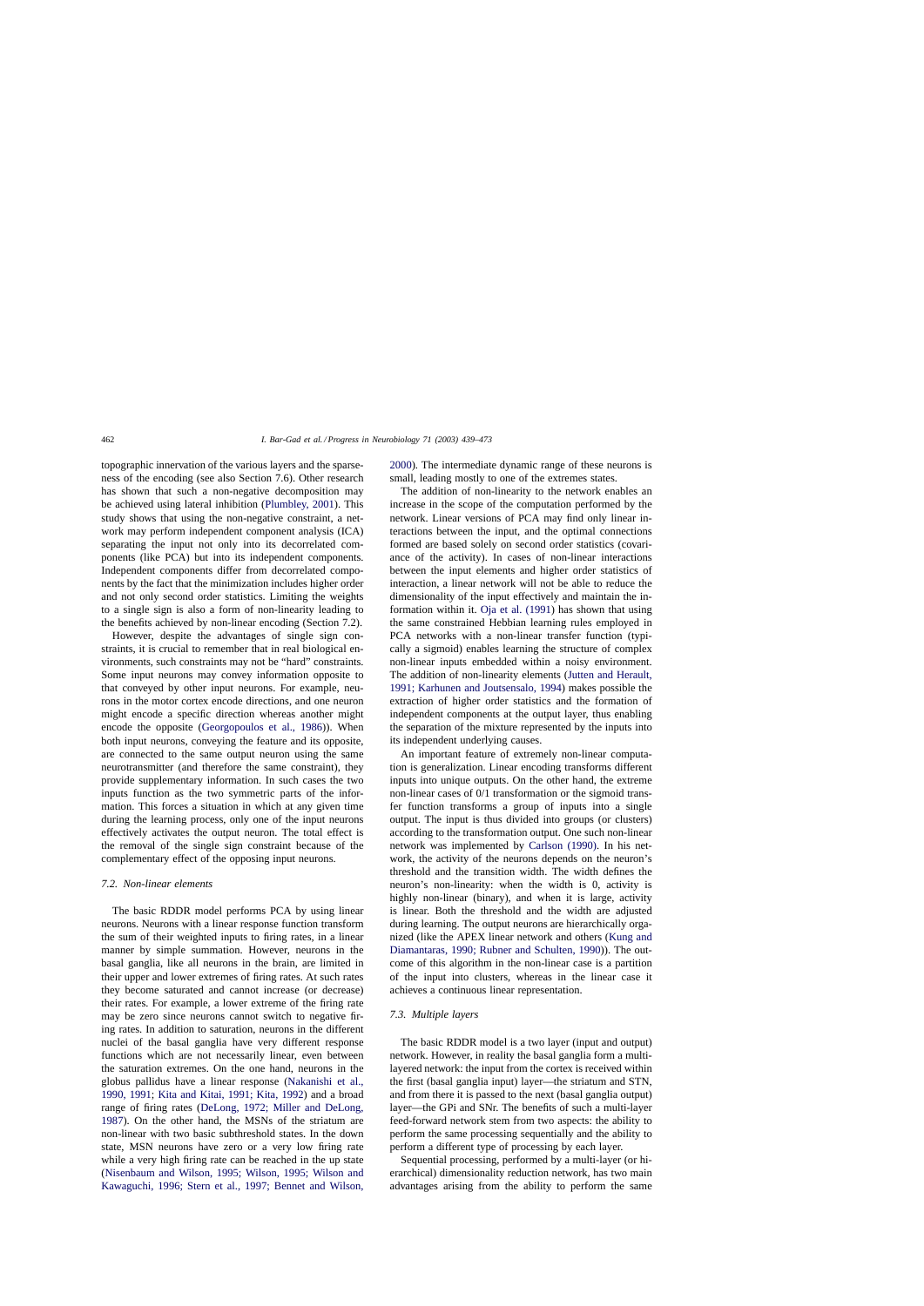topographic innervation of the various layers and the sparseness of the encoding (see also Section 7.6). Other research has shown that such a non-negative decomposition may be achieved using lateral inhibition ([Plumbley, 2001\).](#page-33-0) This study shows that using the non-negative constraint, a network may perform independent component analysis (ICA) separating the input not only into its decorrelated components (like PCA) but into its independent components. Independent components differ from decorrelated components by the fact that the minimization includes higher order and not only second order statistics. Limiting the weights to a single sign is also a form of non-linearity leading to the benefits achieved by non-linear encoding (Section 7.2).

However, despite the advantages of single sign constraints, it is crucial to remember that in real biological environments, such constraints may not be "hard" constraints. Some input neurons may convey information opposite to that conveyed by other input neurons. For example, neurons in the motor cortex encode directions, and one neuron might encode a specific direction whereas another might encode the opposite [\(Georgopoulos et al., 1986\)](#page-30-0)). When both input neurons, conveying the feature and its opposite, are connected to the same output neuron using the same neurotransmitter (and therefore the same constraint), they provide supplementary information. In such cases the two inputs function as the two symmetric parts of the information. This forces a situation in which at any given time during the learning process, only one of the input neurons effectively activates the output neuron. The total effect is the removal of the single sign constraint because of the complementary effect of the opposing input neurons.

### *7.2. Non-linear elements*

The basic RDDR model performs PCA by using linear neurons. Neurons with a linear response function transform the sum of their weighted inputs to firing rates, in a linear manner by simple summation. However, neurons in the basal ganglia, like all neurons in the brain, are limited in their upper and lower extremes of firing rates. At such rates they become saturated and cannot increase (or decrease) their rates. For example, a lower extreme of the firing rate may be zero since neurons cannot switch to negative firing rates. In addition to saturation, neurons in the different nuclei of the basal ganglia have very different response functions which are not necessarily linear, even between the saturation extremes. On the one hand, neurons in the globus pallidus have a linear response [\(Nakanishi et al.,](#page-32-0) [1990, 1991;](#page-32-0) [Kita and Kitai, 1991; Kita, 1992\)](#page-31-0) and a broad range of firing rates ([DeLong, 1972; Miller and DeLong,](#page-29-0) [1987\).](#page-29-0) On the other hand, the MSNs of the striatum are non-linear with two basic subthreshold states. In the down state, MSN neurons have zero or a very low firing rate while a very high firing rate can be reached in the up state ([Nisenbaum and Wilson, 1995; Wilson, 1995; Wilson and](#page-32-0) [Kawaguchi, 1996; Stern et al., 1997; Bennet and Wilson,](#page-32-0) [2000\).](#page-32-0) The intermediate dynamic range of these neurons is small, leading mostly to one of the extremes states.

The addition of non-linearity to the network enables an increase in the scope of the computation performed by the network. Linear versions of PCA may find only linear interactions between the input, and the optimal connections formed are based solely on second order statistics (covariance of the activity). In cases of non-linear interactions between the input elements and higher order statistics of interaction, a linear network will not be able to reduce the dimensionality of the input effectively and maintain the information within it. [Oja et al. \(1991\)](#page-32-0) has shown that using the same constrained Hebbian learning rules employed in PCA networks with a non-linear transfer function (typically a sigmoid) enables learning the structure of complex non-linear inputs embedded within a noisy environment. The addition of non-linearity elements ([Jutten and Herault,](#page-31-0) [1991; Karhunen and Joutsensalo, 1994\)](#page-31-0) makes possible the extraction of higher order statistics and the formation of independent components at the output layer, thus enabling the separation of the mixture represented by the inputs into its independent underlying causes.

An important feature of extremely non-linear computation is generalization. Linear encoding transforms different inputs into unique outputs. On the other hand, the extreme non-linear cases of 0/1 transformation or the sigmoid transfer function transforms a group of inputs into a single output. The input is thus divided into groups (or clusters) according to the transformation output. One such non-linear network was implemented by [Carlson \(1990\).](#page-29-0) In his network, the activity of the neurons depends on the neuron's threshold and the transition width. The width defines the neuron's non-linearity: when the width is 0, activity is highly non-linear (binary), and when it is large, activity is linear. Both the threshold and the width are adjusted during learning. The output neurons are hierarchically organized (like the APEX linear network and others [\(Kung and](#page-31-0) [Diamantaras, 1990; Rubner and Schulten, 1990\)\)](#page-31-0). The outcome of this algorithm in the non-linear case is a partition of the input into clusters, whereas in the linear case it achieves a continuous linear representation.

### *7.3. Multiple layers*

The basic RDDR model is a two layer (input and output) network. However, in reality the basal ganglia form a multilayered network: the input from the cortex is received within the first (basal ganglia input) layer—the striatum and STN, and from there it is passed to the next (basal ganglia output) layer—the GPi and SNr. The benefits of such a multi-layer feed-forward network stem from two aspects: the ability to perform the same processing sequentially and the ability to perform a different type of processing by each layer.

Sequential processing, performed by a multi-layer (or hierarchical) dimensionality reduction network, has two main advantages arising from the ability to perform the same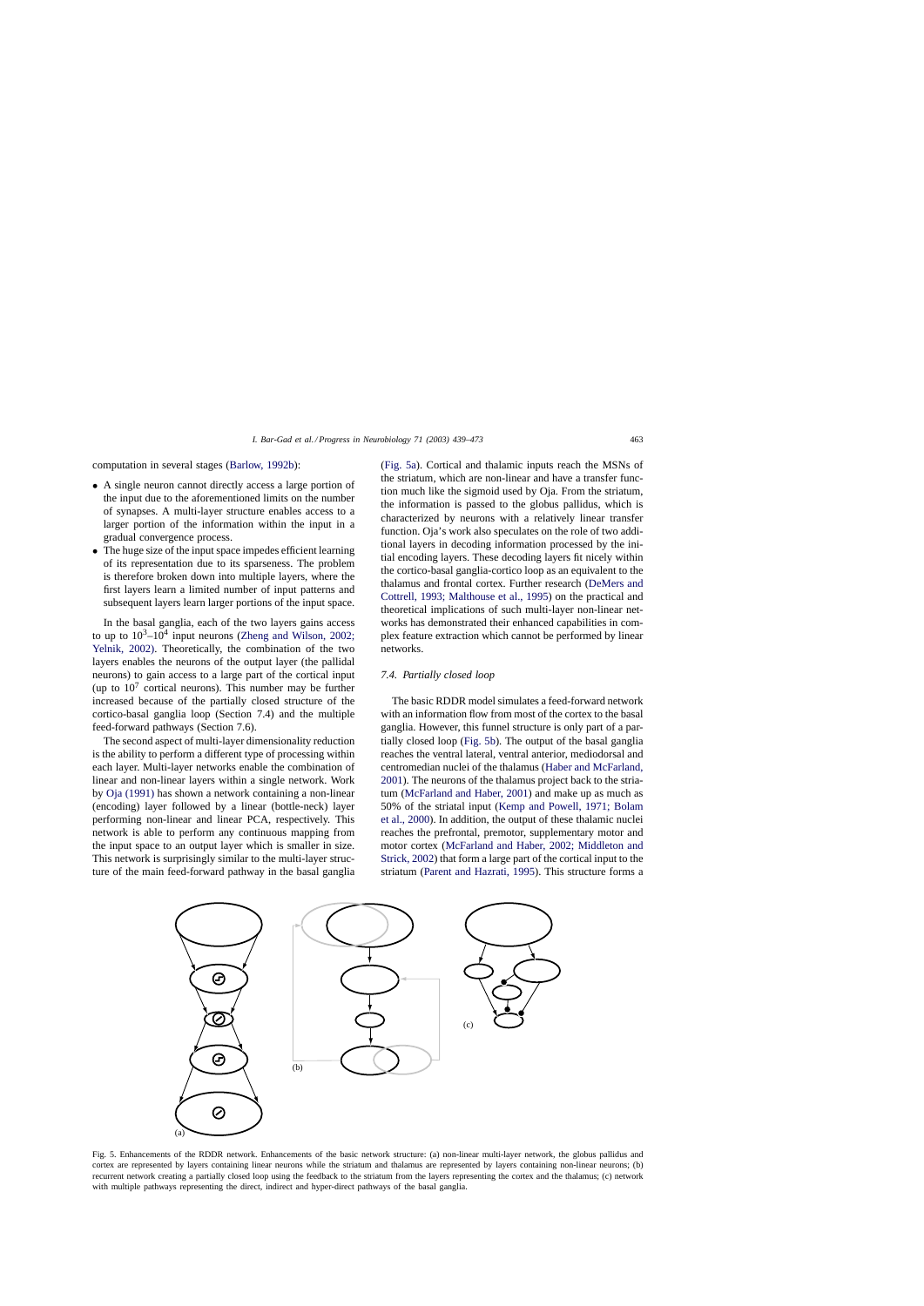<span id="page-24-0"></span>computation in several stages [\(Barlow, 1992b\):](#page-28-0)

- A single neuron cannot directly access a large portion of the input due to the aforementioned limits on the number of synapses. A multi-layer structure enables access to a larger portion of the information within the input in a gradual convergence process.
- The huge size of the input space impedes efficient learning of its representation due to its sparseness. The problem is therefore broken down into multiple layers, where the first layers learn a limited number of input patterns and subsequent layers learn larger portions of the input space.

In the basal ganglia, each of the two layers gains access to up to  $10^3$ - $10^4$  input neurons ([Zheng and Wilson, 2002;](#page-34-0) [Yelnik, 2002\).](#page-34-0) Theoretically, the combination of the two layers enables the neurons of the output layer (the pallidal neurons) to gain access to a large part of the cortical input (up to  $10^7$  cortical neurons). This number may be further increased because of the partially closed structure of the cortico-basal ganglia loop (Section 7.4) and the multiple feed-forward pathways (Section 7.6).

The second aspect of multi-layer dimensionality reduction is the ability to perform a different type of processing within each layer. Multi-layer networks enable the combination of linear and non-linear layers within a single network. Work by [Oja \(1991\)](#page-32-0) has shown a network containing a non-linear (encoding) layer followed by a linear (bottle-neck) layer performing non-linear and linear PCA, respectively. This network is able to perform any continuous mapping from the input space to an output layer which is smaller in size. This network is surprisingly similar to the multi-layer structure of the main feed-forward pathway in the basal ganglia

(Fig. 5a). Cortical and thalamic inputs reach the MSNs of the striatum, which are non-linear and have a transfer function much like the sigmoid used by Oja. From the striatum, the information is passed to the globus pallidus, which is characterized by neurons with a relatively linear transfer function. Oja's work also speculates on the role of two additional layers in decoding information processed by the initial encoding layers. These decoding layers fit nicely within the cortico-basal ganglia-cortico loop as an equivalent to the thalamus and frontal cortex. Further research ([DeMers and](#page-29-0) [Cottrell, 1993; Malthouse et al., 1995\)](#page-29-0) on the practical and theoretical implications of such multi-layer non-linear networks has demonstrated their enhanced capabilities in complex feature extraction which cannot be performed by linear networks.

### *7.4. Partially closed loop*

The basic RDDR model simulates a feed-forward network with an information flow from most of the cortex to the basal ganglia. However, this funnel structure is only part of a partially closed loop (Fig. 5b). The output of the basal ganglia reaches the ventral lateral, ventral anterior, mediodorsal and centromedian nuclei of the thalamus [\(Haber and McFarland,](#page-30-0) [2001\).](#page-30-0) The neurons of the thalamus project back to the striatum ([McFarland and Haber, 2001\)](#page-32-0) and make up as much as 50% of the striatal input ([Kemp and Powell, 1971; Bolam](#page-31-0) [et al., 2000\).](#page-31-0) In addition, the output of these thalamic nuclei reaches the prefrontal, premotor, supplementary motor and motor cortex [\(McFarland and Haber, 2002; Middleton and](#page-32-0) [Strick, 2002\) t](#page-32-0)hat form a large part of the cortical input to the striatum ([Parent and Hazrati, 1995\).](#page-32-0) This structure forms a



Fig. 5. Enhancements of the RDDR network. Enhancements of the basic network structure: (a) non-linear multi-layer network, the globus pallidus and cortex are represented by layers containing linear neurons while the striatum and thalamus are represented by layers containing non-linear neurons; (b) recurrent network creating a partially closed loop using the feedback to the striatum from the layers representing the cortex and the thalamus; (c) network with multiple pathways representing the direct, indirect and hyper-direct pathways of the basal ganglia.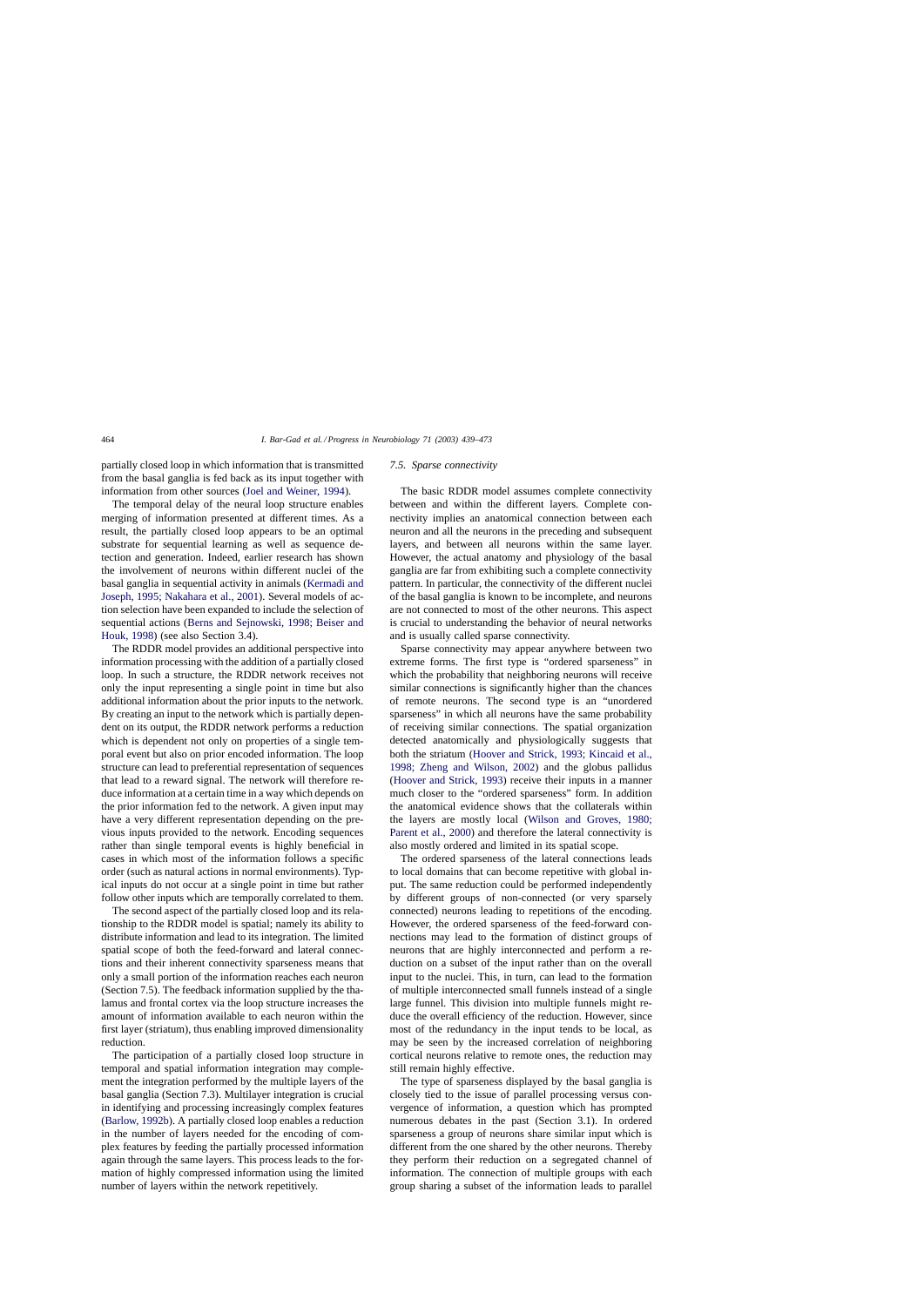partially closed loop in which information that is transmitted from the basal ganglia is fed back as its input together with information from other sources [\(Joel and Weiner, 1994\).](#page-31-0)

The temporal delay of the neural loop structure enables merging of information presented at different times. As a result, the partially closed loop appears to be an optimal substrate for sequential learning as well as sequence detection and generation. Indeed, earlier research has shown the involvement of neurons within different nuclei of the basal ganglia in sequential activity in animals [\(Kermadi and](#page-31-0) [Joseph, 1995; Nakahara et al., 2001\).](#page-31-0) Several models of action selection have been expanded to include the selection of sequential actions [\(Berns and Sejnowski, 1998; Beiser and](#page-28-0) [Houk, 1998\)](#page-28-0) (see also Section 3.4).

The RDDR model provides an additional perspective into information processing with the addition of a partially closed loop. In such a structure, the RDDR network receives not only the input representing a single point in time but also additional information about the prior inputs to the network. By creating an input to the network which is partially dependent on its output, the RDDR network performs a reduction which is dependent not only on properties of a single temporal event but also on prior encoded information. The loop structure can lead to preferential representation of sequences that lead to a reward signal. The network will therefore reduce information at a certain time in a way which depends on the prior information fed to the network. A given input may have a very different representation depending on the previous inputs provided to the network. Encoding sequences rather than single temporal events is highly beneficial in cases in which most of the information follows a specific order (such as natural actions in normal environments). Typical inputs do not occur at a single point in time but rather follow other inputs which are temporally correlated to them.

The second aspect of the partially closed loop and its relationship to the RDDR model is spatial; namely its ability to distribute information and lead to its integration. The limited spatial scope of both the feed-forward and lateral connections and their inherent connectivity sparseness means that only a small portion of the information reaches each neuron (Section 7.5). The feedback information supplied by the thalamus and frontal cortex via the loop structure increases the amount of information available to each neuron within the first layer (striatum), thus enabling improved dimensionality reduction.

The participation of a partially closed loop structure in temporal and spatial information integration may complement the integration performed by the multiple layers of the basal ganglia (Section 7.3). Multilayer integration is crucial in identifying and processing increasingly complex features ([Barlow, 1992b\).](#page-28-0) A partially closed loop enables a reduction in the number of layers needed for the encoding of complex features by feeding the partially processed information again through the same layers. This process leads to the formation of highly compressed information using the limited number of layers within the network repetitively.

#### *7.5. Sparse connectivity*

The basic RDDR model assumes complete connectivity between and within the different layers. Complete connectivity implies an anatomical connection between each neuron and all the neurons in the preceding and subsequent layers, and between all neurons within the same layer. However, the actual anatomy and physiology of the basal ganglia are far from exhibiting such a complete connectivity pattern. In particular, the connectivity of the different nuclei of the basal ganglia is known to be incomplete, and neurons are not connected to most of the other neurons. This aspect is crucial to understanding the behavior of neural networks and is usually called sparse connectivity.

Sparse connectivity may appear anywhere between two extreme forms. The first type is "ordered sparseness" in which the probability that neighboring neurons will receive similar connections is significantly higher than the chances of remote neurons. The second type is an "unordered sparseness" in which all neurons have the same probability of receiving similar connections. The spatial organization detected anatomically and physiologically suggests that both the striatum [\(Hoover and Strick, 1993; Kincaid et al.,](#page-30-0) [1998; Zheng and Wilson, 2002](#page-30-0)) and the globus pallidus ([Hoover and Strick, 1993\)](#page-30-0) receive their inputs in a manner much closer to the "ordered sparseness" form. In addition the anatomical evidence shows that the collaterals within the layers are mostly local [\(Wilson and Groves, 1980;](#page-34-0) [Parent et al., 2000\)](#page-34-0) and therefore the lateral connectivity is also mostly ordered and limited in its spatial scope.

The ordered sparseness of the lateral connections leads to local domains that can become repetitive with global input. The same reduction could be performed independently by different groups of non-connected (or very sparsely connected) neurons leading to repetitions of the encoding. However, the ordered sparseness of the feed-forward connections may lead to the formation of distinct groups of neurons that are highly interconnected and perform a reduction on a subset of the input rather than on the overall input to the nuclei. This, in turn, can lead to the formation of multiple interconnected small funnels instead of a single large funnel. This division into multiple funnels might reduce the overall efficiency of the reduction. However, since most of the redundancy in the input tends to be local, as may be seen by the increased correlation of neighboring cortical neurons relative to remote ones, the reduction may still remain highly effective.

The type of sparseness displayed by the basal ganglia is closely tied to the issue of parallel processing versus convergence of information, a question which has prompted numerous debates in the past (Section 3.1). In ordered sparseness a group of neurons share similar input which is different from the one shared by the other neurons. Thereby they perform their reduction on a segregated channel of information. The connection of multiple groups with each group sharing a subset of the information leads to parallel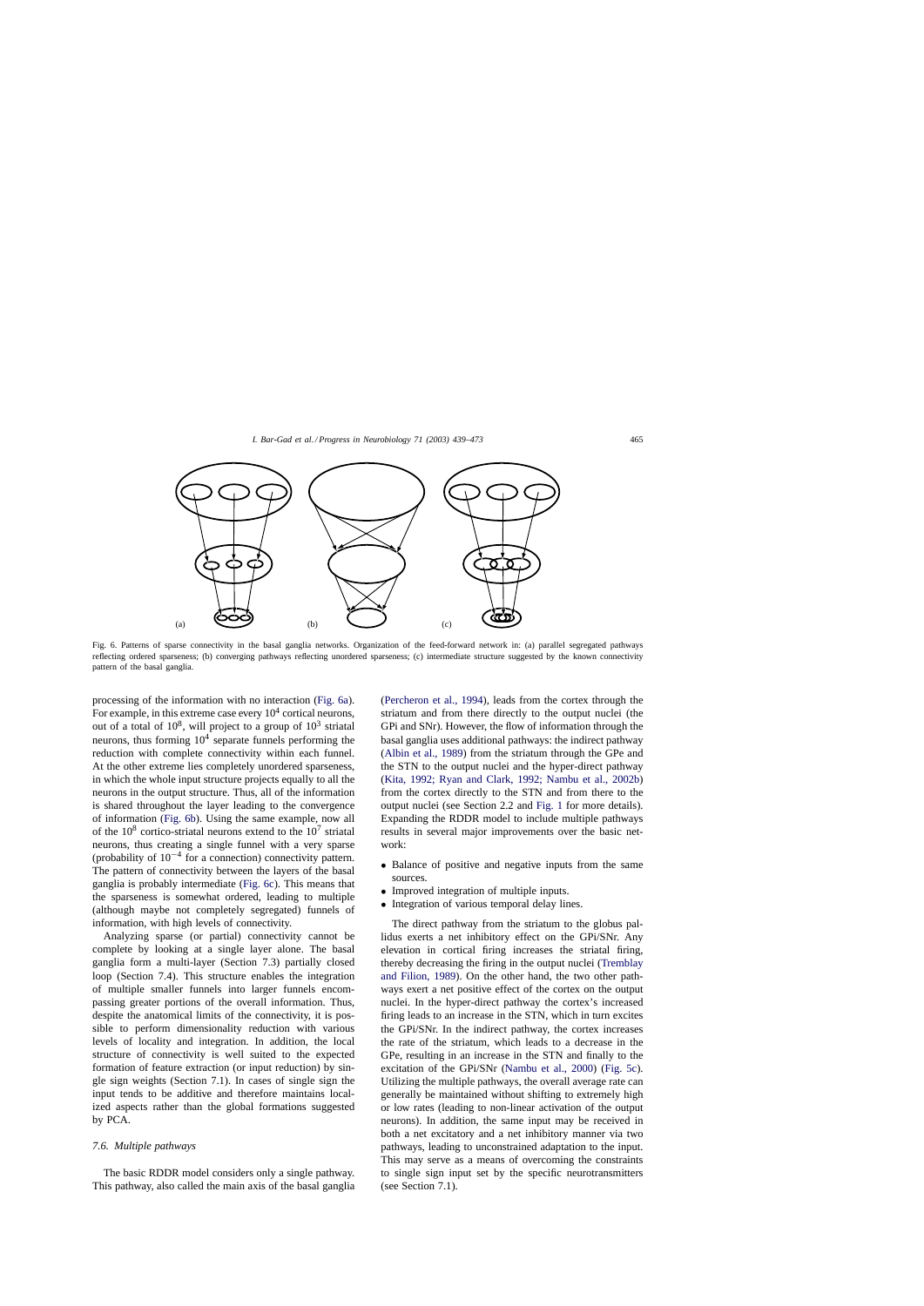

Fig. 6. Patterns of sparse connectivity in the basal ganglia networks. Organization of the feed-forward network in: (a) parallel segregated pathways reflecting ordered sparseness; (b) converging pathways reflecting unordered sparseness; (c) intermediate structure suggested by the known connectivity pattern of the basal ganglia.

processing of the information with no interaction (Fig. 6a). For example, in this extreme case every  $10^4$  cortical neurons, out of a total of  $10^8$ , will project to a group of  $10^3$  striatal neurons, thus forming  $10<sup>4</sup>$  separate funnels performing the reduction with complete connectivity within each funnel. At the other extreme lies completely unordered sparseness, in which the whole input structure projects equally to all the neurons in the output structure. Thus, all of the information is shared throughout the layer leading to the convergence of information (Fig. 6b). Using the same example, now all of the  $10^8$  cortico-striatal neurons extend to the  $10^7$  striatal neurons, thus creating a single funnel with a very sparse (probability of 10−<sup>4</sup> for a connection) connectivity pattern. The pattern of connectivity between the layers of the basal ganglia is probably intermediate (Fig. 6c). This means that the sparseness is somewhat ordered, leading to multiple (although maybe not completely segregated) funnels of information, with high levels of connectivity.

Analyzing sparse (or partial) connectivity cannot be complete by looking at a single layer alone. The basal ganglia form a multi-layer (Section 7.3) partially closed loop (Section 7.4). This structure enables the integration of multiple smaller funnels into larger funnels encompassing greater portions of the overall information. Thus, despite the anatomical limits of the connectivity, it is possible to perform dimensionality reduction with various levels of locality and integration. In addition, the local structure of connectivity is well suited to the expected formation of feature extraction (or input reduction) by single sign weights (Section 7.1). In cases of single sign the input tends to be additive and therefore maintains localized aspects rather than the global formations suggested by PCA.

### *7.6. Multiple pathways*

The basic RDDR model considers only a single pathway. This pathway, also called the main axis of the basal ganglia ([Percheron et al., 1994\),](#page-33-0) leads from the cortex through the striatum and from there directly to the output nuclei (the GPi and SNr). However, the flow of information through the basal ganglia uses additional pathways: the indirect pathway ([Albin et al., 1989\)](#page-28-0) from the striatum through the GPe and the STN to the output nuclei and the hyper-direct pathway ([Kita, 1992; Ryan and Clark, 1992; Nambu et al., 2002b](#page-31-0)) from the cortex directly to the STN and from there to the output nuclei (see Section 2.2 and [Fig. 1](#page-2-0) for more details). Expanding the RDDR model to include multiple pathways results in several major improvements over the basic network:

- Balance of positive and negative inputs from the same sources.
- Improved integration of multiple inputs.
- Integration of various temporal delay lines.

The direct pathway from the striatum to the globus pallidus exerts a net inhibitory effect on the GPi/SNr. Any elevation in cortical firing increases the striatal firing, thereby decreasing the firing in the output nuclei [\(Tremblay](#page-34-0) [and Filion, 1989\).](#page-34-0) On the other hand, the two other pathways exert a net positive effect of the cortex on the output nuclei. In the hyper-direct pathway the cortex's increased firing leads to an increase in the STN, which in turn excites the GPi/SNr. In the indirect pathway, the cortex increases the rate of the striatum, which leads to a decrease in the GPe, resulting in an increase in the STN and finally to the excitation of the GPi/SNr ([Nambu et al., 2000\)](#page-32-0) [\(Fig. 5c\).](#page-24-0) Utilizing the multiple pathways, the overall average rate can generally be maintained without shifting to extremely high or low rates (leading to non-linear activation of the output neurons). In addition, the same input may be received in both a net excitatory and a net inhibitory manner via two pathways, leading to unconstrained adaptation to the input. This may serve as a means of overcoming the constraints to single sign input set by the specific neurotransmitters (see Section 7.1).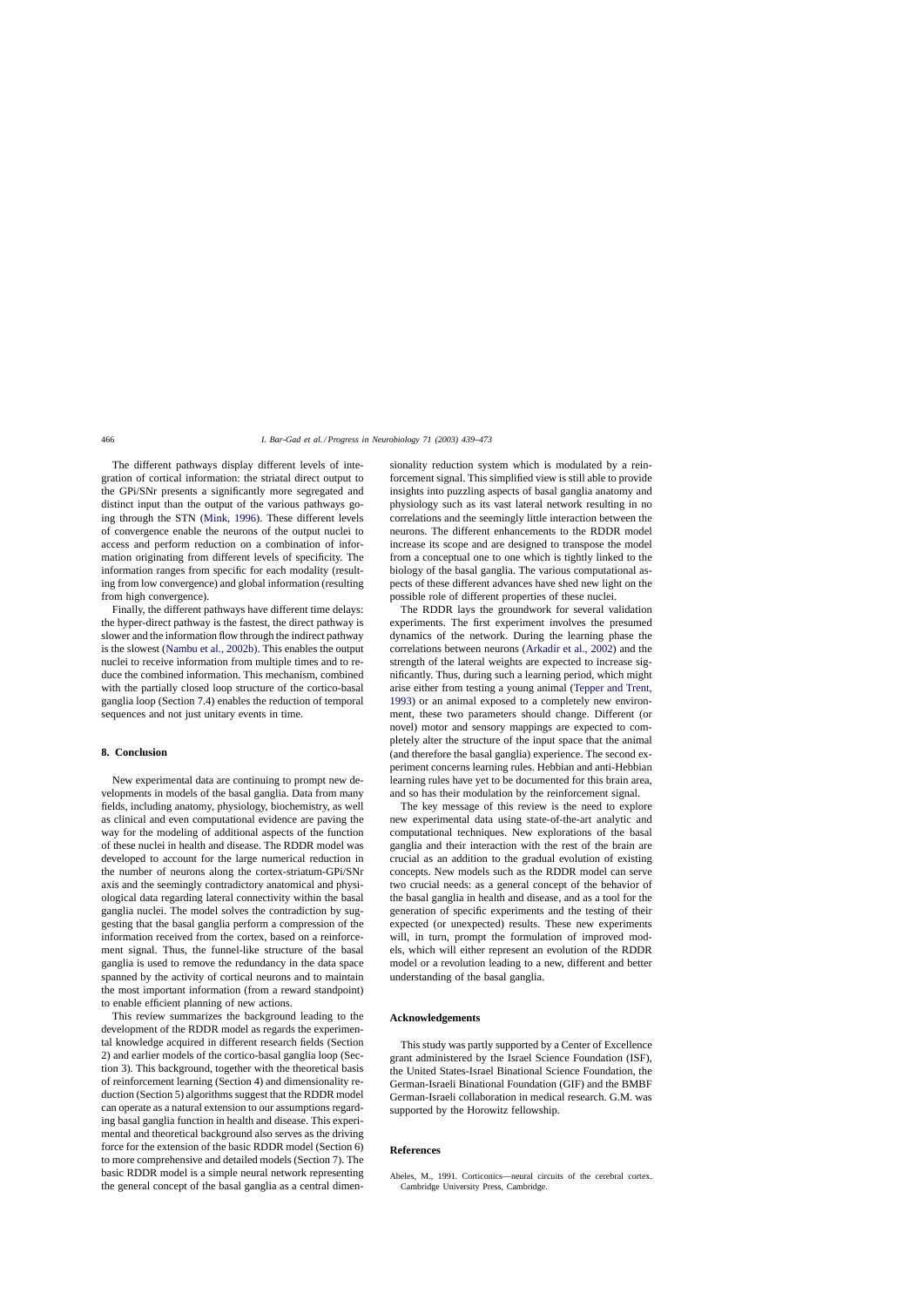<span id="page-27-0"></span>The different pathways display different levels of integration of cortical information: the striatal direct output to the GPi/SNr presents a significantly more segregated and distinct input than the output of the various pathways going through the STN ([Mink, 1996\).](#page-32-0) These different levels of convergence enable the neurons of the output nuclei to access and perform reduction on a combination of information originating from different levels of specificity. The information ranges from specific for each modality (resulting from low convergence) and global information (resulting from high convergence).

Finally, the different pathways have different time delays: the hyper-direct pathway is the fastest, the direct pathway is slower and the information flow through the indirect pathway is the slowest [\(Nambu et al., 2002b\). T](#page-32-0)his enables the output nuclei to receive information from multiple times and to reduce the combined information. This mechanism, combined with the partially closed loop structure of the cortico-basal ganglia loop (Section 7.4) enables the reduction of temporal sequences and not just unitary events in time.

### **8. Conclusion**

New experimental data are continuing to prompt new developments in models of the basal ganglia. Data from many fields, including anatomy, physiology, biochemistry, as well as clinical and even computational evidence are paving the way for the modeling of additional aspects of the function of these nuclei in health and disease. The RDDR model was developed to account for the large numerical reduction in the number of neurons along the cortex-striatum-GPi/SNr axis and the seemingly contradictory anatomical and physiological data regarding lateral connectivity within the basal ganglia nuclei. The model solves the contradiction by suggesting that the basal ganglia perform a compression of the information received from the cortex, based on a reinforcement signal. Thus, the funnel-like structure of the basal ganglia is used to remove the redundancy in the data space spanned by the activity of cortical neurons and to maintain the most important information (from a reward standpoint) to enable efficient planning of new actions.

This review summarizes the background leading to the development of the RDDR model as regards the experimental knowledge acquired in different research fields (Section 2) and earlier models of the cortico-basal ganglia loop (Section 3). This background, together with the theoretical basis of reinforcement learning (Section 4) and dimensionality reduction (Section 5) algorithms suggest that the RDDR model can operate as a natural extension to our assumptions regarding basal ganglia function in health and disease. This experimental and theoretical background also serves as the driving force for the extension of the basic RDDR model (Section 6) to more comprehensive and detailed models (Section 7). The basic RDDR model is a simple neural network representing the general concept of the basal ganglia as a central dimensionality reduction system which is modulated by a reinforcement signal. This simplified view is still able to provide insights into puzzling aspects of basal ganglia anatomy and physiology such as its vast lateral network resulting in no correlations and the seemingly little interaction between the neurons. The different enhancements to the RDDR model increase its scope and are designed to transpose the model from a conceptual one to one which is tightly linked to the biology of the basal ganglia. The various computational aspects of these different advances have shed new light on the possible role of different properties of these nuclei.

The RDDR lays the groundwork for several validation experiments. The first experiment involves the presumed dynamics of the network. During the learning phase the correlations between neurons ([Arkadir et al., 2002\)](#page-28-0) and the strength of the lateral weights are expected to increase significantly. Thus, during such a learning period, which might arise either from testing a young animal [\(Tepper and Trent,](#page-34-0) [1993\)](#page-34-0) or an animal exposed to a completely new environment, these two parameters should change. Different (or novel) motor and sensory mappings are expected to completely alter the structure of the input space that the animal (and therefore the basal ganglia) experience. The second experiment concerns learning rules. Hebbian and anti-Hebbian learning rules have yet to be documented for this brain area, and so has their modulation by the reinforcement signal.

The key message of this review is the need to explore new experimental data using state-of-the-art analytic and computational techniques. New explorations of the basal ganglia and their interaction with the rest of the brain are crucial as an addition to the gradual evolution of existing concepts. New models such as the RDDR model can serve two crucial needs: as a general concept of the behavior of the basal ganglia in health and disease, and as a tool for the generation of specific experiments and the testing of their expected (or unexpected) results. These new experiments will, in turn, prompt the formulation of improved models, which will either represent an evolution of the RDDR model or a revolution leading to a new, different and better understanding of the basal ganglia.

# **Acknowledgements**

This study was partly supported by a Center of Excellence grant administered by the Israel Science Foundation (ISF), the United States-Israel Binational Science Foundation, the German-Israeli Binational Foundation (GIF) and the BMBF German-Israeli collaboration in medical research. G.M. was supported by the Horowitz fellowship.

### **References**

Abeles, M., 1991. Corticonics—neural circuits of the cerebral cortex. Cambridge University Press, Cambridge.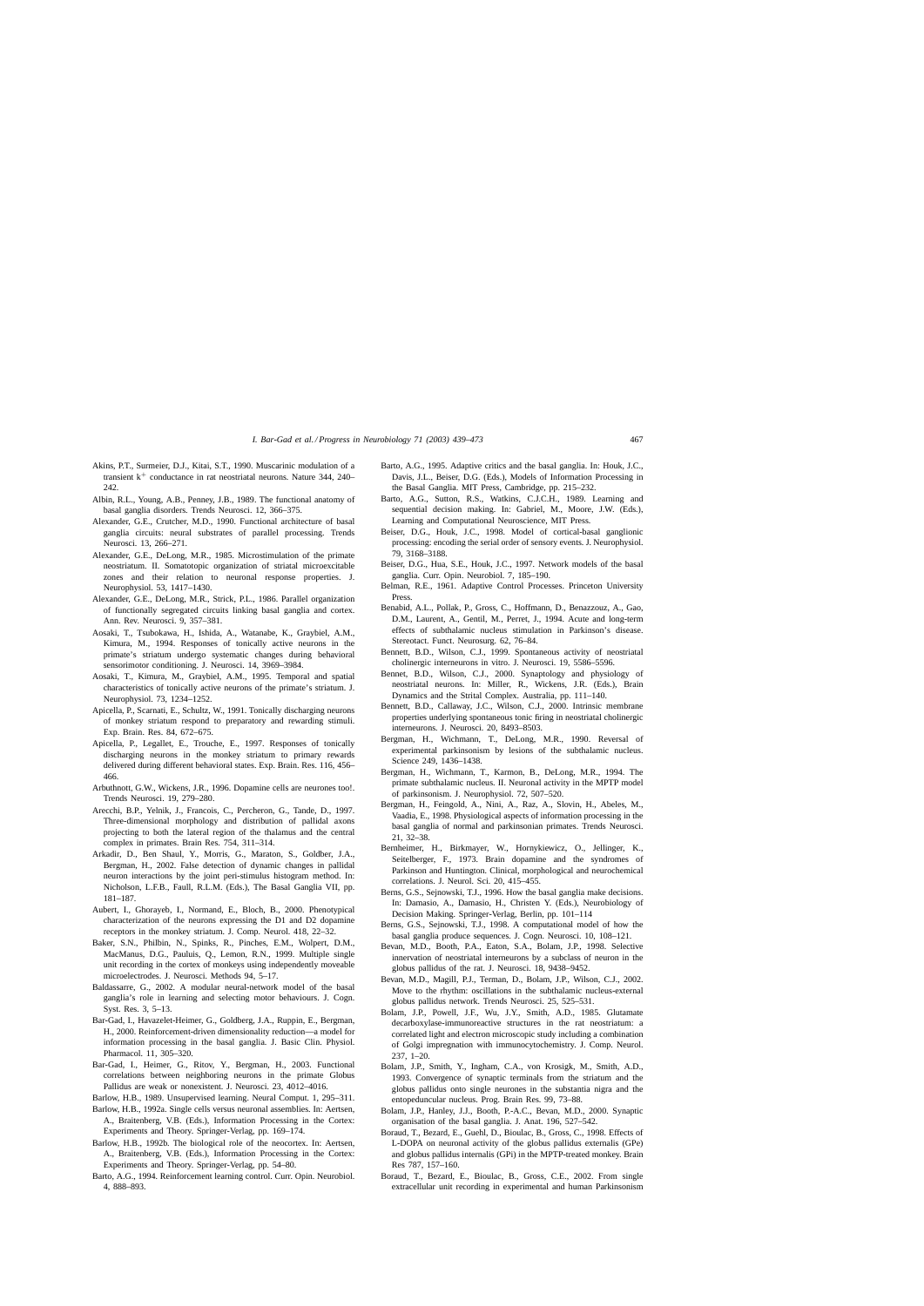- <span id="page-28-0"></span>Akins, P.T., Surmeier, D.J., Kitai, S.T., 1990. Muscarinic modulation of a transient  $k^+$  conductance in rat neostriatal neurons. Nature 344, 240– 242
- Albin, R.L., Young, A.B., Penney, J.B., 1989. The functional anatomy of basal ganglia disorders. Trends Neurosci. 12, 366–375.
- Alexander, G.E., Crutcher, M.D., 1990. Functional architecture of basal ganglia circuits: neural substrates of parallel processing. Trends Neurosci. 13, 266–271.
- Alexander, G.E., DeLong, M.R., 1985. Microstimulation of the primate neostriatum. II. Somatotopic organization of striatal microexcitable zones and their relation to neuronal response properties. J. Neurophysiol. 53, 1417–1430.
- Alexander, G.E., DeLong, M.R., Strick, P.L., 1986. Parallel organization of functionally segregated circuits linking basal ganglia and cortex. Ann. Rev. Neurosci. 9, 357–381.
- Aosaki, T., Tsubokawa, H., Ishida, A., Watanabe, K., Graybiel, A.M., Kimura, M., 1994. Responses of tonically active neurons in the primate's striatum undergo systematic changes during behavioral sensorimotor conditioning. J. Neurosci. 14, 3969–3984.
- Aosaki, T., Kimura, M., Graybiel, A.M., 1995. Temporal and spatial characteristics of tonically active neurons of the primate's striatum. J. Neurophysiol. 73, 1234–1252.
- Apicella, P., Scarnati, E., Schultz, W., 1991. Tonically discharging neurons of monkey striatum respond to preparatory and rewarding stimuli. Exp. Brain. Res. 84, 672–675.
- Apicella, P., Legallet, E., Trouche, E., 1997. Responses of tonically discharging neurons in the monkey striatum to primary rewards delivered during different behavioral states. Exp. Brain. Res. 116, 456– 466.
- Arbuthnott, G.W., Wickens, J.R., 1996. Dopamine cells are neurones too!. Trends Neurosci. 19, 279–280.
- Arecchi, B.P., Yelnik, J., Francois, C., Percheron, G., Tande, D., 1997. Three-dimensional morphology and distribution of pallidal axons projecting to both the lateral region of the thalamus and the central complex in primates. Brain Res. 754, 311–314.
- Arkadir, D., Ben Shaul, Y., Morris, G., Maraton, S., Goldber, J.A., Bergman, H., 2002. False detection of dynamic changes in pallidal neuron interactions by the joint peri-stimulus histogram method. In: Nicholson, L.F.B., Faull, R.L.M. (Eds.), The Basal Ganglia VII, pp. 181–187.
- Aubert, I., Ghorayeb, I., Normand, E., Bloch, B., 2000. Phenotypical characterization of the neurons expressing the D1 and D2 dopamine receptors in the monkey striatum. J. Comp. Neurol. 418, 22–32.
- Baker, S.N., Philbin, N., Spinks, R., Pinches, E.M., Wolpert, D.M., MacManus, D.G., Pauluis, Q., Lemon, R.N., 1999. Multiple single unit recording in the cortex of monkeys using independently moveable microelectrodes. J. Neurosci. Methods 94, 5–17.
- Baldassarre, G., 2002. A modular neural-network model of the basal ganglia's role in learning and selecting motor behaviours. J. Cogn. Syst. Res. 3, 5–13.
- Bar-Gad, I., Havazelet-Heimer, G., Goldberg, J.A., Ruppin, E., Bergman, H., 2000. Reinforcement-driven dimensionality reduction—a model for information processing in the basal ganglia. J. Basic Clin. Physiol. Pharmacol. 11, 305–320.
- Bar-Gad, I., Heimer, G., Ritov, Y., Bergman, H., 2003. Functional correlations between neighboring neurons in the primate Globus Pallidus are weak or nonexistent. J. Neurosci. 23, 4012–4016.
- Barlow, H.B., 1989. Unsupervised learning. Neural Comput. 1, 295–311.
- Barlow, H.B., 1992a. Single cells versus neuronal assemblies. In: Aertsen, A., Braitenberg, V.B. (Eds.), Information Processing in the Cortex: Experiments and Theory. Springer-Verlag, pp. 169–174.
- Barlow, H.B., 1992b. The biological role of the neocortex. In: Aertsen, A., Braitenberg, V.B. (Eds.), Information Processing in the Cortex: Experiments and Theory. Springer-Verlag, pp. 54–80.
- Barto, A.G., 1994. Reinforcement learning control. Curr. Opin. Neurobiol. 4, 888–893.
- Barto, A.G., 1995. Adaptive critics and the basal ganglia. In: Houk, J.C., Davis, J.L., Beiser, D.G. (Eds.), Models of Information Processing in the Basal Ganglia. MIT Press, Cambridge, pp. 215–232.
- Barto, A.G., Sutton, R.S., Watkins, C.J.C.H., 1989. Learning and sequential decision making. In: Gabriel, M., Moore, J.W. (Eds.), Learning and Computational Neuroscience, MIT Press.
- Beiser, D.G., Houk, J.C., 1998. Model of cortical-basal ganglionic processing: encoding the serial order of sensory events. J. Neurophysiol. 79, 3168–3188.
- Beiser, D.G., Hua, S.E., Houk, J.C., 1997. Network models of the basal ganglia. Curr. Opin. Neurobiol. 7, 185–190.
- Belman, R.E., 1961. Adaptive Control Processes. Princeton University Press.
- Benabid, A.L., Pollak, P., Gross, C., Hoffmann, D., Benazzouz, A., Gao, D.M., Laurent, A., Gentil, M., Perret, J., 1994. Acute and long-term effects of subthalamic nucleus stimulation in Parkinson's disease. Stereotact. Funct. Neurosurg. 62, 76–84.
- Bennett, B.D., Wilson, C.J., 1999. Spontaneous activity of neostriatal cholinergic interneurons in vitro. J. Neurosci. 19, 5586–5596.
- Bennet, B.D., Wilson, C.J., 2000. Synaptology and physiology of neostriatal neurons. In: Miller, R., Wickens, J.R. (Eds.), Brain Dynamics and the Strital Complex. Australia, pp. 111–140.
- Bennett, B.D., Callaway, J.C., Wilson, C.J., 2000. Intrinsic membrane properties underlying spontaneous tonic firing in neostriatal cholinergic interneurons. J. Neurosci. 20, 8493–8503.
- Bergman, H., Wichmann, T., DeLong, M.R., 1990. Reversal of experimental parkinsonism by lesions of the subthalamic nucleus. Science 249, 1436–1438.
- Bergman, H., Wichmann, T., Karmon, B., DeLong, M.R., 1994. The primate subthalamic nucleus. II. Neuronal activity in the MPTP model of parkinsonism. J. Neurophysiol. 72, 507–520.
- Bergman, H., Feingold, A., Nini, A., Raz, A., Slovin, H., Abeles, M., Vaadia, E., 1998. Physiological aspects of information processing in the basal ganglia of normal and parkinsonian primates. Trends Neurosci. 21, 32–38.
- Bernheimer, H., Birkmayer, W., Hornykiewicz, O., Jellinger, K., Seitelberger, F., 1973. Brain dopamine and the syndromes of Parkinson and Huntington. Clinical, morphological and neurochemical correlations. J. Neurol. Sci. 20, 415–455.
- Berns, G.S., Sejnowski, T.J., 1996. How the basal ganglia make decisions. In: Damasio, A., Damasio, H., Christen Y. (Eds.), Neurobiology of Decision Making. Springer-Verlag, Berlin, pp. 101–114
- Berns, G.S., Sejnowski, T.J., 1998. A computational model of how the basal ganglia produce sequences. J. Cogn. Neurosci. 10, 108–121.
- Bevan, M.D., Booth, P.A., Eaton, S.A., Bolam, J.P., 1998. Selective innervation of neostriatal interneurons by a subclass of neuron in the globus pallidus of the rat. J. Neurosci. 18, 9438–9452.
- Bevan, M.D., Magill, P.J., Terman, D., Bolam, J.P., Wilson, C.J., 2002. Move to the rhythm: oscillations in the subthalamic nucleus-external globus pallidus network. Trends Neurosci. 25, 525–531.
- Bolam, J.P., Powell, J.F., Wu, J.Y., Smith, A.D., 1985. Glutamate decarboxylase-immunoreactive structures in the rat neostriatum: a correlated light and electron microscopic study including a combination of Golgi impregnation with immunocytochemistry. J. Comp. Neurol. 237, 1–20.
- Bolam, J.P., Smith, Y., Ingham, C.A., von Krosigk, M., Smith, A.D., 1993. Convergence of synaptic terminals from the striatum and the globus pallidus onto single neurones in the substantia nigra and the entopeduncular nucleus. Prog. Brain Res. 99, 73–88.
- Bolam, J.P., Hanley, J.J., Booth, P.-A.C., Bevan, M.D., 2000. Synaptic organisation of the basal ganglia. J. Anat. 196, 527–542.
- Boraud, T., Bezard, E., Guehl, D., Bioulac, B., Gross, C., 1998. Effects of L-DOPA on neuronal activity of the globus pallidus externalis (GPe) and globus pallidus internalis (GPi) in the MPTP-treated monkey. Brain Res 787, 157–160.
- Boraud, T., Bezard, E., Bioulac, B., Gross, C.E., 2002. From single extracellular unit recording in experimental and human Parkinsonism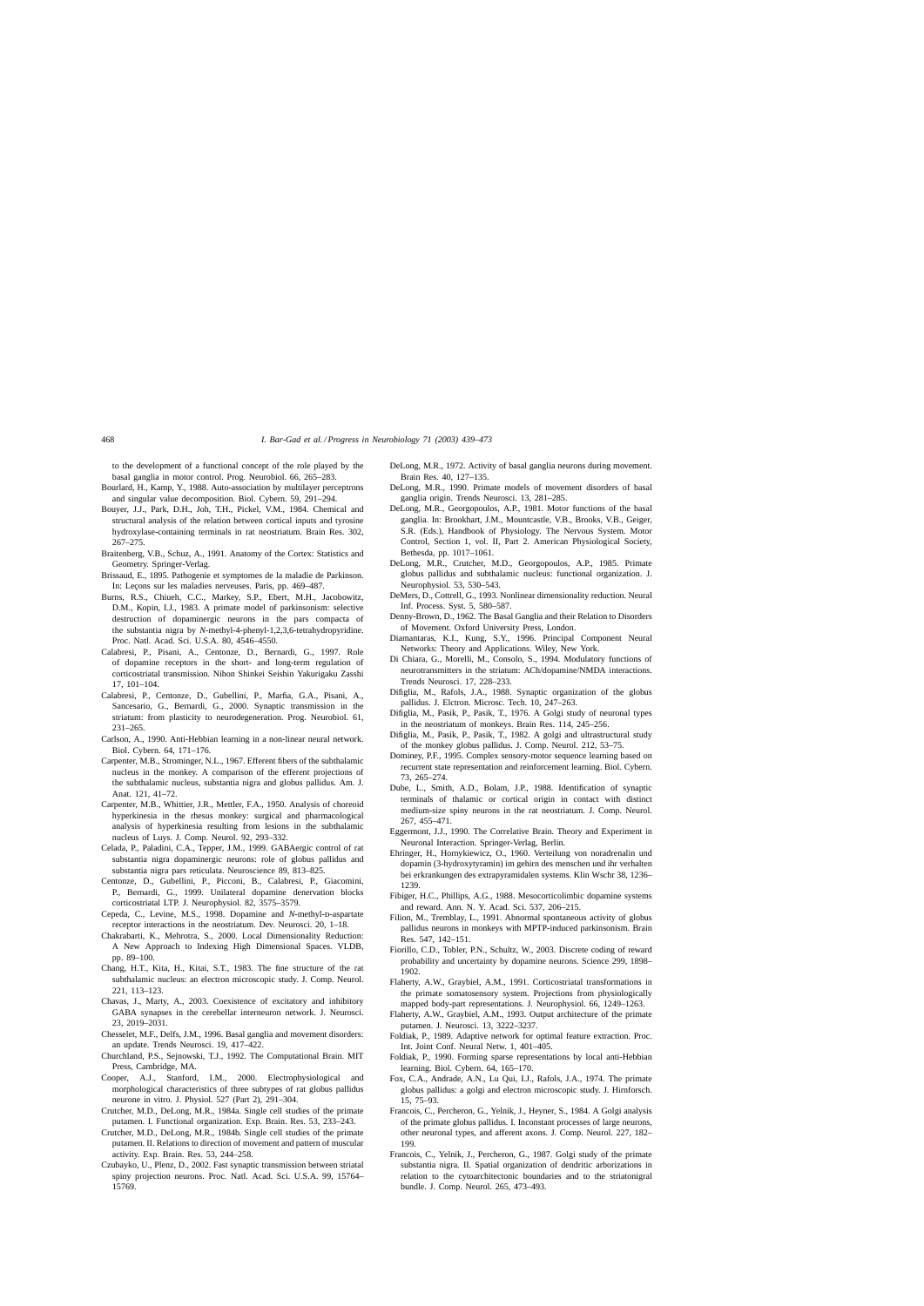<span id="page-29-0"></span>to the development of a functional concept of the role played by the basal ganglia in motor control. Prog. Neurobiol. 66, 265–283.

- Bourlard, H., Kamp, Y., 1988. Auto-association by multilayer perceptrons and singular value decomposition. Biol. Cybern. 59, 291–294.
- Bouyer, J.J., Park, D.H., Joh, T.H., Pickel, V.M., 1984. Chemical and structural analysis of the relation between cortical inputs and tyrosine hydroxylase-containing terminals in rat neostriatum. Brain Res. 302, 267–275.
- Braitenberg, V.B., Schuz, A., 1991. Anatomy of the Cortex: Statistics and Geometry. Springer-Verlag.
- Brissaud, E., 1895. Pathogenie et symptomes de la maladie de Parkinson. In: Leçons sur les maladies nerveuses. Paris, pp. 469–487.
- Burns, R.S., Chiueh, C.C., Markey, S.P., Ebert, M.H., Jacobowitz, D.M., Kopin, I.J., 1983. A primate model of parkinsonism: selective destruction of dopaminergic neurons in the pars compacta of the substantia nigra by *N*-methyl-4-phenyl-1,2,3,6-tetrahydropyridine. Proc. Natl. Acad. Sci. U.S.A. 80, 4546–4550.
- Calabresi, P., Pisani, A., Centonze, D., Bernardi, G., 1997. Role of dopamine receptors in the short- and long-term regulation of corticostriatal transmission. Nihon Shinkei Seishin Yakurigaku Zasshi 17, 101–104.
- Calabresi, P., Centonze, D., Gubellini, P., Marfia, G.A., Pisani, A., Sancesario, G., Bernardi, G., 2000. Synaptic transmission in the striatum: from plasticity to neurodegeneration. Prog. Neurobiol. 61, 231–265.
- Carlson, A., 1990. Anti-Hebbian learning in a non-linear neural network. Biol. Cybern. 64, 171–176.
- Carpenter, M.B., Strominger, N.L., 1967. Efferent fibers of the subthalamic nucleus in the monkey. A comparison of the efferent projections of the subthalamic nucleus, substantia nigra and globus pallidus. Am. J. Anat. 121, 41–72.
- Carpenter, M.B., Whittier, J.R., Mettler, F.A., 1950. Analysis of choreoid hyperkinesia in the rhesus monkey: surgical and pharmacological analysis of hyperkinesia resulting from lesions in the subthalamic nucleus of Luys. J. Comp. Neurol. 92, 293–332.
- Celada, P., Paladini, C.A., Tepper, J.M., 1999. GABAergic control of rat substantia nigra dopaminergic neurons: role of globus pallidus and substantia nigra pars reticulata. Neuroscience 89, 813–825.
- Centonze, D., Gubellini, P., Picconi, B., Calabresi, P., Giacomini, P., Bernardi, G., 1999. Unilateral dopamine denervation blocks corticostriatal LTP. J. Neurophysiol. 82, 3575–3579.
- Cepeda, C., Levine, M.S., 1998. Dopamine and *N*-methyl-D-aspartate receptor interactions in the neostriatum. Dev. Neurosci. 20, 1–18.
- Chakrabarti, K., Mehrotra, S., 2000. Local Dimensionality Reduction: A New Approach to Indexing High Dimensional Spaces. VLDB, pp. 89–100.
- Chang, H.T., Kita, H., Kitai, S.T., 1983. The fine structure of the rat subthalamic nucleus: an electron microscopic study. J. Comp. Neurol. 221, 113–123.
- Chavas, J., Marty, A., 2003. Coexistence of excitatory and inhibitory GABA synapses in the cerebellar interneuron network. J. Neurosci. 23, 2019–2031.
- Chesselet, M.F., Delfs, J.M., 1996. Basal ganglia and movement disorders: an update. Trends Neurosci. 19, 417–422.
- Churchland, P.S., Sejnowski, T.J., 1992. The Computational Brain. MIT Press, Cambridge, MA.
- Cooper, A.J., Stanford, I.M., 2000. Electrophysiological and morphological characteristics of three subtypes of rat globus pallidus neurone in vitro. J. Physiol. 527 (Part 2), 291–304.
- Crutcher, M.D., DeLong, M.R., 1984a. Single cell studies of the primate putamen. I. Functional organization. Exp. Brain. Res. 53, 233–243.
- Crutcher, M.D., DeLong, M.R., 1984b. Single cell studies of the primate putamen. II. Relations to direction of movement and pattern of muscular activity. Exp. Brain. Res. 53, 244–258.
- Czubayko, U., Plenz, D., 2002. Fast synaptic transmission between striatal spiny projection neurons. Proc. Natl. Acad. Sci. U.S.A. 99, 15764– 15769.
- DeLong, M.R., 1972. Activity of basal ganglia neurons during movement. Brain Res. 40, 127–135.
- DeLong, M.R., 1990. Primate models of movement disorders of basal ganglia origin. Trends Neurosci. 13, 281–285.
- DeLong, M.R., Georgopoulos, A.P., 1981. Motor functions of the basal ganglia. In: Brookhart, J.M., Mountcastle, V.B., Brooks, V.B., Geiger, S.R. (Eds.), Handbook of Physiology. The Nervous System. Motor Control, Section 1, vol. II, Part 2. American Physiological Society, Bethesda, pp. 1017–1061.
- DeLong, M.R., Crutcher, M.D., Georgopoulos, A.P., 1985. Primate globus pallidus and subthalamic nucleus: functional organization. J. Neurophysiol. 53, 530–543.
- DeMers, D., Cottrell, G., 1993. Nonlinear dimensionality reduction. Neural Inf. Process. Syst. 5, 580–587.
- Denny-Brown, D., 1962. The Basal Ganglia and their Relation to Disorders of Movement. Oxford University Press, London.
- Diamantaras, K.I., Kung, S.Y., 1996. Principal Component Neural Networks: Theory and Applications. Wiley, New York.
- Di Chiara, G., Morelli, M., Consolo, S., 1994. Modulatory functions of neurotransmitters in the striatum: ACh/dopamine/NMDA interactions. Trends Neurosci. 17, 228–233.
- Difiglia, M., Rafols, J.A., 1988. Synaptic organization of the globus pallidus. J. Elctron. Microsc. Tech. 10, 247–263.
- Difiglia, M., Pasik, P., Pasik, T., 1976. A Golgi study of neuronal types in the neostriatum of monkeys. Brain Res. 114, 245–256.
- Difiglia, M., Pasik, P., Pasik, T., 1982. A golgi and ultrastructural study of the monkey globus pallidus. J. Comp. Neurol. 212, 53–75.
- Dominey, P.F., 1995. Complex sensory-motor sequence learning based on recurrent state representation and reinforcement learning. Biol. Cybern. 73, 265–274.
- Dube, L., Smith, A.D., Bolam, J.P., 1988. Identification of synaptic terminals of thalamic or cortical origin in contact with distinct medium-size spiny neurons in the rat neostriatum. J. Comp. Neurol. 267, 455–471.
- Eggermont, J.J., 1990. The Correlative Brain. Theory and Experiment in Neuronal Interaction. Springer-Verlag, Berlin.
- Ehringer, H., Hornykiewicz, O., 1960. Verteilung von noradrenalin und dopamin (3-hydroxytyramin) im gehirn des menschen und ihr verhalten bei erkrankungen des extrapyramidalen systems. Klin Wschr 38, 1236– 1239.
- Fibiger, H.C., Phillips, A.G., 1988. Mesocorticolimbic dopamine systems and reward. Ann. N. Y. Acad. Sci. 537, 206–215.
- Filion, M., Tremblay, L., 1991. Abnormal spontaneous activity of globus pallidus neurons in monkeys with MPTP-induced parkinsonism. Brain Res. 547, 142–151.
- Fiorillo, C.D., Tobler, P.N., Schultz, W., 2003. Discrete coding of reward probability and uncertainty by dopamine neurons. Science 299, 1898– 1902.
- Flaherty, A.W., Graybiel, A.M., 1991. Corticostriatal transformations in the primate somatosensory system. Projections from physiologically mapped body-part representations. J. Neurophysiol. 66, 1249–1263.
- Flaherty, A.W., Graybiel, A.M., 1993. Output architecture of the primate putamen. J. Neurosci. 13, 3222–3237.
- Foldiak, P., 1989. Adaptive network for optimal feature extraction. Proc. Int. Joint Conf. Neural Netw. 1, 401–405.
- Foldiak, P., 1990. Forming sparse representations by local anti-Hebbian learning. Biol. Cybern. 64, 165–170.
- Fox, C.A., Andrade, A.N., Lu Qui, I.J., Rafols, J.A., 1974. The primate globus pallidus: a golgi and electron microscopic study. J. Hirnforsch. 15, 75–93.
- Francois, C., Percheron, G., Yelnik, J., Heyner, S., 1984. A Golgi analysis of the primate globus pallidus. I. Inconstant processes of large neurons, other neuronal types, and afferent axons. J. Comp. Neurol. 227, 182– 199.
- Francois, C., Yelnik, J., Percheron, G., 1987. Golgi study of the primate substantia nigra. II. Spatial organization of dendritic arborizations in relation to the cytoarchitectonic boundaries and to the striatonigral bundle. J. Comp. Neurol. 265, 473–493.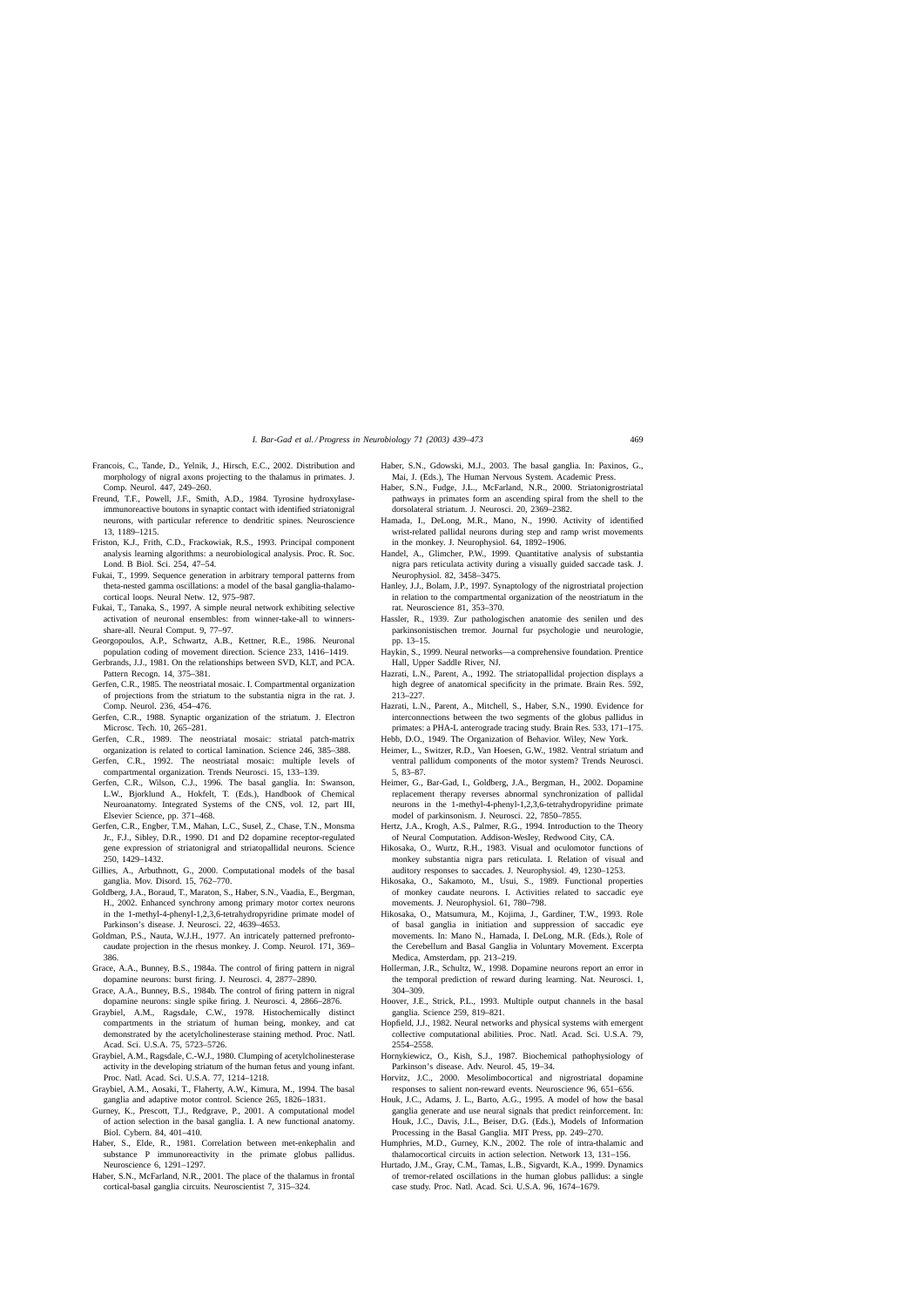- <span id="page-30-0"></span>Francois, C., Tande, D., Yelnik, J., Hirsch, E.C., 2002. Distribution and morphology of nigral axons projecting to the thalamus in primates. J. Comp. Neurol. 447, 249–260.
- Freund, T.F., Powell, J.F., Smith, A.D., 1984. Tyrosine hydroxylaseimmunoreactive boutons in synaptic contact with identified striatonigral neurons, with particular reference to dendritic spines. Neuroscience 13, 1189–1215.
- Friston, K.J., Frith, C.D., Frackowiak, R.S., 1993. Principal component analysis learning algorithms: a neurobiological analysis. Proc. R. Soc. Lond. B Biol. Sci. 254, 47–54.
- Fukai, T., 1999. Sequence generation in arbitrary temporal patterns from theta-nested gamma oscillations: a model of the basal ganglia-thalamocortical loops. Neural Netw. 12, 975–987.
- Fukai, T., Tanaka, S., 1997. A simple neural network exhibiting selective activation of neuronal ensembles: from winner-take-all to winnersshare-all. Neural Comput. 9, 77–97.
- Georgopoulos, A.P., Schwartz, A.B., Kettner, R.E., 1986. Neuronal population coding of movement direction. Science 233, 1416–1419.
- Gerbrands, J.J., 1981. On the relationships between SVD, KLT, and PCA. Pattern Recogn. 14, 375–381.
- Gerfen, C.R., 1985. The neostriatal mosaic. I. Compartmental organization of projections from the striatum to the substantia nigra in the rat. J. Comp. Neurol. 236, 454–476.
- Gerfen, C.R., 1988. Synaptic organization of the striatum. J. Electron Microsc. Tech. 10, 265–281.
- Gerfen, C.R., 1989. The neostriatal mosaic: striatal patch-matrix organization is related to cortical lamination. Science 246, 385–388.
- Gerfen, C.R., 1992. The neostriatal mosaic: multiple levels of compartmental organization. Trends Neurosci. 15, 133–139.
- Gerfen, C.R., Wilson, C.J., 1996. The basal ganglia. In: Swanson, L.W., Bjorklund A., Hokfelt, T. (Eds.), Handbook of Chemical Neuroanatomy. Integrated Systems of the CNS, vol. 12, part III, Elsevier Science, pp. 371–468.
- Gerfen, C.R., Engber, T.M., Mahan, L.C., Susel, Z., Chase, T.N., Monsma Jr., F.J., Sibley, D.R., 1990. D1 and D2 dopamine receptor-regulated gene expression of striatonigral and striatopallidal neurons. Science 250, 1429–1432.
- Gillies, A., Arbuthnott, G., 2000. Computational models of the basal ganglia. Mov. Disord. 15, 762–770.
- Goldberg, J.A., Boraud, T., Maraton, S., Haber, S.N., Vaadia, E., Bergman, H., 2002. Enhanced synchrony among primary motor cortex neurons in the 1-methyl-4-phenyl-1,2,3,6-tetrahydropyridine primate model of Parkinson's disease. J. Neurosci. 22, 4639–4653.
- Goldman, P.S., Nauta, W.J.H., 1977. An intricately patterned prefrontocaudate projection in the rhesus monkey. J. Comp. Neurol. 171, 369– 386.
- Grace, A.A., Bunney, B.S., 1984a. The control of firing pattern in nigral dopamine neurons: burst firing. J. Neurosci. 4, 2877–2890.
- Grace, A.A., Bunney, B.S., 1984b. The control of firing pattern in nigral dopamine neurons: single spike firing. J. Neurosci. 4, 2866–2876.
- Graybiel, A.M., Ragsdale, C.W., 1978. Histochemically distinct compartments in the striatum of human being, monkey, and cat demonstrated by the acetylcholinesterase staining method. Proc. Natl. Acad. Sci. U.S.A. 75, 5723–5726.
- Graybiel, A.M., Ragsdale, C.-W.J., 1980. Clumping of acetylcholinesterase activity in the developing striatum of the human fetus and young infant. Proc. Natl. Acad. Sci. U.S.A. 77, 1214–1218.
- Graybiel, A.M., Aosaki, T., Flaherty, A.W., Kimura, M., 1994. The basal ganglia and adaptive motor control. Science 265, 1826–1831.
- Gurney, K., Prescott, T.J., Redgrave, P., 2001. A computational model of action selection in the basal ganglia. I. A new functional anatomy. Biol. Cybern. 84, 401–410.
- Haber, S., Elde, R., 1981. Correlation between met-enkephalin and substance P immunoreactivity in the primate globus pallidus. Neuroscience 6, 1291–1297.
- Haber, S.N., McFarland, N.R., 2001. The place of the thalamus in frontal cortical-basal ganglia circuits. Neuroscientist 7, 315–324.
- Haber, S.N., Gdowski, M.J., 2003. The basal ganglia. In: Paxinos, G., Mai, J. (Eds.), The Human Nervous System. Academic Press.
- Haber, S.N., Fudge, J.L., McFarland, N.R., 2000. Striatonigrostriatal pathways in primates form an ascending spiral from the shell to the dorsolateral striatum. J. Neurosci. 20, 2369–2382.
- Hamada, I., DeLong, M.R., Mano, N., 1990. Activity of identified wrist-related pallidal neurons during step and ramp wrist movements in the monkey. J. Neurophysiol. 64, 1892–1906.
- Handel, A., Glimcher, P.W., 1999. Quantitative analysis of substantia nigra pars reticulata activity during a visually guided saccade task. J. Neurophysiol. 82, 3458–3475.
- Hanley, J.J., Bolam, J.P., 1997. Synaptology of the nigrostriatal projection in relation to the compartmental organization of the neostriatum in the rat. Neuroscience 81, 353–370.
- Hassler, R., 1939. Zur pathologischen anatomie des senilen und des parkinsonistischen tremor. Journal fur psychologie und neurologie, pp. 13–15.
- Haykin, S., 1999. Neural networks—a comprehensive foundation. Prentice Hall, Upper Saddle River, NJ.
- Hazrati, L.N., Parent, A., 1992. The striatopallidal projection displays a high degree of anatomical specificity in the primate. Brain Res. 592, 213–227.
- Hazrati, L.N., Parent, A., Mitchell, S., Haber, S.N., 1990. Evidence for interconnections between the two segments of the globus pallidus in primates: a PHA-L anterograde tracing study. Brain Res. 533, 171–175.
- Hebb, D.O., 1949. The Organization of Behavior. Wiley, New York.
- Heimer, L., Switzer, R.D., Van Hoesen, G.W., 1982. Ventral striatum and ventral pallidum components of the motor system? Trends Neurosci. 5, 83–87.
- Heimer, G., Bar-Gad, I., Goldberg, J.A., Bergman, H., 2002. Dopamine replacement therapy reverses abnormal synchronization of pallidal neurons in the 1-methyl-4-phenyl-1,2,3,6-tetrahydropyridine primate model of parkinsonism. J. Neurosci. 22, 7850–7855.
- Hertz, J.A., Krogh, A.S., Palmer, R.G., 1994. Introduction to the Theory of Neural Computation. Addison-Wesley, Redwood City, CA.
- Hikosaka, O., Wurtz, R.H., 1983. Visual and oculomotor functions of monkey substantia nigra pars reticulata. I. Relation of visual and auditory responses to saccades. J. Neurophysiol. 49, 1230–1253.
- Hikosaka, O., Sakamoto, M., Usui, S., 1989. Functional properties of monkey caudate neurons. I. Activities related to saccadic eye movements. J. Neurophysiol. 61, 780–798.
- Hikosaka, O., Matsumura, M., Kojima, J., Gardiner, T.W., 1993. Role of basal ganglia in initiation and suppression of saccadic eye movements. In: Mano N., Hamada, I. DeLong, M.R. (Eds.), Role of the Cerebellum and Basal Ganglia in Voluntary Movement. Excerpta Medica, Amsterdam, pp. 213–219.
- Hollerman, J.R., Schultz, W., 1998. Dopamine neurons report an error in the temporal prediction of reward during learning. Nat. Neurosci. 1, 304–309.
- Hoover, J.E., Strick, P.L., 1993. Multiple output channels in the basal ganglia. Science 259, 819–821.
- Hopfield, J.J., 1982. Neural networks and physical systems with emergent collective computational abilities. Proc. Natl. Acad. Sci. U.S.A. 79, 2554–2558.
- Hornykiewicz, O., Kish, S.J., 1987. Biochemical pathophysiology of Parkinson's disease. Adv. Neurol. 45, 19–34.
- Horvitz, J.C., 2000. Mesolimbocortical and nigrostriatal dopamine responses to salient non-reward events. Neuroscience 96, 651–656.
- Houk, J.C., Adams, J. L., Barto, A.G., 1995. A model of how the basal ganglia generate and use neural signals that predict reinforcement. In: Houk, J.C., Davis, J.L., Beiser, D.G. (Eds.), Models of Information Processing in the Basal Ganglia. MIT Press, pp. 249–270.
- Humphries, M.D., Gurney, K.N., 2002. The role of intra-thalamic and thalamocortical circuits in action selection. Network 13, 131–156.
- Hurtado, J.M., Gray, C.M., Tamas, L.B., Sigvardt, K.A., 1999. Dynamics of tremor-related oscillations in the human globus pallidus: a single case study. Proc. Natl. Acad. Sci. U.S.A. 96, 1674–1679.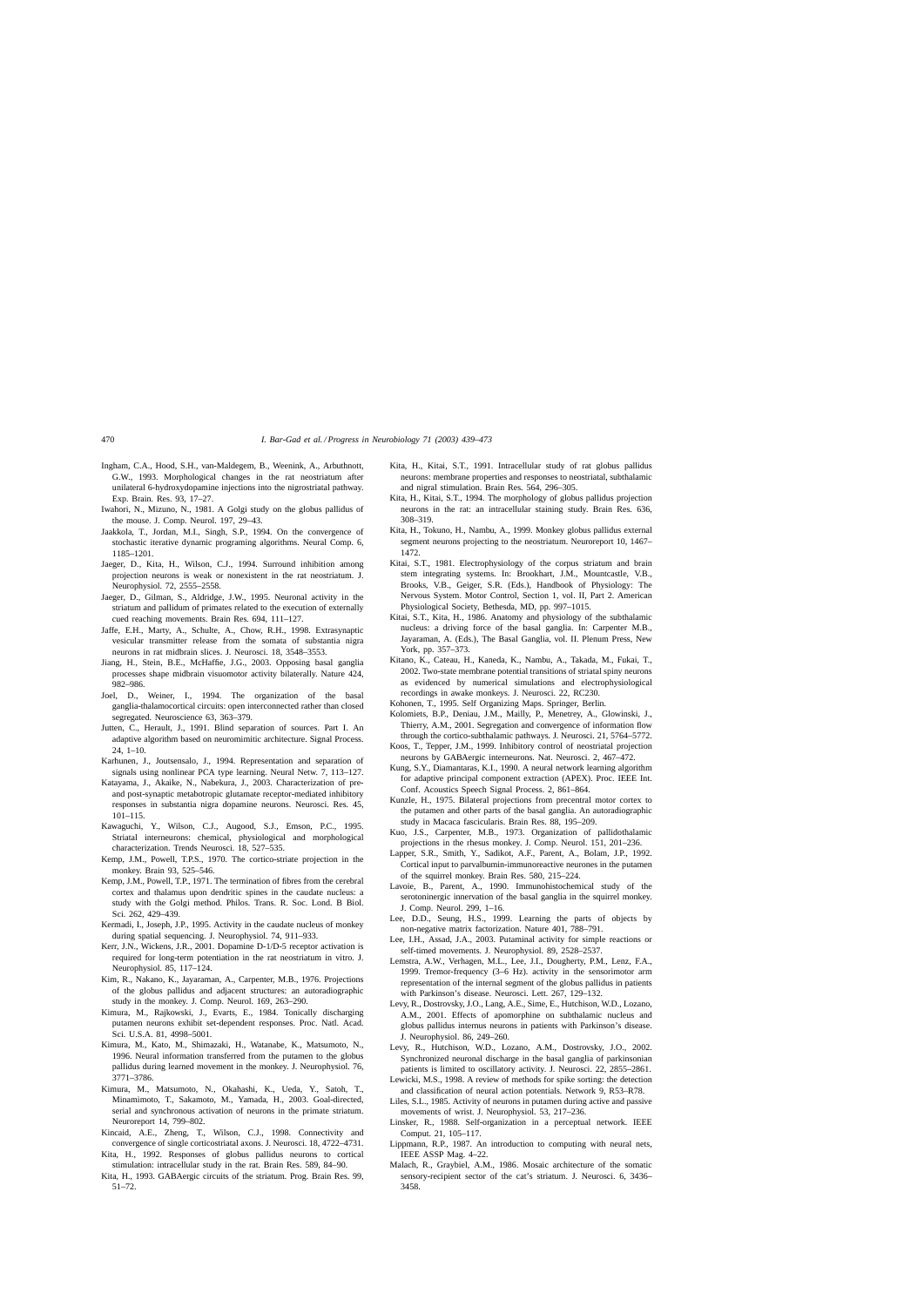- <span id="page-31-0"></span>Ingham, C.A., Hood, S.H., van-Maldegem, B., Weenink, A., Arbuthnott, G.W., 1993. Morphological changes in the rat neostriatum after unilateral 6-hydroxydopamine injections into the nigrostriatal pathway. Exp. Brain. Res. 93, 17–27.
- Iwahori, N., Mizuno, N., 1981. A Golgi study on the globus pallidus of the mouse. J. Comp. Neurol. 197, 29–43.
- Jaakkola, T., Jordan, M.I., Singh, S.P., 1994. On the convergence of stochastic iterative dynamic programing algorithms. Neural Comp. 6, 1185–1201.
- Jaeger, D., Kita, H., Wilson, C.J., 1994. Surround inhibition among projection neurons is weak or nonexistent in the rat neostriatum. J. Neurophysiol. 72, 2555–2558.
- Jaeger, D., Gilman, S., Aldridge, J.W., 1995. Neuronal activity in the striatum and pallidum of primates related to the execution of externally cued reaching movements. Brain Res. 694, 111–127.
- Jaffe, E.H., Marty, A., Schulte, A., Chow, R.H., 1998. Extrasynaptic vesicular transmitter release from the somata of substantia nigra neurons in rat midbrain slices. J. Neurosci. 18, 3548–3553.
- Jiang, H., Stein, B.E., McHaffie, J.G., 2003. Opposing basal ganglia processes shape midbrain visuomotor activity bilaterally. Nature 424, 982–986.
- Joel, D., Weiner, I., 1994. The organization of the basal ganglia-thalamocortical circuits: open interconnected rather than closed segregated. Neuroscience 63, 363–379.
- Jutten, C., Herault, J., 1991. Blind separation of sources. Part I. An adaptive algorithm based on neuromimitic architecture. Signal Process.  $24, 1-10.$
- Karhunen, J., Joutsensalo, J., 1994. Representation and separation of signals using nonlinear PCA type learning. Neural Netw. 7, 113–127.
- Katayama, J., Akaike, N., Nabekura, J., 2003. Characterization of preand post-synaptic metabotropic glutamate receptor-mediated inhibitory responses in substantia nigra dopamine neurons. Neurosci. Res. 45, 101–115.
- Kawaguchi, Y., Wilson, C.J., Augood, S.J., Emson, P.C., 1995. Striatal interneurons: chemical, physiological and morphological characterization. Trends Neurosci. 18, 527–535.
- Kemp, J.M., Powell, T.P.S., 1970. The cortico-striate projection in the monkey. Brain 93, 525–546.
- Kemp, J.M., Powell, T.P., 1971. The termination of fibres from the cerebral cortex and thalamus upon dendritic spines in the caudate nucleus: a study with the Golgi method. Philos. Trans. R. Soc. Lond. B Biol. Sci. 262, 429–439.
- Kermadi, I., Joseph, J.P., 1995. Activity in the caudate nucleus of monkey during spatial sequencing. J. Neurophysiol. 74, 911–933.
- Kerr, J.N., Wickens, J.R., 2001. Dopamine D-1/D-5 receptor activation is required for long-term potentiation in the rat neostriatum in vitro. J. Neurophysiol. 85, 117–124.
- Kim, R., Nakano, K., Jayaraman, A., Carpenter, M.B., 1976. Projections of the globus pallidus and adjacent structures: an autoradiographic study in the monkey. J. Comp. Neurol. 169, 263–290.
- Kimura, M., Rajkowski, J., Evarts, E., 1984. Tonically discharging putamen neurons exhibit set-dependent responses. Proc. Natl. Acad. Sci. U.S.A. 81, 4998–5001.
- Kimura, M., Kato, M., Shimazaki, H., Watanabe, K., Matsumoto, N., 1996. Neural information transferred from the putamen to the globus pallidus during learned movement in the monkey. J. Neurophysiol. 76, 3771–3786.
- Kimura, M., Matsumoto, N., Okahashi, K., Ueda, Y., Satoh, T., Minamimoto, T., Sakamoto, M., Yamada, H., 2003. Goal-directed, serial and synchronous activation of neurons in the primate striatum. Neuroreport 14, 799–802.
- Kincaid, A.E., Zheng, T., Wilson, C.J., 1998. Connectivity and convergence of single corticostriatal axons. J. Neurosci. 18, 4722–4731.
- Kita, H., 1992. Responses of globus pallidus neurons to cortical stimulation: intracellular study in the rat. Brain Res. 589, 84–90.
- Kita, H., 1993. GABAergic circuits of the striatum. Prog. Brain Res. 99, 51–72.
- Kita, H., Kitai, S.T., 1991. Intracellular study of rat globus pallidus neurons: membrane properties and responses to neostriatal, subthalamic and nigral stimulation. Brain Res. 564, 296–305.
- Kita, H., Kitai, S.T., 1994. The morphology of globus pallidus projection neurons in the rat: an intracellular staining study. Brain Res. 636, 308–319.
- Kita, H., Tokuno, H., Nambu, A., 1999. Monkey globus pallidus external segment neurons projecting to the neostriatum. Neuroreport 10, 1467– 1472.
- Kitai, S.T., 1981. Electrophysiology of the corpus striatum and brain stem integrating systems. In: Brookhart, J.M., Mountcastle, V.B., Brooks, V.B., Geiger, S.R. (Eds.), Handbook of Physiology: The Nervous System. Motor Control, Section 1, vol. II, Part 2. American Physiological Society, Bethesda, MD, pp. 997–1015.
- Kitai, S.T., Kita, H., 1986. Anatomy and physiology of the subthalamic nucleus: a driving force of the basal ganglia. In: Carpenter M.B., Jayaraman, A. (Eds.), The Basal Ganglia, vol. II. Plenum Press, New York, pp. 357–373.
- Kitano, K., Cateau, H., Kaneda, K., Nambu, A., Takada, M., Fukai, T., 2002. Two-state membrane potential transitions of striatal spiny neurons as evidenced by numerical simulations and electrophysiological recordings in awake monkeys. J. Neurosci. 22, RC230.
- Kohonen, T., 1995. Self Organizing Maps. Springer, Berlin.
- Kolomiets, B.P., Deniau, J.M., Mailly, P., Menetrey, A., Glowinski, J., Thierry, A.M., 2001. Segregation and convergence of information flow through the cortico-subthalamic pathways. J. Neurosci. 21, 5764–5772.
- Koos, T., Tepper, J.M., 1999. Inhibitory control of neostriatal projection neurons by GABAergic interneurons. Nat. Neurosci. 2, 467–472.
- Kung, S.Y., Diamantaras, K.I., 1990. A neural network learning algorithm for adaptive principal component extraction (APEX). Proc. IEEE Int. Conf. Acoustics Speech Signal Process. 2, 861–864.
- Kunzle, H., 1975. Bilateral projections from precentral motor cortex to the putamen and other parts of the basal ganglia. An autoradiographic study in Macaca fascicularis. Brain Res. 88, 195–209.
- Kuo, J.S., Carpenter, M.B., 1973. Organization of pallidothalamic projections in the rhesus monkey. J. Comp. Neurol. 151, 201–236.
- Lapper, S.R., Smith, Y., Sadikot, A.F., Parent, A., Bolam, J.P., 1992. Cortical input to parvalbumin-immunoreactive neurones in the putamen of the squirrel monkey. Brain Res. 580, 215–224.
- Lavoie, B., Parent, A., 1990. Immunohistochemical study of the serotoninergic innervation of the basal ganglia in the squirrel monkey. J. Comp. Neurol. 299, 1–16.
- Lee, D.D., Seung, H.S., 1999. Learning the parts of objects by non-negative matrix factorization. Nature 401, 788–791.
- Lee, I.H., Assad, J.A., 2003. Putaminal activity for simple reactions or self-timed movements. J. Neurophysiol. 89, 2528–2537.
- Lemstra, A.W., Verhagen, M.L., Lee, J.I., Dougherty, P.M., Lenz, F.A., 1999. Tremor-frequency (3–6 Hz). activity in the sensorimotor arm representation of the internal segment of the globus pallidus in patients with Parkinson's disease. Neurosci. Lett. 267, 129–132.
- Levy, R., Dostrovsky, J.O., Lang, A.E., Sime, E., Hutchison, W.D., Lozano, A.M., 2001. Effects of apomorphine on subthalamic nucleus and globus pallidus internus neurons in patients with Parkinson's disease. J. Neurophysiol. 86, 249–260.
- Levy, R., Hutchison, W.D., Lozano, A.M., Dostrovsky, J.O., 2002. Synchronized neuronal discharge in the basal ganglia of parkinsonian patients is limited to oscillatory activity. J. Neurosci. 22, 2855–2861.
- Lewicki, M.S., 1998. A review of methods for spike sorting: the detection and classification of neural action potentials. Network 9, R53–R78.
- Liles, S.L., 1985. Activity of neurons in putamen during active and passive movements of wrist. J. Neurophysiol. 53, 217–236.
- Linsker, R., 1988. Self-organization in a perceptual network. IEEE Comput. 21, 105–117.
- Lippmann, R.P., 1987. An introduction to computing with neural nets, IEEE ASSP Mag. 4–22.
- Malach, R., Graybiel, A.M., 1986. Mosaic architecture of the somatic sensory-recipient sector of the cat's striatum. J. Neurosci. 6, 3436– 3458.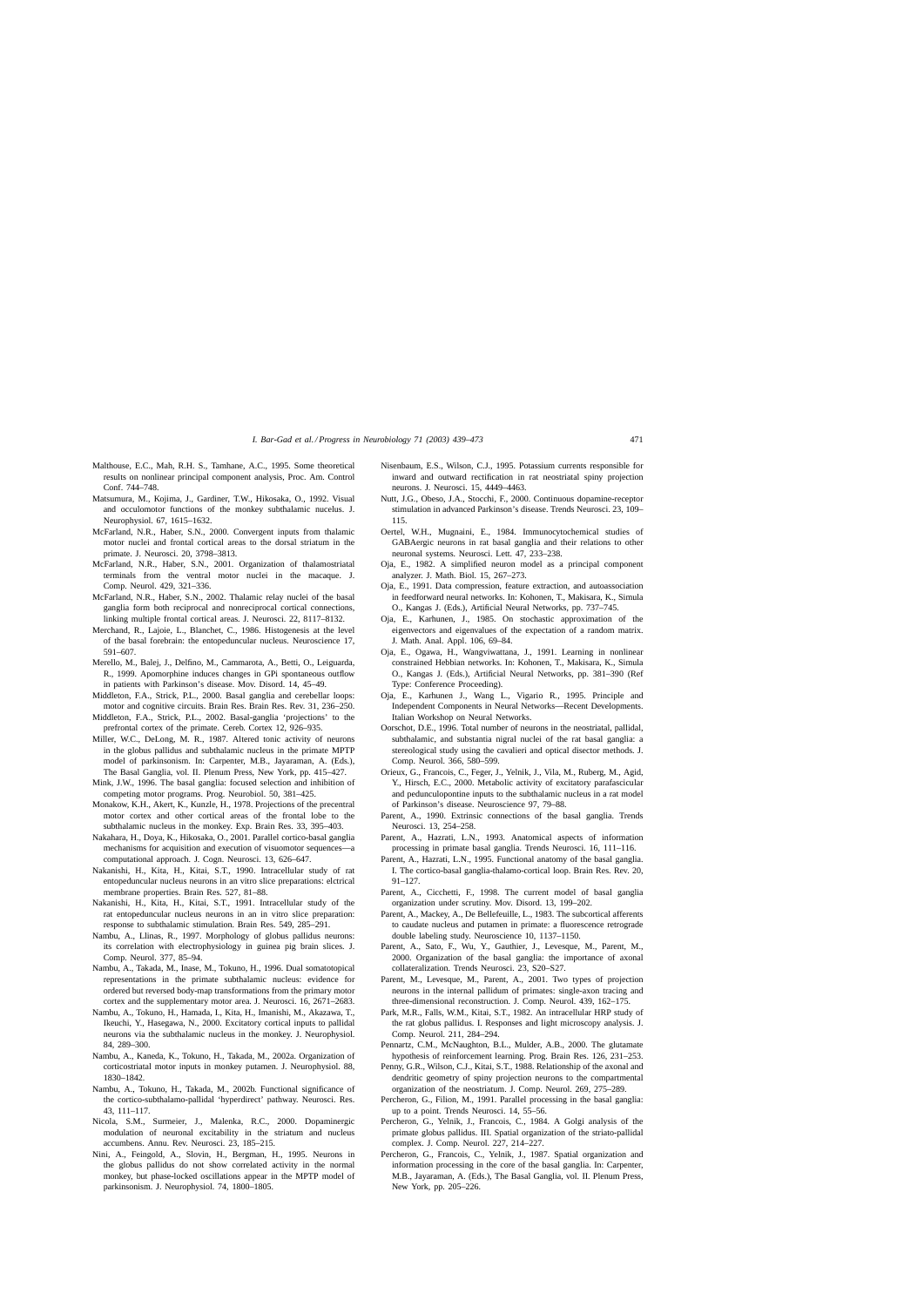- <span id="page-32-0"></span>Malthouse, E.C., Mah, R.H. S., Tamhane, A.C., 1995. Some theoretical results on nonlinear principal component analysis, Proc. Am. Control Conf. 744–748.
- Matsumura, M., Kojima, J., Gardiner, T.W., Hikosaka, O., 1992. Visual and occulomotor functions of the monkey subthalamic nucelus. J. Neurophysiol. 67, 1615–1632.
- McFarland, N.R., Haber, S.N., 2000. Convergent inputs from thalamic motor nuclei and frontal cortical areas to the dorsal striatum in the primate. J. Neurosci. 20, 3798–3813.
- McFarland, N.R., Haber, S.N., 2001. Organization of thalamostriatal terminals from the ventral motor nuclei in the macaque. J. Comp. Neurol. 429, 321–336.
- McFarland, N.R., Haber, S.N., 2002. Thalamic relay nuclei of the basal ganglia form both reciprocal and nonreciprocal cortical connections, linking multiple frontal cortical areas. J. Neurosci. 22, 8117–8132.
- Merchand, R., Lajoie, L., Blanchet, C., 1986. Histogenesis at the level of the basal forebrain: the entopeduncular nucleus. Neuroscience 17, 591–607.
- Merello, M., Balej, J., Delfino, M., Cammarota, A., Betti, O., Leiguarda, R., 1999. Apomorphine induces changes in GPi spontaneous outflow in patients with Parkinson's disease. Mov. Disord. 14, 45–49.
- Middleton, F.A., Strick, P.L., 2000. Basal ganglia and cerebellar loops: motor and cognitive circuits. Brain Res. Brain Res. Rev. 31, 236–250.
- Middleton, F.A., Strick, P.L., 2002. Basal-ganglia 'projections' to the prefrontal cortex of the primate. Cereb. Cortex 12, 926–935.
- Miller, W.C., DeLong, M. R., 1987. Altered tonic activity of neurons in the globus pallidus and subthalamic nucleus in the primate MPTP model of parkinsonism. In: Carpenter, M.B., Jayaraman, A. (Eds.), The Basal Ganglia, vol. II. Plenum Press, New York, pp. 415–427.
- Mink, J.W., 1996. The basal ganglia: focused selection and inhibition of competing motor programs. Prog. Neurobiol. 50, 381–425.
- Monakow, K.H., Akert, K., Kunzle, H., 1978. Projections of the precentral motor cortex and other cortical areas of the frontal lobe to the subthalamic nucleus in the monkey. Exp. Brain Res. 33, 395–403.
- Nakahara, H., Doya, K., Hikosaka, O., 2001. Parallel cortico-basal ganglia mechanisms for acquisition and execution of visuomotor sequences—a computational approach. J. Cogn. Neurosci. 13, 626–647.
- Nakanishi, H., Kita, H., Kitai, S.T., 1990. Intracellular study of rat entopeduncular nucleus neurons in an vitro slice preparations: elctrical membrane properties. Brain Res. 527, 81–88.
- Nakanishi, H., Kita, H., Kitai, S.T., 1991. Intracellular study of the rat entopeduncular nucleus neurons in an in vitro slice preparation: response to subthalamic stimulation. Brain Res. 549, 285–291.
- Nambu, A., Llinas, R., 1997. Morphology of globus pallidus neurons: its correlation with electrophysiology in guinea pig brain slices. J. Comp. Neurol. 377, 85–94.
- Nambu, A., Takada, M., Inase, M., Tokuno, H., 1996. Dual somatotopical representations in the primate subthalamic nucleus: evidence for ordered but reversed body-map transformations from the primary motor cortex and the supplementary motor area. J. Neurosci. 16, 2671–2683.
- Nambu, A., Tokuno, H., Hamada, I., Kita, H., Imanishi, M., Akazawa, T., Ikeuchi, Y., Hasegawa, N., 2000. Excitatory cortical inputs to pallidal neurons via the subthalamic nucleus in the monkey. J. Neurophysiol. 84, 289–300.
- Nambu, A., Kaneda, K., Tokuno, H., Takada, M., 2002a. Organization of corticostriatal motor inputs in monkey putamen. J. Neurophysiol. 88, 1830–1842.
- Nambu, A., Tokuno, H., Takada, M., 2002b. Functional significance of the cortico-subthalamo-pallidal 'hyperdirect' pathway. Neurosci. Res. 43, 111–117.
- Nicola, S.M., Surmeier, J., Malenka, R.C., 2000. Dopaminergic modulation of neuronal excitability in the striatum and nucleus accumbens. Annu. Rev. Neurosci. 23, 185–215.
- Nini, A., Feingold, A., Slovin, H., Bergman, H., 1995. Neurons in the globus pallidus do not show correlated activity in the normal monkey, but phase-locked oscillations appear in the MPTP model of parkinsonism. J. Neurophysiol. 74, 1800–1805.
- Nisenbaum, E.S., Wilson, C.J., 1995. Potassium currents responsible for inward and outward rectification in rat neostriatal spiny projection neurons. J. Neurosci. 15, 4449–4463.
- Nutt, J.G., Obeso, J.A., Stocchi, F., 2000. Continuous dopamine-receptor stimulation in advanced Parkinson's disease. Trends Neurosci. 23, 109– 115.
- Oertel, W.H., Mugnaini, E., 1984. Immunocytochemical studies of GABAergic neurons in rat basal ganglia and their relations to other neuronal systems. Neurosci. Lett. 47, 233–238.
- Oja, E., 1982. A simplified neuron model as a principal component analyzer. J. Math. Biol. 15, 267–273.
- Oja, E., 1991. Data compression, feature extraction, and autoassociation in feedforward neural networks. In: Kohonen, T., Makisara, K., Simula O., Kangas J. (Eds.), Artificial Neural Networks, pp. 737–745.
- Oja, E., Karhunen, J., 1985. On stochastic approximation of the eigenvectors and eigenvalues of the expectation of a random matrix. J. Math. Anal. Appl. 106, 69–84.
- Oja, E., Ogawa, H., Wangviwattana, J., 1991. Learning in nonlinear constrained Hebbian networks. In: Kohonen, T., Makisara, K., Simula O., Kangas J. (Eds.), Artificial Neural Networks, pp. 381–390 (Ref Type: Conference Proceeding).
- Oja, E., Karhunen J., Wang L., Vigario R., 1995. Principle and Independent Components in Neural Networks—Recent Developments. Italian Workshop on Neural Networks.
- Oorschot, D.E., 1996. Total number of neurons in the neostriatal, pallidal, subthalamic, and substantia nigral nuclei of the rat basal ganglia: a stereological study using the cavalieri and optical disector methods. J. Comp. Neurol. 366, 580–599.
- Orieux, G., Francois, C., Feger, J., Yelnik, J., Vila, M., Ruberg, M., Agid, Y., Hirsch, E.C., 2000. Metabolic activity of excitatory parafascicular and pedunculopontine inputs to the subthalamic nucleus in a rat model of Parkinson's disease. Neuroscience 97, 79–88.
- Parent, A., 1990. Extrinsic connections of the basal ganglia. Trends Neurosci. 13, 254–258.
- Parent, A., Hazrati, L.N., 1993. Anatomical aspects of information processing in primate basal ganglia. Trends Neurosci. 16, 111–116.
- Parent, A., Hazrati, L.N., 1995. Functional anatomy of the basal ganglia. I. The cortico-basal ganglia-thalamo-cortical loop. Brain Res. Rev. 20, 91–127.
- Parent, A., Cicchetti, F., 1998. The current model of basal ganglia organization under scrutiny. Mov. Disord. 13, 199–202.
- Parent, A., Mackey, A., De Bellefeuille, L., 1983. The subcortical afferents to caudate nucleus and putamen in primate: a fluorescence retrograde double labeling study. Neuroscience 10, 1137–1150.
- Parent, A., Sato, F., Wu, Y., Gauthier, J., Levesque, M., Parent, M., 2000. Organization of the basal ganglia: the importance of axonal collateralization. Trends Neurosci. 23, S20–S27.
- Parent, M., Levesque, M., Parent, A., 2001. Two types of projection neurons in the internal pallidum of primates: single-axon tracing and three-dimensional reconstruction. J. Comp. Neurol. 439, 162–175.
- Park, M.R., Falls, W.M., Kitai, S.T., 1982. An intracellular HRP study of the rat globus pallidus. I. Responses and light microscopy analysis. J. Comp. Neurol. 211, 284–294.
- Pennartz, C.M., McNaughton, B.L., Mulder, A.B., 2000. The glutamate hypothesis of reinforcement learning. Prog. Brain Res. 126, 231–253.
- Penny, G.R., Wilson, C.J., Kitai, S.T., 1988. Relationship of the axonal and dendritic geometry of spiny projection neurons to the compartmental organization of the neostriatum. J. Comp. Neurol. 269, 275–289.
- Percheron, G., Filion, M., 1991. Parallel processing in the basal ganglia: up to a point. Trends Neurosci. 14, 55–56.
- Percheron, G., Yelnik, J., Francois, C., 1984. A Golgi analysis of the primate globus pallidus. III. Spatial organization of the striato-pallidal complex. J. Comp. Neurol. 227, 214–227.
- Percheron, G., Francois, C., Yelnik, J., 1987. Spatial organization and information processing in the core of the basal ganglia. In: Carpenter, M.B., Jayaraman, A. (Eds.), The Basal Ganglia, vol. II. Plenum Press, New York, pp. 205–226.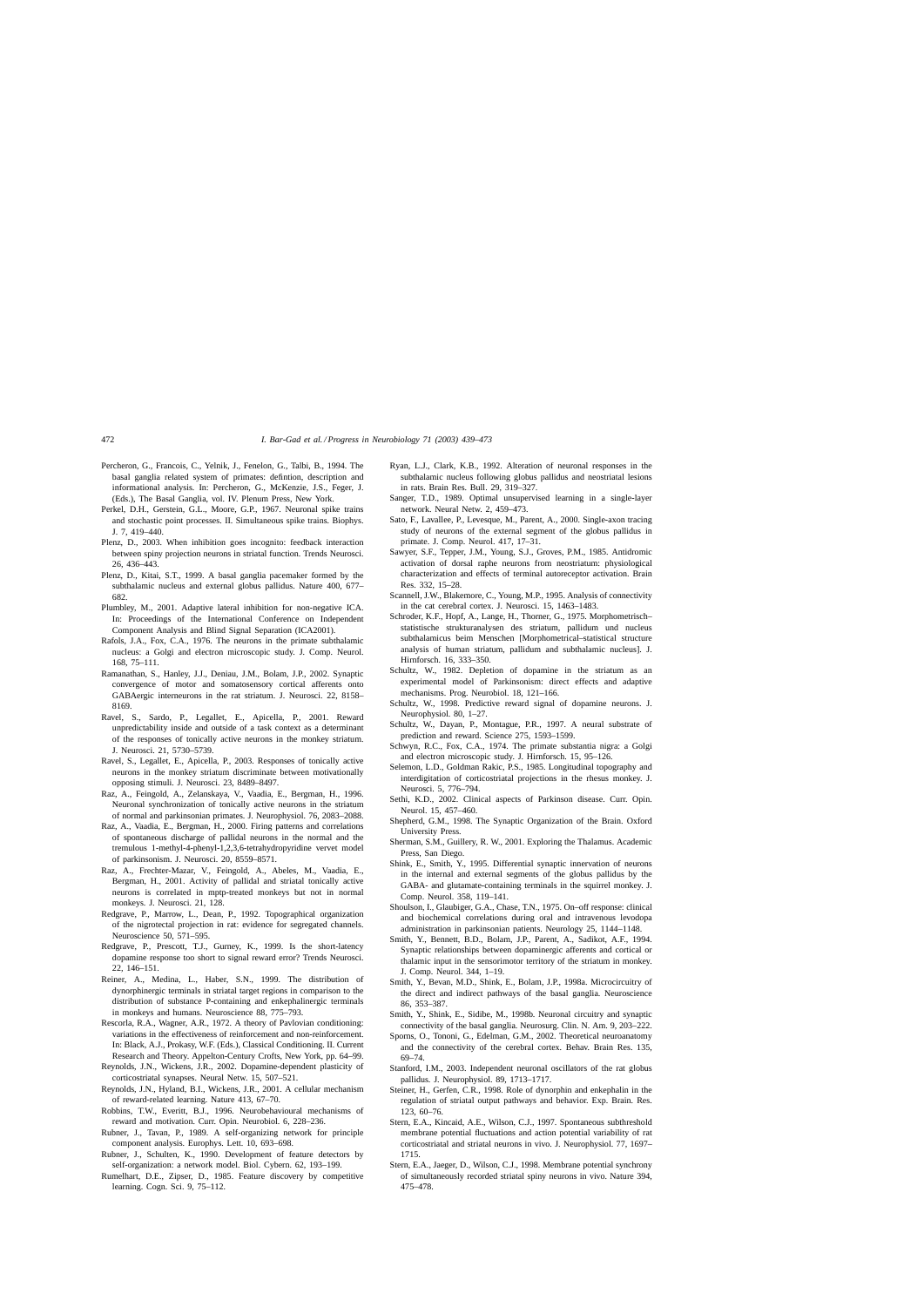- <span id="page-33-0"></span>Percheron, G., Francois, C., Yelnik, J., Fenelon, G., Talbi, B., 1994. The basal ganglia related system of primates: defintion, description and informational analysis. In: Percheron, G., McKenzie, J.S., Feger, J. (Eds.), The Basal Ganglia, vol. IV. Plenum Press, New York.
- Perkel, D.H., Gerstein, G.L., Moore, G.P., 1967. Neuronal spike trains and stochastic point processes. II. Simultaneous spike trains. Biophys. J. 7, 419–440.
- Plenz, D., 2003. When inhibition goes incognito: feedback interaction between spiny projection neurons in striatal function. Trends Neurosci. 26, 436–443.
- Plenz, D., Kitai, S.T., 1999. A basal ganglia pacemaker formed by the subthalamic nucleus and external globus pallidus. Nature 400, 677– 682.
- Plumbley, M., 2001. Adaptive lateral inhibition for non-negative ICA. In: Proceedings of the International Conference on Independent Component Analysis and Blind Signal Separation (ICA2001).
- Rafols, J.A., Fox, C.A., 1976. The neurons in the primate subthalamic nucleus: a Golgi and electron microscopic study. J. Comp. Neurol. 168, 75–111.
- Ramanathan, S., Hanley, J.J., Deniau, J.M., Bolam, J.P., 2002. Synaptic convergence of motor and somatosensory cortical afferents onto GABAergic interneurons in the rat striatum. J. Neurosci. 22, 8158– 8169.
- Ravel, S., Sardo, P., Legallet, E., Apicella, P., 2001. Reward unpredictability inside and outside of a task context as a determinant of the responses of tonically active neurons in the monkey striatum. J. Neurosci. 21, 5730–5739.
- Ravel, S., Legallet, E., Apicella, P., 2003. Responses of tonically active neurons in the monkey striatum discriminate between motivationally opposing stimuli. J. Neurosci. 23, 8489–8497.
- Raz, A., Feingold, A., Zelanskaya, V., Vaadia, E., Bergman, H., 1996. Neuronal synchronization of tonically active neurons in the striatum of normal and parkinsonian primates. J. Neurophysiol. 76, 2083–2088.
- Raz, A., Vaadia, E., Bergman, H., 2000. Firing patterns and correlations of spontaneous discharge of pallidal neurons in the normal and the tremulous 1-methyl-4-phenyl-1,2,3,6-tetrahydropyridine vervet model of parkinsonism. J. Neurosci. 20, 8559–8571.
- Raz, A., Frechter-Mazar, V., Feingold, A., Abeles, M., Vaadia, E., Bergman, H., 2001. Activity of pallidal and striatal tonically active neurons is correlated in mptp-treated monkeys but not in normal monkeys. J. Neurosci. 21, 128.
- Redgrave, P., Marrow, L., Dean, P., 1992. Topographical organization of the nigrotectal projection in rat: evidence for segregated channels. Neuroscience 50, 571–595.
- Redgrave, P., Prescott, T.J., Gurney, K., 1999. Is the short-latency dopamine response too short to signal reward error? Trends Neurosci. 22, 146–151.
- Reiner, A., Medina, L., Haber, S.N., 1999. The distribution of dynorphinergic terminals in striatal target regions in comparison to the distribution of substance P-containing and enkephalinergic terminals in monkeys and humans. Neuroscience 88, 775–793.
- Rescorla, R.A., Wagner, A.R., 1972. A theory of Pavlovian conditioning: variations in the effectiveness of reinforcement and non-reinforcement. In: Black, A.J., Prokasy, W.F. (Eds.), Classical Conditioning. II. Current Research and Theory. Appelton-Century Crofts, New York, pp. 64–99.
- Reynolds, J.N., Wickens, J.R., 2002. Dopamine-dependent plasticity of corticostriatal synapses. Neural Netw. 15, 507–521.
- Reynolds, J.N., Hyland, B.I., Wickens, J.R., 2001. A cellular mechanism of reward-related learning. Nature 413, 67–70.
- Robbins, T.W., Everitt, B.J., 1996. Neurobehavioural mechanisms of reward and motivation. Curr. Opin. Neurobiol. 6, 228–236.
- Rubner, J., Tavan, P., 1989. A self-organizing network for principle component analysis. Europhys. Lett. 10, 693–698.
- Rubner, J., Schulten, K., 1990. Development of feature detectors by self-organization: a network model. Biol. Cybern. 62, 193–199.
- Rumelhart, D.E., Zipser, D., 1985. Feature discovery by competitive learning. Cogn. Sci. 9, 75–112.
- Ryan, L.J., Clark, K.B., 1992. Alteration of neuronal responses in the subthalamic nucleus following globus pallidus and neostriatal lesions in rats. Brain Res. Bull. 29, 319–327.
- Sanger, T.D., 1989. Optimal unsupervised learning in a single-layer network. Neural Netw. 2, 459–473.
- Sato, F., Lavallee, P., Levesque, M., Parent, A., 2000. Single-axon tracing study of neurons of the external segment of the globus pallidus in primate. J. Comp. Neurol. 417, 17–31.
- Sawyer, S.F., Tepper, J.M., Young, S.J., Groves, P.M., 1985. Antidromic activation of dorsal raphe neurons from neostriatum: physiological characterization and effects of terminal autoreceptor activation. Brain Res. 332, 15–28.
- Scannell, J.W., Blakemore, C., Young, M.P., 1995. Analysis of connectivity in the cat cerebral cortex. J. Neurosci. 15, 1463–1483.
- Schroder, K.F., Hopf, A., Lange, H., Thorner, G., 1975. Morphometrisch– statistische strukturanalysen des striatum, pallidum und nucleus subthalamicus beim Menschen [Morphometrical–statistical structure analysis of human striatum, pallidum and subthalamic nucleus]. J. Hirnforsch. 16, 333–350.
- Schultz, W., 1982. Depletion of dopamine in the striatum as an experimental model of Parkinsonism: direct effects and adaptive mechanisms. Prog. Neurobiol. 18, 121–166.
- Schultz, W., 1998. Predictive reward signal of dopamine neurons. J. Neurophysiol. 80, 1–27.
- Schultz, W., Dayan, P., Montague, P.R., 1997. A neural substrate of prediction and reward. Science 275, 1593–1599.
- Schwyn, R.C., Fox, C.A., 1974. The primate substantia nigra: a Golgi and electron microscopic study. J. Hirnforsch. 15, 95–126.
- Selemon, L.D., Goldman Rakic, P.S., 1985. Longitudinal topography and interdigitation of corticostriatal projections in the rhesus monkey. J. Neurosci. 5, 776–794.
- Sethi, K.D., 2002. Clinical aspects of Parkinson disease. Curr. Opin. Neurol. 15, 457–460.
- Shepherd, G.M., 1998. The Synaptic Organization of the Brain. Oxford University Press.
- Sherman, S.M., Guillery, R. W., 2001. Exploring the Thalamus. Academic Press, San Diego.
- Shink, E., Smith, Y., 1995. Differential synaptic innervation of neurons in the internal and external segments of the globus pallidus by the GABA- and glutamate-containing terminals in the squirrel monkey. J. Comp. Neurol. 358, 119–141.
- Shoulson, I., Glaubiger, G.A., Chase, T.N., 1975. On–off response: clinical and biochemical correlations during oral and intravenous levodopa administration in parkinsonian patients. Neurology 25, 1144–1148.
- Smith, Y., Bennett, B.D., Bolam, J.P., Parent, A., Sadikot, A.F., 1994. Synaptic relationships between dopaminergic afferents and cortical or thalamic input in the sensorimotor territory of the striatum in monkey. J. Comp. Neurol. 344, 1–19.
- Smith, Y., Bevan, M.D., Shink, E., Bolam, J.P., 1998a. Microcircuitry of the direct and indirect pathways of the basal ganglia. Neuroscience 86, 353–387.
- Smith, Y., Shink, E., Sidibe, M., 1998b. Neuronal circuitry and synaptic connectivity of the basal ganglia. Neurosurg. Clin. N. Am. 9, 203–222.
- Sporns, O., Tononi, G., Edelman, G.M., 2002. Theoretical neuroanatomy and the connectivity of the cerebral cortex. Behav. Brain Res. 135, 69–74.
- Stanford, I.M., 2003. Independent neuronal oscillators of the rat globus pallidus. J. Neurophysiol. 89, 1713–1717.
- Steiner, H., Gerfen, C.R., 1998. Role of dynorphin and enkephalin in the regulation of striatal output pathways and behavior. Exp. Brain. Res. 123, 60–76.
- Stern, E.A., Kincaid, A.E., Wilson, C.J., 1997. Spontaneous subthreshold membrane potential fluctuations and action potential variability of rat corticostriatal and striatal neurons in vivo. J. Neurophysiol. 77, 1697– 1715.
- Stern, E.A., Jaeger, D., Wilson, C.J., 1998. Membrane potential synchrony of simultaneously recorded striatal spiny neurons in vivo. Nature 394, 475–478.